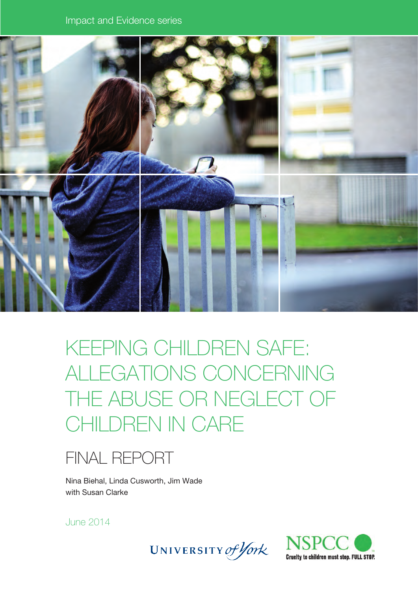

# Keeping children safe: allegations concerning THE ABUSE OR NEGLECT OF children in care

# Final report

Nina Biehal, Linda Cusworth, Jim Wade with Susan Clarke

June 2014



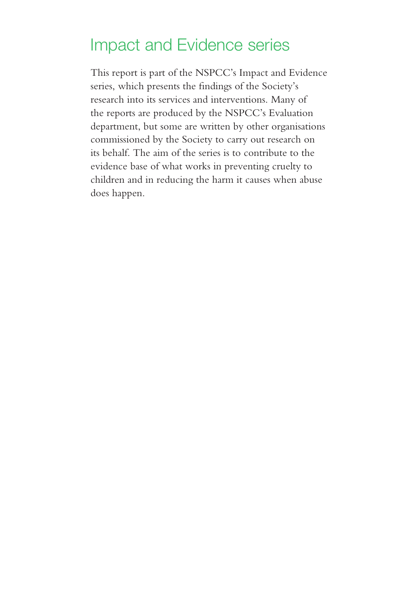## <span id="page-1-0"></span>Impact and Evidence series

This report is part of the NSPCC's Impact and Evidence series, which presents the findings of the Society's research into its services and interventions. Many of the reports are produced by the NSPCC's Evaluation department, but some are written by other organisations commissioned by the Society to carry out research on its behalf. The aim of the series is to contribute to the evidence base of what works in preventing cruelty to children and in reducing the harm it causes when abuse does happen.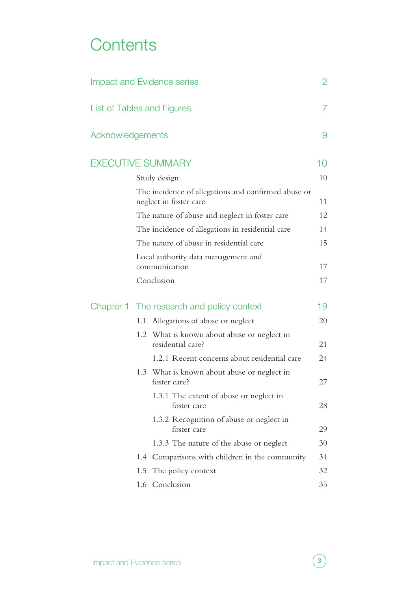## **Contents**

|                            | Impact and Evidence series              |                                                                               |    |  |
|----------------------------|-----------------------------------------|-------------------------------------------------------------------------------|----|--|
| List of Tables and Figures | 7                                       |                                                                               |    |  |
| Acknowledgements           |                                         |                                                                               |    |  |
|                            |                                         | <b>EXECUTIVE SUMMARY</b>                                                      | 10 |  |
|                            | Study design                            | 10                                                                            |    |  |
|                            |                                         | The incidence of allegations and confirmed abuse or<br>neglect in foster care | 11 |  |
|                            |                                         | The nature of abuse and neglect in foster care                                | 12 |  |
|                            |                                         | The incidence of allegations in residential care                              | 14 |  |
|                            | The nature of abuse in residential care | 15                                                                            |    |  |
|                            |                                         | Local authority data management and<br>communication                          | 17 |  |
|                            |                                         | Conclusion                                                                    | 17 |  |
|                            |                                         |                                                                               |    |  |
|                            |                                         | Chapter 1 The research and policy context                                     | 19 |  |
|                            |                                         | 1.1 Allegations of abuse or neglect                                           | 20 |  |
|                            |                                         | 1.2 What is known about abuse or neglect in<br>residential care?              | 21 |  |
|                            |                                         | 1.2.1 Recent concerns about residential care                                  | 24 |  |
|                            |                                         | 1.3 What is known about abuse or neglect in<br>foster care?                   | 27 |  |
|                            |                                         | 1.3.1 The extent of abuse or neglect in<br>foster care                        | 28 |  |
|                            |                                         | 1.3.2 Recognition of abuse or neglect in<br>foster care                       | 29 |  |
|                            |                                         | 1.3.3 The nature of the abuse or neglect                                      | 30 |  |
|                            | 1.4                                     | Comparisons with children in the community                                    | 31 |  |
|                            |                                         | 1.5 The policy context                                                        | 32 |  |
|                            |                                         | 1.6 Conclusion                                                                | 35 |  |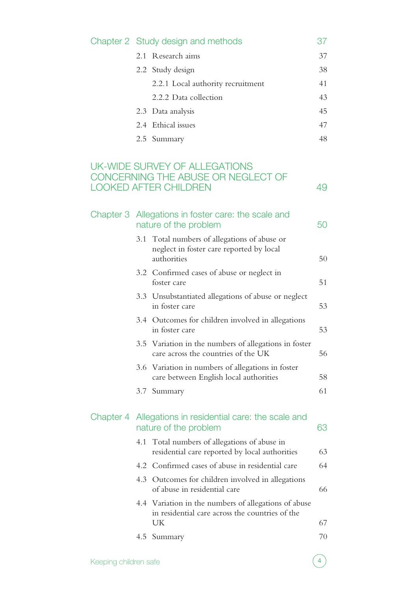|  |     | Chapter 2 Study design and methods                                                                            | 37 |
|--|-----|---------------------------------------------------------------------------------------------------------------|----|
|  |     | 2.1 Research aims                                                                                             | 37 |
|  |     | 2.2 Study design                                                                                              | 38 |
|  |     | 2.2.1 Local authority recruitment                                                                             | 41 |
|  |     | 2.2.2 Data collection                                                                                         | 43 |
|  |     | 2.3 Data analysis                                                                                             | 45 |
|  |     | 2.4 Ethical issues                                                                                            | 47 |
|  |     | 2.5 Summary                                                                                                   | 48 |
|  |     | UK-WIDE SURVEY OF ALLEGATIONS<br>CONCERNING THE ABUSE OR NEGLECT OF<br><b>LOOKED AFTER CHILDREN</b>           | 49 |
|  |     | Chapter 3 Allegations in foster care: the scale and<br>nature of the problem                                  | 50 |
|  | 3.1 | Total numbers of allegations of abuse or<br>neglect in foster care reported by local<br>authorities           | 50 |
|  |     | 3.2 Confirmed cases of abuse or neglect in<br>foster care                                                     | 51 |
|  |     | 3.3 Unsubstantiated allegations of abuse or neglect<br>in foster care                                         | 53 |
|  |     | 3.4 Outcomes for children involved in allegations<br>in foster care                                           | 53 |
|  |     | 3.5 Variation in the numbers of allegations in foster<br>care across the countries of the UK                  | 56 |
|  |     | 3.6 Variation in numbers of allegations in foster<br>care between English local authorities                   | 58 |
|  |     | 3.7 Summary                                                                                                   | 61 |
|  |     | Chapter 4 Allegations in residential care: the scale and<br>nature of the problem                             | 63 |
|  | 4.1 | Total numbers of allegations of abuse in<br>residential care reported by local authorities                    | 63 |
|  |     | 4.2 Confirmed cases of abuse in residential care                                                              | 64 |
|  |     | 4.3 Outcomes for children involved in allegations<br>of abuse in residential care                             | 66 |
|  |     | 4.4 Variation in the numbers of allegations of abuse<br>in residential care across the countries of the<br>UK | 67 |
|  |     | 4.5 Summary                                                                                                   | 70 |
|  |     |                                                                                                               |    |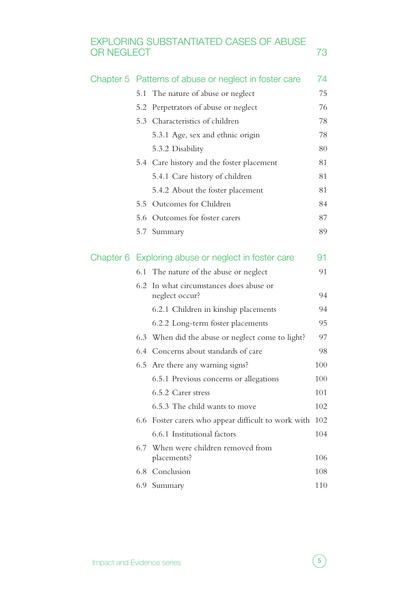### [Exploring substantiated cases of](#page-72-0) abuse OR NEGLECT 73

|     | Chapter 5 Patterns of abuse or neglect in foster care     | 74  |
|-----|-----------------------------------------------------------|-----|
| 5.1 | The nature of abuse or neglect                            | 75  |
|     | 5.2 Perpetrators of abuse or neglect                      | 76  |
|     | 5.3 Characteristics of children                           | 78  |
|     | 5.3.1 Age, sex and ethnic origin                          | 78  |
|     | 5.3.2 Disability                                          | 80  |
|     | 5.4 Care history and the foster placement                 | 81  |
|     | 5.4.1 Care history of children                            | 81  |
|     | 5.4.2 About the foster placement                          | 81  |
|     | 5.5 Outcomes for Children                                 | 84  |
|     | 5.6 Outcomes for foster carers                            | 87  |
|     | 5.7 Summary                                               | 89  |
|     | Chapter 6 Exploring abuse or neglect in foster care       | 91  |
|     | 6.1 The nature of the abuse or neglect                    | 91  |
|     | 6.2 In what circumstances does abuse or<br>neglect occur? | 94  |
|     | 6.2.1 Children in kinship placements                      | 94  |
|     | 6.2.2 Long-term foster placements                         | 95  |
|     | 6.3 When did the abuse or neglect come to light?          | 97  |
|     | 6.4 Concerns about standards of care                      | 98  |
|     | 6.5 Are there any warning signs?                          | 100 |
|     | 6.5.1 Previous concerns or allegations                    | 100 |
|     | 6.5.2 Carer stress                                        | 101 |
|     | 6.5.3 The child wants to move                             | 102 |
|     | 6.6 Foster carers who appear difficult to work with 102   |     |
|     | 6.6.1 Institutional factors                               | 104 |
|     | 6.7 When were children removed from<br>placements?        | 106 |
|     | 6.8 Conclusion                                            | 108 |
|     | 6.9 Summary                                               | 110 |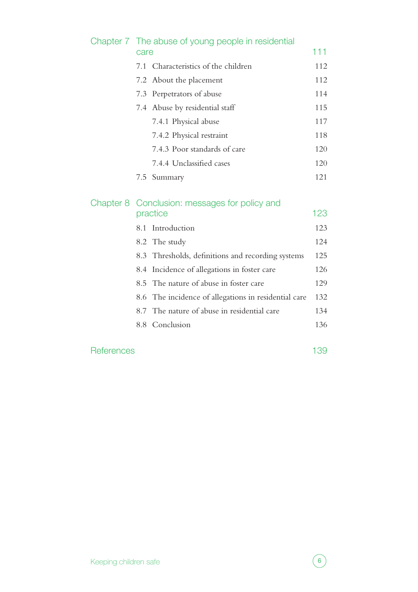<span id="page-5-0"></span>

| Chapter 7 The abuse of young people in residential |     |  |
|----------------------------------------------------|-----|--|
| care                                               | 111 |  |
| 7.1 Characteristics of the children                | 112 |  |
| 7.2 About the placement                            | 112 |  |
| 7.3 Perpetrators of abuse                          | 114 |  |
| 7.4 Abuse by residential staff                     | 115 |  |
| 7.4.1 Physical abuse                               | 117 |  |
| 7.4.2 Physical restraint                           | 118 |  |
| 7.4.3 Poor standards of care                       | 120 |  |
| 7.4.4 Unclassified cases                           | 120 |  |
| 7.5 Summary                                        | 121 |  |
| Chapter 8 Conclusion: messages for policy and      |     |  |
| practice                                           | 123 |  |
| 8.1 Introduction                                   | 123 |  |

|  | 8.1 Introduction                                     | 123 |
|--|------------------------------------------------------|-----|
|  | 8.2 The study                                        | 124 |
|  | 8.3 Thresholds, definitions and recording systems    | 125 |
|  | 8.4 Incidence of allegations in foster care          | 126 |
|  | 8.5 The nature of abuse in foster care               | 129 |
|  | 8.6 The incidence of allegations in residential care | 132 |
|  | 8.7 The nature of abuse in residential care          | 134 |
|  | 8.8 Conclusion                                       | 136 |
|  |                                                      |     |

### [References](#page-138-0) and the state of the state of the state of the state of the state of the state of the state of the state of the state of the state of the state of the state of the state of the state of the state of the state of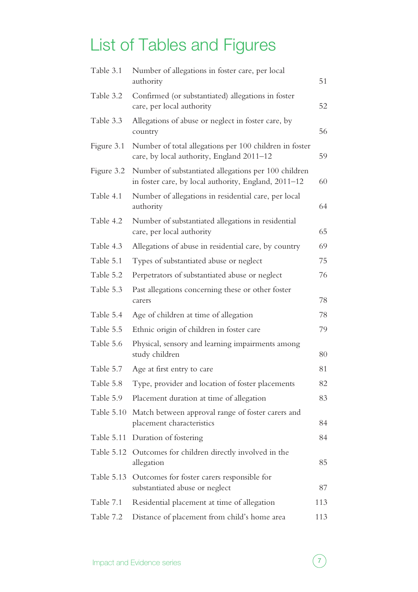# <span id="page-6-0"></span>List of Tables and Figures

| Table 3.1  | Number of allegations in foster care, per local<br>authority                                                 | 51  |
|------------|--------------------------------------------------------------------------------------------------------------|-----|
| Table 3.2  | Confirmed (or substantiated) allegations in foster<br>care, per local authority                              | 52  |
| Table 3.3  | Allegations of abuse or neglect in foster care, by<br>country                                                | 56  |
| Figure 3.1 | Number of total allegations per 100 children in foster<br>care, by local authority, England 2011-12          | 59  |
| Figure 3.2 | Number of substantiated allegations per 100 children<br>in foster care, by local authority, England, 2011-12 | 60  |
| Table 4.1  | Number of allegations in residential care, per local<br>authority                                            | 64  |
| Table 4.2  | Number of substantiated allegations in residential<br>care, per local authority                              | 65  |
| Table 4.3  | Allegations of abuse in residential care, by country                                                         | 69  |
| Table 5.1  | Types of substantiated abuse or neglect                                                                      | 75  |
| Table 5.2  | Perpetrators of substantiated abuse or neglect                                                               | 76  |
| Table 5.3  | Past allegations concerning these or other foster<br>carers                                                  | 78  |
| Table 5.4  | Age of children at time of allegation                                                                        | 78  |
| Table 5.5  | Ethnic origin of children in foster care                                                                     | 79  |
| Table 5.6  | Physical, sensory and learning impairments among<br>study children                                           | 80  |
| Table 5.7  | Age at first entry to care                                                                                   | 81  |
| Table 5.8  | Type, provider and location of foster placements                                                             | 82  |
| Table 5.9  | Placement duration at time of allegation                                                                     | 83  |
| Table 5.10 | Match between approval range of foster carers and<br>placement characteristics                               | 84  |
| Table 5.11 | Duration of fostering                                                                                        | 84  |
| Table 5.12 | Outcomes for children directly involved in the<br>allegation                                                 | 85  |
| Table 5.13 | Outcomes for foster carers responsible for<br>substantiated abuse or neglect                                 | 87  |
| Table 7.1  | Residential placement at time of allegation                                                                  | 113 |
| Table 7.2  | Distance of placement from child's home area                                                                 | 113 |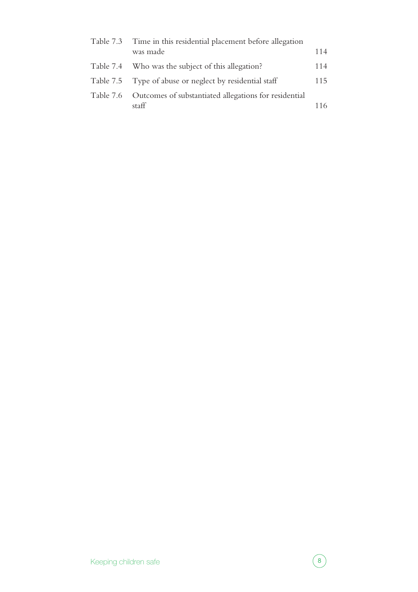<span id="page-7-0"></span>

| Table 7.3 Time in this residential placement before allegation  |     |
|-----------------------------------------------------------------|-----|
| was made                                                        | 114 |
| Table 7.4 Who was the subject of this allegation?               | 114 |
| Table 7.5 Type of abuse or neglect by residential staff         | 115 |
| Table 7.6 Outcomes of substantiated allegations for residential |     |
| staff                                                           | 116 |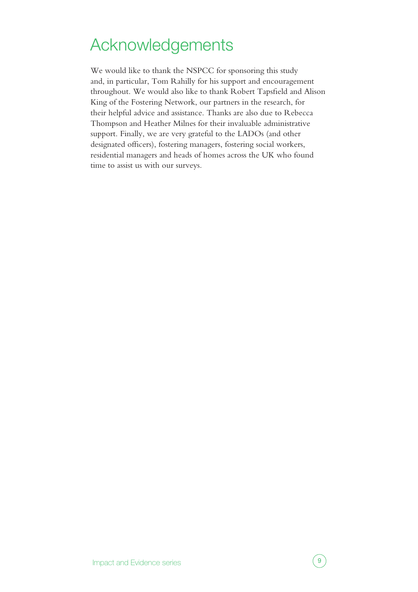# Acknowledgements

We would like to thank the NSPCC for sponsoring this study and, in particular, Tom Rahilly for his support and encouragement throughout. We would also like to thank Robert Tapsfield and Alison King of the Fostering Network, our partners in the research, for their helpful advice and assistance. Thanks are also due to Rebecca Thompson and Heather Milnes for their invaluable administrative support. Finally, we are very grateful to the LADOs (and other designated officers), fostering managers, fostering social workers, residential managers and heads of homes across the UK who found time to assist us with our surveys.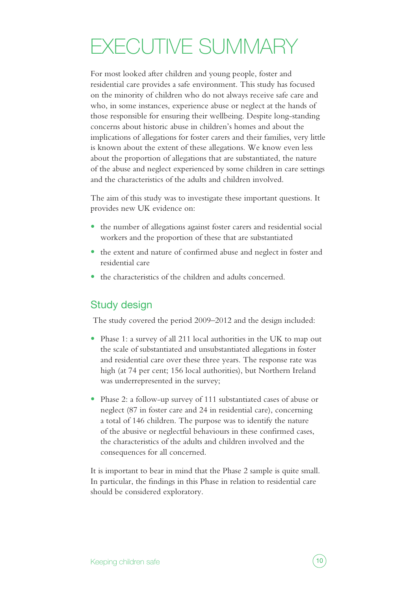# EXECUTIVE SUMMARY

For most looked after children and young people, foster and residential care provides a safe environment. This study has focused on the minority of children who do not always receive safe care and who, in some instances, experience abuse or neglect at the hands of those responsible for ensuring their wellbeing. Despite long-standing concerns about historic abuse in children's homes and about the implications of allegations for foster carers and their families, very little is known about the extent of these allegations. We know even less about the proportion of allegations that are substantiated, the nature of the abuse and neglect experienced by some children in care settings and the characteristics of the adults and children involved.

The aim of this study was to investigate these important questions. It provides new UK evidence on:

- **•** the number of allegations against foster carers and residential social workers and the proportion of these that are substantiated
- **•** the extent and nature of confirmed abuse and neglect in foster and residential care
- the characteristics of the children and adults concerned.

### Study design

The study covered the period 2009–2012 and the design included:

- **•** Phase 1: a survey of all 211 local authorities in the UK to map out the scale of substantiated and unsubstantiated allegations in foster and residential care over these three years. The response rate was high (at 74 per cent; 156 local authorities), but Northern Ireland was underrepresented in the survey;
- **•** Phase 2: a follow-up survey of 111 substantiated cases of abuse or neglect (87 in foster care and 24 in residential care), concerning a total of 146 children. The purpose was to identify the nature of the abusive or neglectful behaviours in these confirmed cases, the characteristics of the adults and children involved and the consequences for all concerned.

It is important to bear in mind that the Phase 2 sample is quite small. In particular, the findings in this Phase in relation to residential care should be considered exploratory.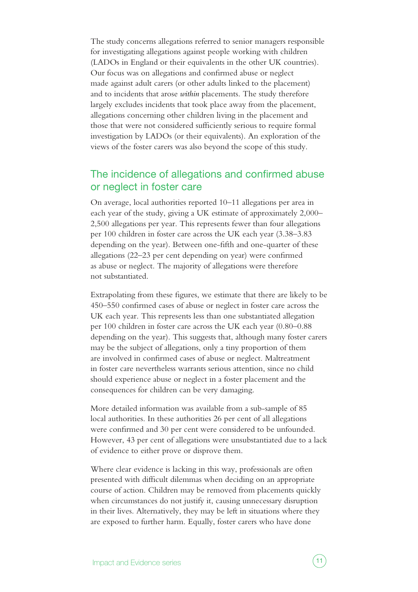<span id="page-10-0"></span>The study concerns allegations referred to senior managers responsible for investigating allegations against people working with children (LADOs in England or their equivalents in the other UK countries). Our focus was on allegations and confirmed abuse or neglect made against adult carers (or other adults linked to the placement) and to incidents that arose *within* placements. The study therefore largely excludes incidents that took place away from the placement, allegations concerning other children living in the placement and those that were not considered sufficiently serious to require formal investigation by LADOs (or their equivalents). An exploration of the views of the foster carers was also beyond the scope of this study.

### The incidence of allegations and confirmed abuse or neglect in foster care

On average, local authorities reported 10–11 allegations per area in each year of the study, giving a UK estimate of approximately 2,000– 2,500 allegations per year. This represents fewer than four allegations per 100 children in foster care across the UK each year (3.38–3.83 depending on the year). Between one-fifth and one-quarter of these allegations (22–23 per cent depending on year) were confirmed as abuse or neglect. The majority of allegations were therefore not substantiated.

Extrapolating from these figures, we estimate that there are likely to be 450–550 confirmed cases of abuse or neglect in foster care across the UK each year. This represents less than one substantiated allegation per 100 children in foster care across the UK each year (0.80–0.88 depending on the year). This suggests that, although many foster carers may be the subject of allegations, only a tiny proportion of them are involved in confirmed cases of abuse or neglect. Maltreatment in foster care nevertheless warrants serious attention, since no child should experience abuse or neglect in a foster placement and the consequences for children can be very damaging.

More detailed information was available from a sub-sample of 85 local authorities. In these authorities 26 per cent of all allegations were confirmed and 30 per cent were considered to be unfounded. However, 43 per cent of allegations were unsubstantiated due to a lack of evidence to either prove or disprove them.

Where clear evidence is lacking in this way, professionals are often presented with difficult dilemmas when deciding on an appropriate course of action. Children may be removed from placements quickly when circumstances do not justify it, causing unnecessary disruption in their lives. Alternatively, they may be left in situations where they are exposed to further harm. Equally, foster carers who have done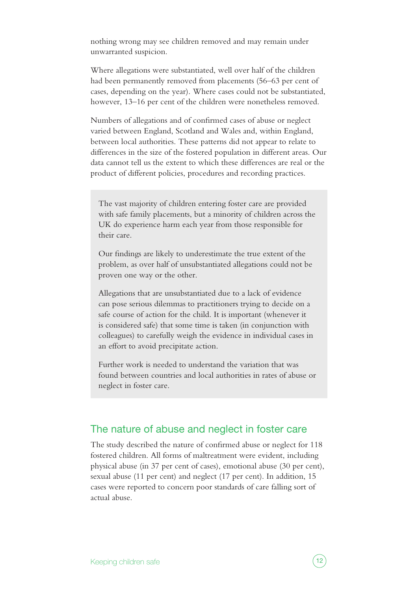<span id="page-11-0"></span>nothing wrong may see children removed and may remain under unwarranted suspicion.

Where allegations were substantiated, well over half of the children had been permanently removed from placements (56–63 per cent of cases, depending on the year). Where cases could not be substantiated, however, 13–16 per cent of the children were nonetheless removed.

Numbers of allegations and of confirmed cases of abuse or neglect varied between England, Scotland and Wales and, within England, between local authorities. These patterns did not appear to relate to differences in the size of the fostered population in different areas. Our data cannot tell us the extent to which these differences are real or the product of different policies, procedures and recording practices.

The vast majority of children entering foster care are provided with safe family placements, but a minority of children across the UK do experience harm each year from those responsible for their care.

Our findings are likely to underestimate the true extent of the problem, as over half of unsubstantiated allegations could not be proven one way or the other.

Allegations that are unsubstantiated due to a lack of evidence can pose serious dilemmas to practitioners trying to decide on a safe course of action for the child. It is important (whenever it is considered safe) that some time is taken (in conjunction with colleagues) to carefully weigh the evidence in individual cases in an effort to avoid precipitate action.

Further work is needed to understand the variation that was found between countries and local authorities in rates of abuse or neglect in foster care.

#### The nature of abuse and neglect in foster care

The study described the nature of confirmed abuse or neglect for 118 fostered children. All forms of maltreatment were evident, including physical abuse (in 37 per cent of cases), emotional abuse (30 per cent), sexual abuse (11 per cent) and neglect (17 per cent). In addition, 15 cases were reported to concern poor standards of care falling sort of actual abuse.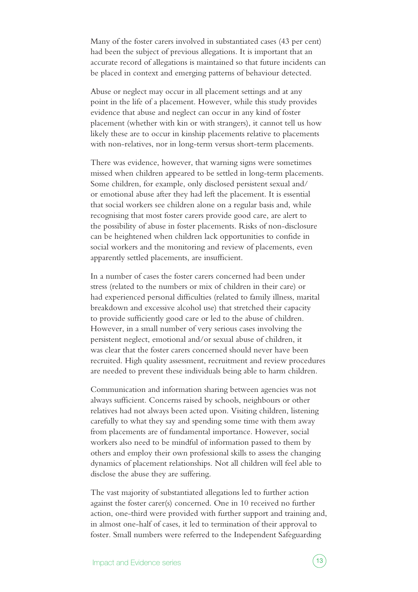Many of the foster carers involved in substantiated cases (43 per cent) had been the subject of previous allegations. It is important that an accurate record of allegations is maintained so that future incidents can be placed in context and emerging patterns of behaviour detected.

Abuse or neglect may occur in all placement settings and at any point in the life of a placement. However, while this study provides evidence that abuse and neglect can occur in any kind of foster placement (whether with kin or with strangers), it cannot tell us how likely these are to occur in kinship placements relative to placements with non-relatives, nor in long-term versus short-term placements.

There was evidence, however, that warning signs were sometimes missed when children appeared to be settled in long-term placements. Some children, for example, only disclosed persistent sexual and/ or emotional abuse after they had left the placement. It is essential that social workers see children alone on a regular basis and, while recognising that most foster carers provide good care, are alert to the possibility of abuse in foster placements. Risks of non-disclosure can be heightened when children lack opportunities to confide in social workers and the monitoring and review of placements, even apparently settled placements, are insufficient.

In a number of cases the foster carers concerned had been under stress (related to the numbers or mix of children in their care) or had experienced personal difficulties (related to family illness, marital breakdown and excessive alcohol use) that stretched their capacity to provide sufficiently good care or led to the abuse of children. However, in a small number of very serious cases involving the persistent neglect, emotional and/or sexual abuse of children, it was clear that the foster carers concerned should never have been recruited. High quality assessment, recruitment and review procedures are needed to prevent these individuals being able to harm children.

Communication and information sharing between agencies was not always sufficient. Concerns raised by schools, neighbours or other relatives had not always been acted upon. Visiting children, listening carefully to what they say and spending some time with them away from placements are of fundamental importance. However, social workers also need to be mindful of information passed to them by others and employ their own professional skills to assess the changing dynamics of placement relationships. Not all children will feel able to disclose the abuse they are suffering.

The vast majority of substantiated allegations led to further action against the foster carer(s) concerned. One in 10 received no further action, one-third were provided with further support and training and, in almost one-half of cases, it led to termination of their approval to foster. Small numbers were referred to the Independent Safeguarding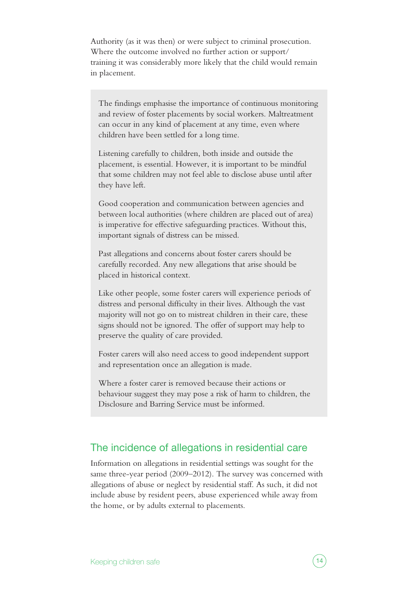<span id="page-13-0"></span>Authority (as it was then) or were subject to criminal prosecution. Where the outcome involved no further action or support/ training it was considerably more likely that the child would remain in placement.

The findings emphasise the importance of continuous monitoring and review of foster placements by social workers. Maltreatment can occur in any kind of placement at any time, even where children have been settled for a long time.

Listening carefully to children, both inside and outside the placement, is essential. However, it is important to be mindful that some children may not feel able to disclose abuse until after they have left.

Good cooperation and communication between agencies and between local authorities (where children are placed out of area) is imperative for effective safeguarding practices. Without this, important signals of distress can be missed.

Past allegations and concerns about foster carers should be carefully recorded. Any new allegations that arise should be placed in historical context.

Like other people, some foster carers will experience periods of distress and personal difficulty in their lives. Although the vast majority will not go on to mistreat children in their care, these signs should not be ignored. The offer of support may help to preserve the quality of care provided.

Foster carers will also need access to good independent support and representation once an allegation is made.

Where a foster carer is removed because their actions or behaviour suggest they may pose a risk of harm to children, the Disclosure and Barring Service must be informed.

#### The incidence of allegations in residential care

Information on allegations in residential settings was sought for the same three-year period (2009–2012). The survey was concerned with allegations of abuse or neglect by residential staff. As such, it did not include abuse by resident peers, abuse experienced while away from the home, or by adults external to placements.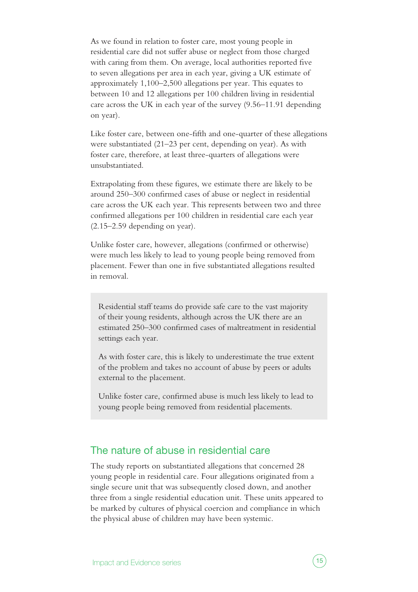<span id="page-14-0"></span>As we found in relation to foster care, most young people in residential care did not suffer abuse or neglect from those charged with caring from them. On average, local authorities reported five to seven allegations per area in each year, giving a UK estimate of approximately 1,100–2,500 allegations per year. This equates to between 10 and 12 allegations per 100 children living in residential care across the UK in each year of the survey (9.56–11.91 depending on year).

Like foster care, between one-fifth and one-quarter of these allegations were substantiated (21–23 per cent, depending on year). As with foster care, therefore, at least three-quarters of allegations were unsubstantiated.

Extrapolating from these figures, we estimate there are likely to be around 250–300 confirmed cases of abuse or neglect in residential care across the UK each year. This represents between two and three confirmed allegations per 100 children in residential care each year (2.15–2.59 depending on year).

Unlike foster care, however, allegations (confirmed or otherwise) were much less likely to lead to young people being removed from placement. Fewer than one in five substantiated allegations resulted in removal.

Residential staff teams do provide safe care to the vast majority of their young residents, although across the UK there are an estimated 250–300 confirmed cases of maltreatment in residential settings each year.

As with foster care, this is likely to underestimate the true extent of the problem and takes no account of abuse by peers or adults external to the placement.

Unlike foster care, confirmed abuse is much less likely to lead to young people being removed from residential placements.

### The nature of abuse in residential care

The study reports on substantiated allegations that concerned 28 young people in residential care. Four allegations originated from a single secure unit that was subsequently closed down, and another three from a single residential education unit. These units appeared to be marked by cultures of physical coercion and compliance in which the physical abuse of children may have been systemic.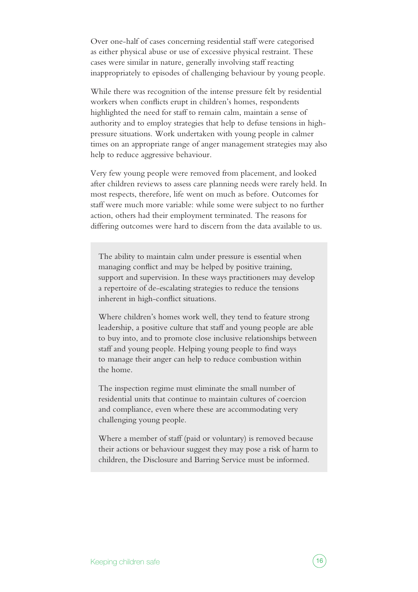Over one-half of cases concerning residential staff were categorised as either physical abuse or use of excessive physical restraint. These cases were similar in nature, generally involving staff reacting inappropriately to episodes of challenging behaviour by young people.

While there was recognition of the intense pressure felt by residential workers when conflicts erupt in children's homes, respondents highlighted the need for staff to remain calm, maintain a sense of authority and to employ strategies that help to defuse tensions in highpressure situations. Work undertaken with young people in calmer times on an appropriate range of anger management strategies may also help to reduce aggressive behaviour.

Very few young people were removed from placement, and looked after children reviews to assess care planning needs were rarely held. In most respects, therefore, life went on much as before. Outcomes for staff were much more variable: while some were subject to no further action, others had their employment terminated. The reasons for differing outcomes were hard to discern from the data available to us.

The ability to maintain calm under pressure is essential when managing conflict and may be helped by positive training, support and supervision. In these ways practitioners may develop a repertoire of de-escalating strategies to reduce the tensions inherent in high-conflict situations.

Where children's homes work well, they tend to feature strong leadership, a positive culture that staff and young people are able to buy into, and to promote close inclusive relationships between staff and young people. Helping young people to find ways to manage their anger can help to reduce combustion within the home.

The inspection regime must eliminate the small number of residential units that continue to maintain cultures of coercion and compliance, even where these are accommodating very challenging young people.

Where a member of staff (paid or voluntary) is removed because their actions or behaviour suggest they may pose a risk of harm to children, the Disclosure and Barring Service must be informed.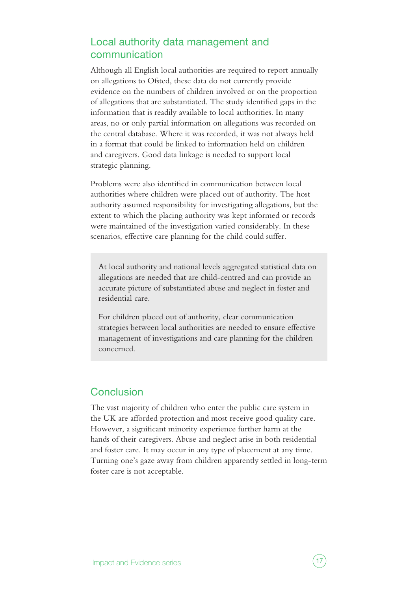### <span id="page-16-0"></span>Local authority data management and communication

Although all English local authorities are required to report annually on allegations to Ofsted, these data do not currently provide evidence on the numbers of children involved or on the proportion of allegations that are substantiated. The study identified gaps in the information that is readily available to local authorities. In many areas, no or only partial information on allegations was recorded on the central database. Where it was recorded, it was not always held in a format that could be linked to information held on children and caregivers. Good data linkage is needed to support local strategic planning.

Problems were also identified in communication between local authorities where children were placed out of authority. The host authority assumed responsibility for investigating allegations, but the extent to which the placing authority was kept informed or records were maintained of the investigation varied considerably. In these scenarios, effective care planning for the child could suffer.

At local authority and national levels aggregated statistical data on allegations are needed that are child-centred and can provide an accurate picture of substantiated abuse and neglect in foster and residential care.

For children placed out of authority, clear communication strategies between local authorities are needed to ensure effective management of investigations and care planning for the children concerned.

#### Conclusion

The vast majority of children who enter the public care system in the UK are afforded protection and most receive good quality care. However, a significant minority experience further harm at the hands of their caregivers. Abuse and neglect arise in both residential and foster care. It may occur in any type of placement at any time. Turning one's gaze away from children apparently settled in long-term foster care is not acceptable.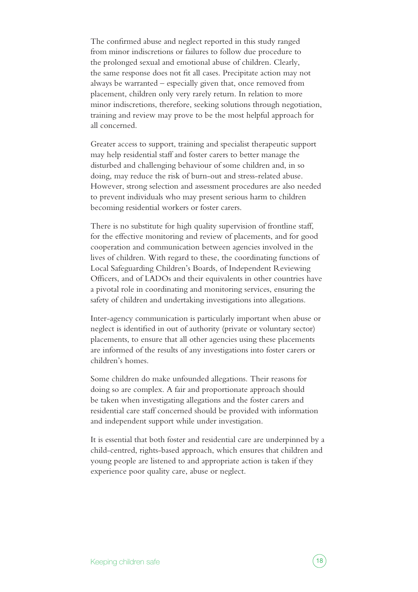The confirmed abuse and neglect reported in this study ranged from minor indiscretions or failures to follow due procedure to the prolonged sexual and emotional abuse of children. Clearly, the same response does not fit all cases. Precipitate action may not always be warranted – especially given that, once removed from placement, children only very rarely return. In relation to more minor indiscretions, therefore, seeking solutions through negotiation, training and review may prove to be the most helpful approach for all concerned.

Greater access to support, training and specialist therapeutic support may help residential staff and foster carers to better manage the disturbed and challenging behaviour of some children and, in so doing, may reduce the risk of burn-out and stress-related abuse. However, strong selection and assessment procedures are also needed to prevent individuals who may present serious harm to children becoming residential workers or foster carers.

There is no substitute for high quality supervision of frontline staff, for the effective monitoring and review of placements, and for good cooperation and communication between agencies involved in the lives of children. With regard to these, the coordinating functions of Local Safeguarding Children's Boards, of Independent Reviewing Officers, and of LADOs and their equivalents in other countries have a pivotal role in coordinating and monitoring services, ensuring the safety of children and undertaking investigations into allegations.

Inter-agency communication is particularly important when abuse or neglect is identified in out of authority (private or voluntary sector) placements, to ensure that all other agencies using these placements are informed of the results of any investigations into foster carers or children's homes.

Some children do make unfounded allegations. Their reasons for doing so are complex. A fair and proportionate approach should be taken when investigating allegations and the foster carers and residential care staff concerned should be provided with information and independent support while under investigation.

It is essential that both foster and residential care are underpinned by a child-centred, rights-based approach, which ensures that children and young people are listened to and appropriate action is taken if they experience poor quality care, abuse or neglect.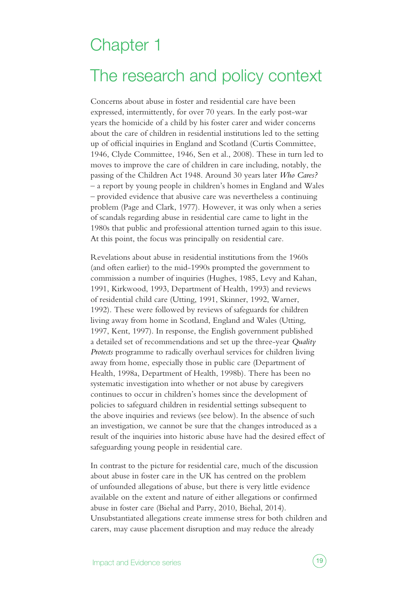### <span id="page-18-0"></span>Chapter 1

### The research and policy context

Concerns about abuse in foster and residential care have been expressed, intermittently, for over 70 years. In the early post-war years the homicide of a child by his foster carer and wider concerns about the care of children in residential institutions led to the setting up of official inquiries in England and Scotland (Curtis Committee, 1946, Clyde Committee, 1946, Sen et al., 2008). These in turn led to moves to improve the care of children in care including, notably, the passing of the Children Act 1948. Around 30 years later *Who Cares?* – a report by young people in children's homes in England and Wales – provided evidence that abusive care was nevertheless a continuing problem (Page and Clark, 1977). However, it was only when a series of scandals regarding abuse in residential care came to light in the 1980s that public and professional attention turned again to this issue. At this point, the focus was principally on residential care.

Revelations about abuse in residential institutions from the 1960s (and often earlier) to the mid-1990s prompted the government to commission a number of inquiries (Hughes, 1985, Levy and Kahan, 1991, Kirkwood, 1993, Department of Health, 1993) and reviews of residential child care (Utting, 1991, Skinner, 1992, Warner, 1992). These were followed by reviews of safeguards for children living away from home in Scotland, England and Wales (Utting, 1997, Kent, 1997). In response, the English government published a detailed set of recommendations and set up the three-year *Quality Protects* programme to radically overhaul services for children living away from home, especially those in public care (Department of Health, 1998a, Department of Health, 1998b). There has been no systematic investigation into whether or not abuse by caregivers continues to occur in children's homes since the development of policies to safeguard children in residential settings subsequent to the above inquiries and reviews (see below). In the absence of such an investigation, we cannot be sure that the changes introduced as a result of the inquiries into historic abuse have had the desired effect of safeguarding young people in residential care.

In contrast to the picture for residential care, much of the discussion about abuse in foster care in the UK has centred on the problem of unfounded allegations of abuse, but there is very little evidence available on the extent and nature of either allegations or confirmed abuse in foster care (Biehal and Parry, 2010, Biehal, 2014). Unsubstantiated allegations create immense stress for both children and carers, may cause placement disruption and may reduce the already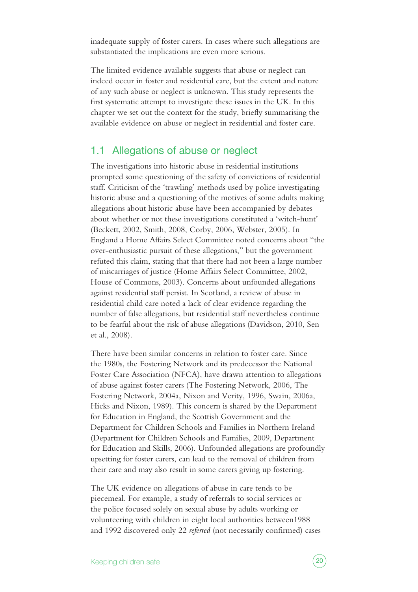<span id="page-19-0"></span>inadequate supply of foster carers. In cases where such allegations are substantiated the implications are even more serious.

The limited evidence available suggests that abuse or neglect can indeed occur in foster and residential care, but the extent and nature of any such abuse or neglect is unknown. This study represents the first systematic attempt to investigate these issues in the UK. In this chapter we set out the context for the study, briefly summarising the available evidence on abuse or neglect in residential and foster care.

#### 1.1 Allegations of abuse or neglect

The investigations into historic abuse in residential institutions prompted some questioning of the safety of convictions of residential staff. Criticism of the 'trawling' methods used by police investigating historic abuse and a questioning of the motives of some adults making allegations about historic abuse have been accompanied by debates about whether or not these investigations constituted a 'witch-hunt' (Beckett, 2002, Smith, 2008, Corby, 2006, Webster, 2005). In England a Home Affairs Select Committee noted concerns about "the over-enthusiastic pursuit of these allegations," but the government refuted this claim, stating that that there had not been a large number of miscarriages of justice (Home Affairs Select Committee, 2002, House of Commons, 2003). Concerns about unfounded allegations against residential staff persist. In Scotland, a review of abuse in residential child care noted a lack of clear evidence regarding the number of false allegations, but residential staff nevertheless continue to be fearful about the risk of abuse allegations (Davidson, 2010, Sen et al., 2008).

There have been similar concerns in relation to foster care. Since the 1980s, the Fostering Network and its predecessor the National Foster Care Association (NFCA), have drawn attention to allegations of abuse against foster carers (The Fostering Network, 2006, The Fostering Network, 2004a, Nixon and Verity, 1996, Swain, 2006a, Hicks and Nixon, 1989). This concern is shared by the Department for Education in England, the Scottish Government and the Department for Children Schools and Families in Northern Ireland (Department for Children Schools and Families, 2009, Department for Education and Skills, 2006). Unfounded allegations are profoundly upsetting for foster carers, can lead to the removal of children from their care and may also result in some carers giving up fostering.

The UK evidence on allegations of abuse in care tends to be piecemeal. For example, a study of referrals to social services or the police focused solely on sexual abuse by adults working or volunteering with children in eight local authorities between1988 and 1992 discovered only 22 *referred* (not necessarily confirmed) cases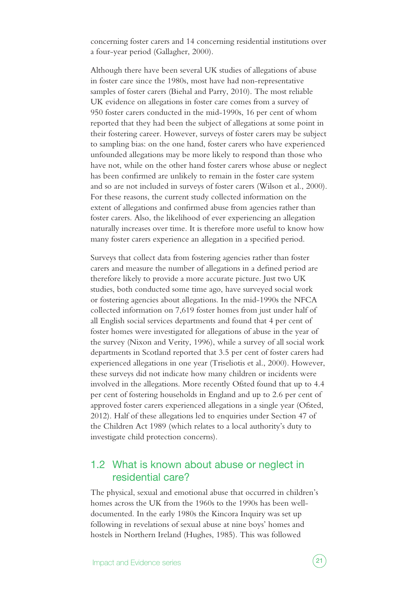<span id="page-20-0"></span>concerning foster carers and 14 concerning residential institutions over a four-year period (Gallagher, 2000).

Although there have been several UK studies of allegations of abuse in foster care since the 1980s, most have had non-representative samples of foster carers (Biehal and Parry, 2010). The most reliable UK evidence on allegations in foster care comes from a survey of 950 foster carers conducted in the mid-1990s, 16 per cent of whom reported that they had been the subject of allegations at some point in their fostering career. However, surveys of foster carers may be subject to sampling bias: on the one hand, foster carers who have experienced unfounded allegations may be more likely to respond than those who have not, while on the other hand foster carers whose abuse or neglect has been confirmed are unlikely to remain in the foster care system and so are not included in surveys of foster carers (Wilson et al., 2000). For these reasons, the current study collected information on the extent of allegations and confirmed abuse from agencies rather than foster carers. Also, the likelihood of ever experiencing an allegation naturally increases over time. It is therefore more useful to know how many foster carers experience an allegation in a specified period.

Surveys that collect data from fostering agencies rather than foster carers and measure the number of allegations in a defined period are therefore likely to provide a more accurate picture. Just two UK studies, both conducted some time ago, have surveyed social work or fostering agencies about allegations. In the mid-1990s the NFCA collected information on 7,619 foster homes from just under half of all English social services departments and found that 4 per cent of foster homes were investigated for allegations of abuse in the year of the survey (Nixon and Verity, 1996), while a survey of all social work departments in Scotland reported that 3.5 per cent of foster carers had experienced allegations in one year (Triseliotis et al., 2000). However, these surveys did not indicate how many children or incidents were involved in the allegations. More recently Ofsted found that up to 4.4 per cent of fostering households in England and up to 2.6 per cent of approved foster carers experienced allegations in a single year (Ofsted, 2012). Half of these allegations led to enquiries under Section 47 of the Children Act 1989 (which relates to a local authority's duty to investigate child protection concerns).

#### 1.2 What is known about abuse or neglect in residential care?

The physical, sexual and emotional abuse that occurred in children's homes across the UK from the 1960s to the 1990s has been welldocumented. In the early 1980s the Kincora Inquiry was set up following in revelations of sexual abuse at nine boys' homes and hostels in Northern Ireland (Hughes, 1985). This was followed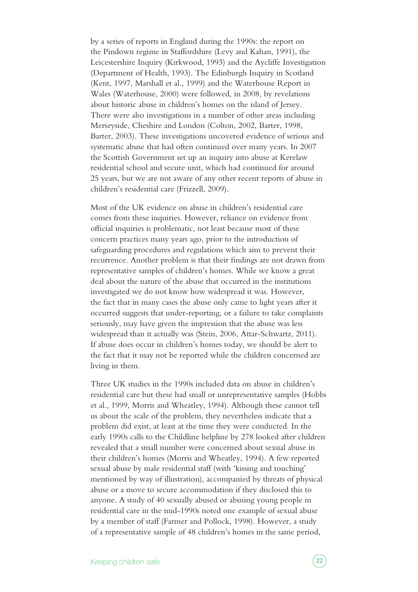by a series of reports in England during the 1990s: the report on the Pindown regime in Staffordshire (Levy and Kahan, 1991), the Leicestershire Inquiry (Kirkwood, 1993) and the Aycliffe Investigation (Department of Health, 1993). The Edinburgh Inquiry in Scotland (Kent, 1997, Marshall et al., 1999) and the Waterhouse Report in Wales (Waterhouse, 2000) were followed, in 2008, by revelations about historic abuse in children's homes on the island of Jersey. There were also investigations in a number of other areas including Merseyside, Cheshire and London (Colton, 2002, Barter, 1998, Barter, 2003). These investigations uncovered evidence of serious and systematic abuse that had often continued over many years. In 2007 the Scottish Government set up an inquiry into abuse at Kerelaw residential school and secure unit, which had continued for around 25 years, but we are not aware of any other recent reports of abuse in children's residential care (Frizzell, 2009).

Most of the UK evidence on abuse in children's residential care comes from these inquiries. However, reliance on evidence from official inquiries is problematic, not least because most of these concern practices many years ago, prior to the introduction of safeguarding procedures and regulations which aim to prevent their recurrence. Another problem is that their findings are not drawn from representative samples of children's homes. While we know a great deal about the nature of the abuse that occurred in the institutions investigated we do not know how widespread it was. However, the fact that in many cases the abuse only came to light years after it occurred suggests that under-reporting, or a failure to take complaints seriously, may have given the impression that the abuse was less widespread than it actually was (Stein, 2006, Attar-Schwartz, 2011). If abuse does occur in children's homes today, we should be alert to the fact that it may not be reported while the children concerned are living in them.

Three UK studies in the 1990s included data on abuse in children's residential care but these had small or unrepresentative samples (Hobbs et al., 1999, Morris and Wheatley, 1994). Although these cannot tell us about the scale of the problem, they nevertheless indicate that a problem did exist, at least at the time they were conducted. In the early 1990s calls to the Childline helpline by 278 looked after children revealed that a small number were concerned about sexual abuse in their children's homes (Morris and Wheatley, 1994). A few reported sexual abuse by male residential staff (with 'kissing and touching' mentioned by way of illustration), accompanied by threats of physical abuse or a move to secure accommodation if they disclosed this to anyone. A study of 40 sexually abused or abusing young people in residential care in the mid-1990s noted one example of sexual abuse by a member of staff (Farmer and Pollock, 1998). However, a study of a representative sample of 48 children's homes in the same period,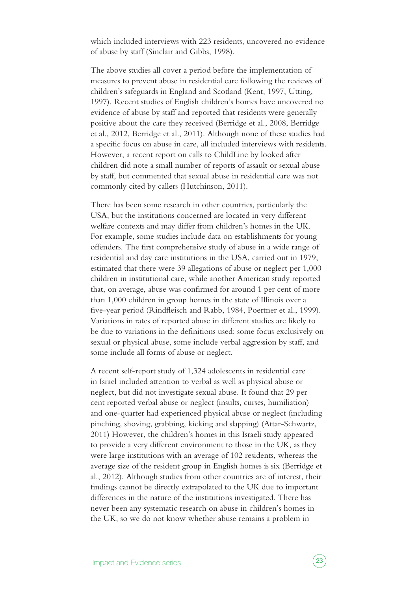which included interviews with 223 residents, uncovered no evidence of abuse by staff (Sinclair and Gibbs, 1998).

The above studies all cover a period before the implementation of measures to prevent abuse in residential care following the reviews of children's safeguards in England and Scotland (Kent, 1997, Utting, 1997). Recent studies of English children's homes have uncovered no evidence of abuse by staff and reported that residents were generally positive about the care they received (Berridge et al., 2008, Berridge et al., 2012, Berridge et al., 2011). Although none of these studies had a specific focus on abuse in care, all included interviews with residents. However, a recent report on calls to ChildLine by looked after children did note a small number of reports of assault or sexual abuse by staff, but commented that sexual abuse in residential care was not commonly cited by callers (Hutchinson, 2011).

There has been some research in other countries, particularly the USA, but the institutions concerned are located in very different welfare contexts and may differ from children's homes in the UK. For example, some studies include data on establishments for young offenders. The first comprehensive study of abuse in a wide range of residential and day care institutions in the USA, carried out in 1979, estimated that there were 39 allegations of abuse or neglect per 1,000 children in institutional care, while another American study reported that, on average, abuse was confirmed for around 1 per cent of more than 1,000 children in group homes in the state of Illinois over a five-year period (Rindfleisch and Rabb, 1984, Poertner et al., 1999). Variations in rates of reported abuse in different studies are likely to be due to variations in the definitions used: some focus exclusively on sexual or physical abuse, some include verbal aggression by staff, and some include all forms of abuse or neglect.

A recent self-report study of 1,324 adolescents in residential care in Israel included attention to verbal as well as physical abuse or neglect, but did not investigate sexual abuse. It found that 29 per cent reported verbal abuse or neglect (insults, curses, humiliation) and one-quarter had experienced physical abuse or neglect (including pinching, shoving, grabbing, kicking and slapping) (Attar-Schwartz, 2011) However, the children's homes in this Israeli study appeared to provide a very different environment to those in the UK, as they were large institutions with an average of 102 residents, whereas the average size of the resident group in English homes is six (Berridge et al., 2012). Although studies from other countries are of interest, their findings cannot be directly extrapolated to the UK due to important differences in the nature of the institutions investigated. There has never been any systematic research on abuse in children's homes in the UK, so we do not know whether abuse remains a problem in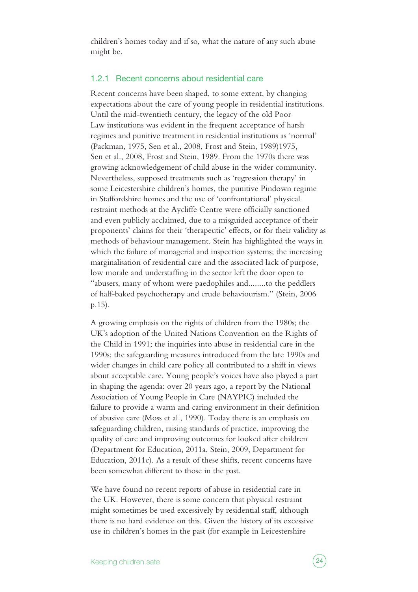<span id="page-23-0"></span>children's homes today and if so, what the nature of any such abuse might be.

#### 1.2.1 Recent concerns about residential care

Recent concerns have been shaped, to some extent, by changing expectations about the care of young people in residential institutions. Until the mid-twentieth century, the legacy of the old Poor Law institutions was evident in the frequent acceptance of harsh regimes and punitive treatment in residential institutions as 'normal' (Packman, 1975, Sen et al., 2008, Frost and Stein, 1989)1975, Sen et al., 2008, Frost and Stein, 1989. From the 1970s there was growing acknowledgement of child abuse in the wider community. Nevertheless, supposed treatments such as 'regression therapy' in some Leicestershire children's homes, the punitive Pindown regime in Staffordshire homes and the use of 'confrontational' physical restraint methods at the Aycliffe Centre were officially sanctioned and even publicly acclaimed, due to a misguided acceptance of their proponents' claims for their 'therapeutic' effects, or for their validity as methods of behaviour management. Stein has highlighted the ways in which the failure of managerial and inspection systems; the increasing marginalisation of residential care and the associated lack of purpose, low morale and understaffing in the sector left the door open to "abusers, many of whom were paedophiles and........to the peddlers of half-baked psychotherapy and crude behaviourism." (Stein, 2006 p.15).

A growing emphasis on the rights of children from the 1980s; the UK's adoption of the United Nations Convention on the Rights of the Child in 1991; the inquiries into abuse in residential care in the 1990s; the safeguarding measures introduced from the late 1990s and wider changes in child care policy all contributed to a shift in views about acceptable care. Young people's voices have also played a part in shaping the agenda: over 20 years ago, a report by the National Association of Young People in Care (NAYPIC) included the failure to provide a warm and caring environment in their definition of abusive care (Moss et al., 1990). Today there is an emphasis on safeguarding children, raising standards of practice, improving the quality of care and improving outcomes for looked after children (Department for Education, 2011a, Stein, 2009, Department for Education, 2011c). As a result of these shifts, recent concerns have been somewhat different to those in the past.

We have found no recent reports of abuse in residential care in the UK. However, there is some concern that physical restraint might sometimes be used excessively by residential staff, although there is no hard evidence on this. Given the history of its excessive use in children's homes in the past (for example in Leicestershire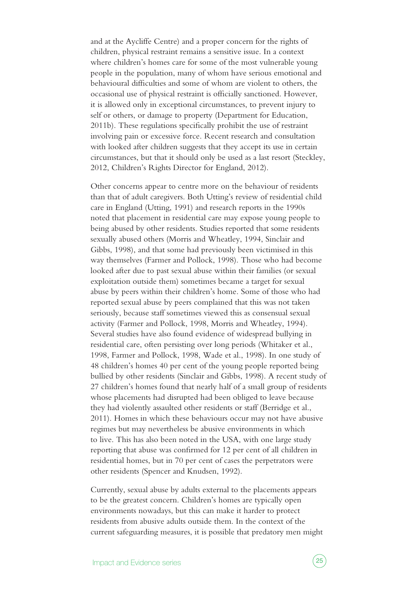and at the Aycliffe Centre) and a proper concern for the rights of children, physical restraint remains a sensitive issue. In a context where children's homes care for some of the most vulnerable young people in the population, many of whom have serious emotional and behavioural difficulties and some of whom are violent to others, the occasional use of physical restraint is officially sanctioned. However, it is allowed only in exceptional circumstances, to prevent injury to self or others, or damage to property (Department for Education, 2011b). These regulations specifically prohibit the use of restraint involving pain or excessive force. Recent research and consultation with looked after children suggests that they accept its use in certain circumstances, but that it should only be used as a last resort (Steckley, 2012, Children's Rights Director for England, 2012).

Other concerns appear to centre more on the behaviour of residents than that of adult caregivers. Both Utting's review of residential child care in England (Utting, 1991) and research reports in the 1990s noted that placement in residential care may expose young people to being abused by other residents. Studies reported that some residents sexually abused others (Morris and Wheatley, 1994, Sinclair and Gibbs, 1998), and that some had previously been victimised in this way themselves (Farmer and Pollock, 1998). Those who had become looked after due to past sexual abuse within their families (or sexual exploitation outside them) sometimes became a target for sexual abuse by peers within their children's home. Some of those who had reported sexual abuse by peers complained that this was not taken seriously, because staff sometimes viewed this as consensual sexual activity (Farmer and Pollock, 1998, Morris and Wheatley, 1994). Several studies have also found evidence of widespread bullying in residential care, often persisting over long periods (Whitaker et al., 1998, Farmer and Pollock, 1998, Wade et al., 1998). In one study of 48 children's homes 40 per cent of the young people reported being bullied by other residents (Sinclair and Gibbs, 1998). A recent study of 27 children's homes found that nearly half of a small group of residents whose placements had disrupted had been obliged to leave because they had violently assaulted other residents or staff (Berridge et al., 2011). Homes in which these behaviours occur may not have abusive regimes but may nevertheless be abusive environments in which to live. This has also been noted in the USA, with one large study reporting that abuse was confirmed for 12 per cent of all children in residential homes, but in 70 per cent of cases the perpetrators were other residents (Spencer and Knudsen, 1992).

Currently, sexual abuse by adults external to the placements appears to be the greatest concern. Children's homes are typically open environments nowadays, but this can make it harder to protect residents from abusive adults outside them. In the context of the current safeguarding measures, it is possible that predatory men might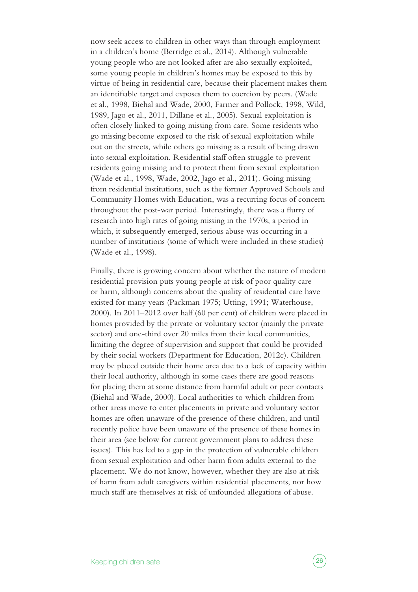now seek access to children in other ways than through employment in a children's home (Berridge et al., 2014). Although vulnerable young people who are not looked after are also sexually exploited, some young people in children's homes may be exposed to this by virtue of being in residential care, because their placement makes them an identifiable target and exposes them to coercion by peers. (Wade et al., 1998, Biehal and Wade, 2000, Farmer and Pollock, 1998, Wild, 1989, Jago et al., 2011, Dillane et al., 2005). Sexual exploitation is often closely linked to going missing from care. Some residents who go missing become exposed to the risk of sexual exploitation while out on the streets, while others go missing as a result of being drawn into sexual exploitation. Residential staff often struggle to prevent residents going missing and to protect them from sexual exploitation (Wade et al., 1998, Wade, 2002, Jago et al., 2011). Going missing from residential institutions, such as the former Approved Schools and Community Homes with Education, was a recurring focus of concern throughout the post-war period. Interestingly, there was a flurry of research into high rates of going missing in the 1970s, a period in which, it subsequently emerged, serious abuse was occurring in a number of institutions (some of which were included in these studies) (Wade et al., 1998).

Finally, there is growing concern about whether the nature of modern residential provision puts young people at risk of poor quality care or harm, although concerns about the quality of residential care have existed for many years (Packman 1975; Utting, 1991; Waterhouse, 2000). In 2011–2012 over half (60 per cent) of children were placed in homes provided by the private or voluntary sector (mainly the private sector) and one-third over 20 miles from their local communities, limiting the degree of supervision and support that could be provided by their social workers (Department for Education, 2012c). Children may be placed outside their home area due to a lack of capacity within their local authority, although in some cases there are good reasons for placing them at some distance from harmful adult or peer contacts (Biehal and Wade, 2000). Local authorities to which children from other areas move to enter placements in private and voluntary sector homes are often unaware of the presence of these children, and until recently police have been unaware of the presence of these homes in their area (see below for current government plans to address these issues). This has led to a gap in the protection of vulnerable children from sexual exploitation and other harm from adults external to the placement. We do not know, however, whether they are also at risk of harm from adult caregivers within residential placements, nor how much staff are themselves at risk of unfounded allegations of abuse.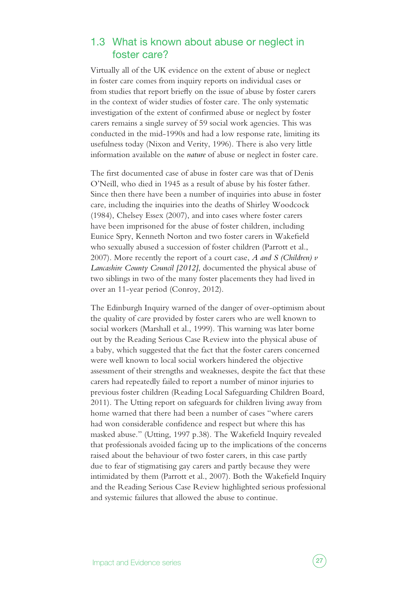### <span id="page-26-0"></span>1.3 What is known about abuse or neglect in foster care?

Virtually all of the UK evidence on the extent of abuse or neglect in foster care comes from inquiry reports on individual cases or from studies that report briefly on the issue of abuse by foster carers in the context of wider studies of foster care. The only systematic investigation of the extent of confirmed abuse or neglect by foster carers remains a single survey of 59 social work agencies. This was conducted in the mid-1990s and had a low response rate, limiting its usefulness today (Nixon and Verity, 1996). There is also very little information available on the *nature* of abuse or neglect in foster care.

The first documented case of abuse in foster care was that of Denis O'Neill, who died in 1945 as a result of abuse by his foster father. Since then there have been a number of inquiries into abuse in foster care, including the inquiries into the deaths of Shirley Woodcock (1984), Chelsey Essex (2007), and into cases where foster carers have been imprisoned for the abuse of foster children, including Eunice Spry, Kenneth Norton and two foster carers in Wakefield who sexually abused a succession of foster children (Parrott et al., 2007). More recently the report of a court case, *A and S (Children) v Lancashire County Council [2012]*, documented the physical abuse of two siblings in two of the many foster placements they had lived in over an 11-year period (Conroy, 2012).

The Edinburgh Inquiry warned of the danger of over-optimism about the quality of care provided by foster carers who are well known to social workers (Marshall et al., 1999). This warning was later borne out by the Reading Serious Case Review into the physical abuse of a baby, which suggested that the fact that the foster carers concerned were well known to local social workers hindered the objective assessment of their strengths and weaknesses, despite the fact that these carers had repeatedly failed to report a number of minor injuries to previous foster children (Reading Local Safeguarding Children Board, 2011). The Utting report on safeguards for children living away from home warned that there had been a number of cases "where carers had won considerable confidence and respect but where this has masked abuse." (Utting, 1997 p.38). The Wakefield Inquiry revealed that professionals avoided facing up to the implications of the concerns raised about the behaviour of two foster carers, in this case partly due to fear of stigmatising gay carers and partly because they were intimidated by them (Parrott et al., 2007). Both the Wakefield Inquiry and the Reading Serious Case Review highlighted serious professional and systemic failures that allowed the abuse to continue.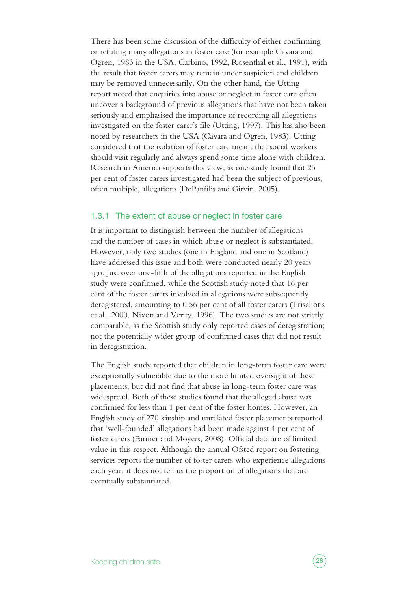<span id="page-27-0"></span>There has been some discussion of the difficulty of either confirming or refuting many allegations in foster care (for example Cavara and Ogren, 1983 in the USA, Carbino, 1992, Rosenthal et al., 1991), with the result that foster carers may remain under suspicion and children may be removed unnecessarily. On the other hand, the Utting report noted that enquiries into abuse or neglect in foster care often uncover a background of previous allegations that have not been taken seriously and emphasised the importance of recording all allegations investigated on the foster carer's file (Utting, 1997). This has also been noted by researchers in the USA (Cavara and Ogren, 1983). Utting considered that the isolation of foster care meant that social workers should visit regularly and always spend some time alone with children. Research in America supports this view, as one study found that 25 per cent of foster carers investigated had been the subject of previous, often multiple, allegations (DePanfilis and Girvin, 2005).

#### 1.3.1 The extent of abuse or neglect in foster care

It is important to distinguish between the number of allegations and the number of cases in which abuse or neglect is substantiated. However, only two studies (one in England and one in Scotland) have addressed this issue and both were conducted nearly 20 years ago. Just over one-fifth of the allegations reported in the English study were confirmed, while the Scottish study noted that 16 per cent of the foster carers involved in allegations were subsequently deregistered, amounting to 0.56 per cent of all foster carers (Triseliotis et al., 2000, Nixon and Verity, 1996). The two studies are not strictly comparable, as the Scottish study only reported cases of deregistration; not the potentially wider group of confirmed cases that did not result in deregistration.

The English study reported that children in long-term foster care were exceptionally vulnerable due to the more limited oversight of these placements, but did not find that abuse in long-term foster care was widespread. Both of these studies found that the alleged abuse was confirmed for less than 1 per cent of the foster homes. However, an English study of 270 kinship and unrelated foster placements reported that 'well-founded' allegations had been made against 4 per cent of foster carers (Farmer and Moyers, 2008). Official data are of limited value in this respect. Although the annual Ofsted report on fostering services reports the number of foster carers who experience allegations each year, it does not tell us the proportion of allegations that are eventually substantiated.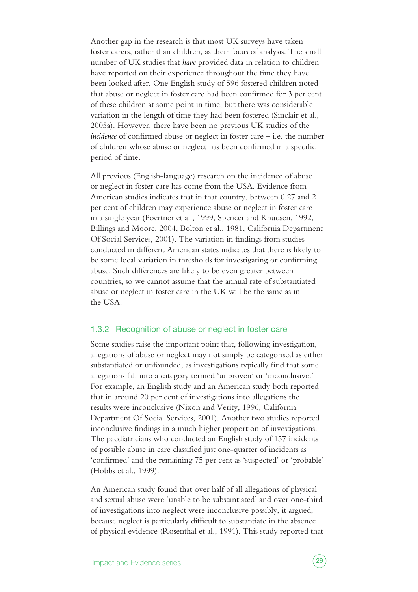<span id="page-28-0"></span>Another gap in the research is that most UK surveys have taken foster carers, rather than children, as their focus of analysis. The small number of UK studies that *have* provided data in relation to children have reported on their experience throughout the time they have been looked after. One English study of 596 fostered children noted that abuse or neglect in foster care had been confirmed for 3 per cent of these children at some point in time, but there was considerable variation in the length of time they had been fostered (Sinclair et al., 2005a). However, there have been no previous UK studies of the *incidence* of confirmed abuse or neglect in foster care – i.e. the number of children whose abuse or neglect has been confirmed in a specific period of time.

All previous (English-language) research on the incidence of abuse or neglect in foster care has come from the USA. Evidence from American studies indicates that in that country, between 0.27 and 2 per cent of children may experience abuse or neglect in foster care in a single year (Poertner et al., 1999, Spencer and Knudsen, 1992, Billings and Moore, 2004, Bolton et al., 1981, California Department Of Social Services, 2001). The variation in findings from studies conducted in different American states indicates that there is likely to be some local variation in thresholds for investigating or confirming abuse. Such differences are likely to be even greater between countries, so we cannot assume that the annual rate of substantiated abuse or neglect in foster care in the UK will be the same as in the USA.

#### 1.3.2 Recognition of abuse or neglect in foster care

Some studies raise the important point that, following investigation, allegations of abuse or neglect may not simply be categorised as either substantiated or unfounded, as investigations typically find that some allegations fall into a category termed 'unproven' or 'inconclusive.' For example, an English study and an American study both reported that in around 20 per cent of investigations into allegations the results were inconclusive (Nixon and Verity, 1996, California Department Of Social Services, 2001). Another two studies reported inconclusive findings in a much higher proportion of investigations. The paediatricians who conducted an English study of 157 incidents of possible abuse in care classified just one-quarter of incidents as 'confirmed' and the remaining 75 per cent as 'suspected' or 'probable' (Hobbs et al., 1999).

An American study found that over half of all allegations of physical and sexual abuse were 'unable to be substantiated' and over one-third of investigations into neglect were inconclusive possibly, it argued, because neglect is particularly difficult to substantiate in the absence of physical evidence (Rosenthal et al., 1991). This study reported that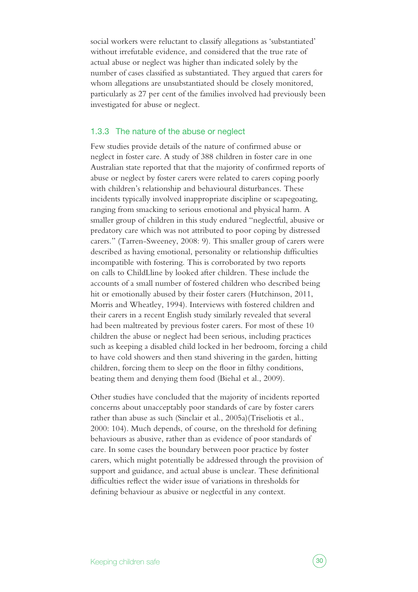<span id="page-29-0"></span>social workers were reluctant to classify allegations as 'substantiated' without irrefutable evidence, and considered that the true rate of actual abuse or neglect was higher than indicated solely by the number of cases classified as substantiated. They argued that carers for whom allegations are unsubstantiated should be closely monitored, particularly as 27 per cent of the families involved had previously been investigated for abuse or neglect.

#### 1.3.3 The nature of the abuse or neglect

Few studies provide details of the nature of confirmed abuse or neglect in foster care. A study of 388 children in foster care in one Australian state reported that that the majority of confirmed reports of abuse or neglect by foster carers were related to carers coping poorly with children's relationship and behavioural disturbances. These incidents typically involved inappropriate discipline or scapegoating, ranging from smacking to serious emotional and physical harm. A smaller group of children in this study endured "neglectful, abusive or predatory care which was not attributed to poor coping by distressed carers." (Tarren-Sweeney, 2008: 9). This smaller group of carers were described as having emotional, personality or relationship difficulties incompatible with fostering. This is corroborated by two reports on calls to ChildLline by looked after children. These include the accounts of a small number of fostered children who described being hit or emotionally abused by their foster carers (Hutchinson, 2011, Morris and Wheatley, 1994). Interviews with fostered children and their carers in a recent English study similarly revealed that several had been maltreated by previous foster carers. For most of these 10 children the abuse or neglect had been serious, including practices such as keeping a disabled child locked in her bedroom, forcing a child to have cold showers and then stand shivering in the garden, hitting children, forcing them to sleep on the floor in filthy conditions, beating them and denying them food (Biehal et al., 2009).

Other studies have concluded that the majority of incidents reported concerns about unacceptably poor standards of care by foster carers rather than abuse as such (Sinclair et al., 2005a)(Triseliotis et al., 2000: 104). Much depends, of course, on the threshold for defining behaviours as abusive, rather than as evidence of poor standards of care. In some cases the boundary between poor practice by foster carers, which might potentially be addressed through the provision of support and guidance, and actual abuse is unclear. These definitional difficulties reflect the wider issue of variations in thresholds for defining behaviour as abusive or neglectful in any context.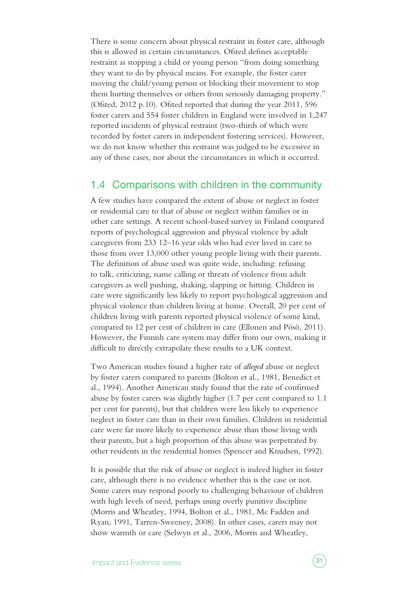<span id="page-30-0"></span>There is some concern about physical restraint in foster care, although this is allowed in certain circumstances. Ofsted defines acceptable restraint as stopping a child or young person "from doing something they want to do by physical means. For example, the foster carer moving the child/young person or blocking their movement to stop them hurting themselves or others from seriously damaging property." (Ofsted, 2012 p.10). Ofsted reported that during the year 2011, 596 foster carers and 554 foster children in England were involved in 1,247 reported incidents of physical restraint (two-thirds of which were recorded by foster carers in independent fostering services). However, we do not know whether this restraint was judged to be excessive in any of these cases, nor about the circumstances in which it occurred.

#### 1.4 Comparisons with children in the community

A few studies have compared the extent of abuse or neglect in foster or residential care to that of abuse or neglect within families or in other care settings. A recent school-based survey in Finland compared reports of psychological aggression and physical violence by adult caregivers from 233 12–16 year olds who had ever lived in care to those from over 13,000 other young people living with their parents. The definition of abuse used was quite wide, including: refusing to talk, criticizing, name calling or threats of violence from adult caregivers as well pushing, shaking, slapping or hitting. Children in care were significantly less likely to report psychological aggression and physical violence than children living at home. Overall, 20 per cent of children living with parents reported physical violence of some kind, compared to 12 per cent of children in care (Ellonen and Pösö, 2011). However, the Finnish care system may differ from our own, making it difficult to directly extrapolate these results to a UK context.

Two American studies found a higher rate of *alleged* abuse or neglect by foster carers compared to parents (Bolton et al., 1981, Benedict et al., 1994). Another American study found that the rate of confirmed abuse by foster carers was slightly higher (1.7 per cent compared to 1.1 per cent for parents), but that children were less likely to experience neglect in foster care than in their own families. Children in residential care were far more likely to experience abuse than those living with their parents, but a high proportion of this abuse was perpetrated by other residents in the residential homes (Spencer and Knudsen, 1992).

It is possible that the risk of abuse or neglect is indeed higher in foster care, although there is no evidence whether this is the case or not. Some carers may respond poorly to challenging behaviour of children with high levels of need, perhaps using overly punitive discipline (Morris and Wheatley, 1994, Bolton et al., 1981, Mc Fadden and Ryan, 1991, Tarren-Sweeney, 2008). In other cases, carers may not show warmth or care (Selwyn et al., 2006, Morris and Wheatley,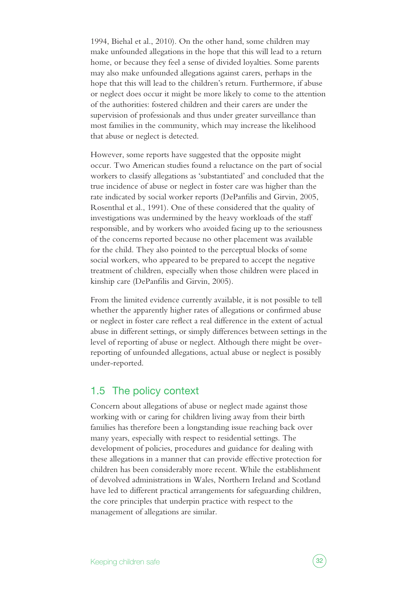<span id="page-31-0"></span>1994, Biehal et al., 2010). On the other hand, some children may make unfounded allegations in the hope that this will lead to a return home, or because they feel a sense of divided loyalties. Some parents may also make unfounded allegations against carers, perhaps in the hope that this will lead to the children's return. Furthermore, if abuse or neglect does occur it might be more likely to come to the attention of the authorities: fostered children and their carers are under the supervision of professionals and thus under greater surveillance than most families in the community, which may increase the likelihood that abuse or neglect is detected.

However, some reports have suggested that the opposite might occur. Two American studies found a reluctance on the part of social workers to classify allegations as 'substantiated' and concluded that the true incidence of abuse or neglect in foster care was higher than the rate indicated by social worker reports (DePanfilis and Girvin, 2005, Rosenthal et al., 1991). One of these considered that the quality of investigations was undermined by the heavy workloads of the staff responsible, and by workers who avoided facing up to the seriousness of the concerns reported because no other placement was available for the child. They also pointed to the perceptual blocks of some social workers, who appeared to be prepared to accept the negative treatment of children, especially when those children were placed in kinship care (DePanfilis and Girvin, 2005).

From the limited evidence currently available, it is not possible to tell whether the apparently higher rates of allegations or confirmed abuse or neglect in foster care reflect a real difference in the extent of actual abuse in different settings, or simply differences between settings in the level of reporting of abuse or neglect. Although there might be overreporting of unfounded allegations, actual abuse or neglect is possibly under-reported.

#### 1.5 The policy context

Concern about allegations of abuse or neglect made against those working with or caring for children living away from their birth families has therefore been a longstanding issue reaching back over many years, especially with respect to residential settings. The development of policies, procedures and guidance for dealing with these allegations in a manner that can provide effective protection for children has been considerably more recent. While the establishment of devolved administrations in Wales, Northern Ireland and Scotland have led to different practical arrangements for safeguarding children, the core principles that underpin practice with respect to the management of allegations are similar.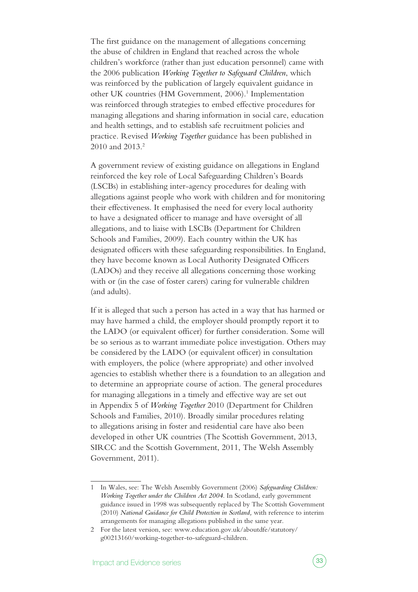The first guidance on the management of allegations concerning the abuse of children in England that reached across the whole children's workforce (rather than just education personnel) came with the 2006 publication *Working Together to Safeguard Children*, which was reinforced by the publication of largely equivalent guidance in other UK countries (HM Government, 2006).<sup>1</sup> Implementation was reinforced through strategies to embed effective procedures for managing allegations and sharing information in social care, education and health settings, and to establish safe recruitment policies and practice. Revised *Working Together* guidance has been published in 2010 and 2013.<sup>2</sup>

A government review of existing guidance on allegations in England reinforced the key role of Local Safeguarding Children's Boards (LSCBs) in establishing inter-agency procedures for dealing with allegations against people who work with children and for monitoring their effectiveness. It emphasised the need for every local authority to have a designated officer to manage and have oversight of all allegations, and to liaise with LSCBs (Department for Children Schools and Families, 2009). Each country within the UK has designated officers with these safeguarding responsibilities. In England, they have become known as Local Authority Designated Officers (LADOs) and they receive all allegations concerning those working with or (in the case of foster carers) caring for vulnerable children (and adults).

If it is alleged that such a person has acted in a way that has harmed or may have harmed a child, the employer should promptly report it to the LADO (or equivalent officer) for further consideration. Some will be so serious as to warrant immediate police investigation. Others may be considered by the LADO (or equivalent officer) in consultation with employers, the police (where appropriate) and other involved agencies to establish whether there is a foundation to an allegation and to determine an appropriate course of action. The general procedures for managing allegations in a timely and effective way are set out in Appendix 5 of *Working Together* 2010 (Department for Children Schools and Families, 2010). Broadly similar procedures relating to allegations arising in foster and residential care have also been developed in other UK countries (The Scottish Government, 2013, SIRCC and the Scottish Government, 2011, The Welsh Assembly Government, 2011).

<sup>1</sup> In Wales, see: The Welsh Assembly Government (2006) *Safeguarding Children: Working Together under the Children Act 2004*. In Scotland, early government guidance issued in 1998 was subsequently replaced by The Scottish Government (2010) *National Guidance for Child Protection in Scotland,* with reference to interim arrangements for managing allegations published in the same year.

<sup>2</sup> For the latest version, see: www.education.gov.uk/aboutdfe/statutory/ g00213160/working-together-to-safeguard-children.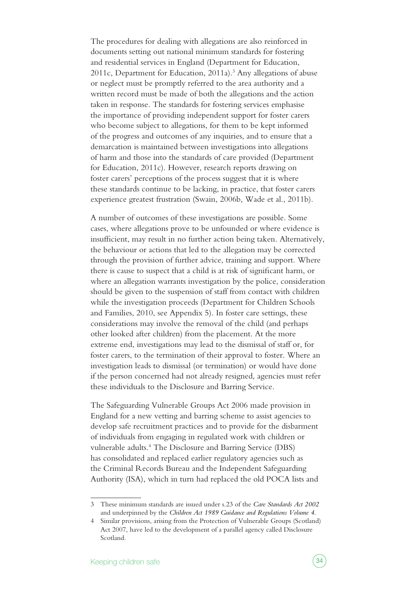The procedures for dealing with allegations are also reinforced in documents setting out national minimum standards for fostering and residential services in England (Department for Education, 2011c, Department for Education, 2011a).3 Any allegations of abuse or neglect must be promptly referred to the area authority and a written record must be made of both the allegations and the action taken in response. The standards for fostering services emphasise the importance of providing independent support for foster carers who become subject to allegations, for them to be kept informed of the progress and outcomes of any inquiries, and to ensure that a demarcation is maintained between investigations into allegations of harm and those into the standards of care provided (Department for Education, 2011c). However, research reports drawing on foster carers' perceptions of the process suggest that it is where these standards continue to be lacking, in practice, that foster carers experience greatest frustration (Swain, 2006b, Wade et al., 2011b).

A number of outcomes of these investigations are possible. Some cases, where allegations prove to be unfounded or where evidence is insufficient, may result in no further action being taken. Alternatively, the behaviour or actions that led to the allegation may be corrected through the provision of further advice, training and support. Where there is cause to suspect that a child is at risk of significant harm, or where an allegation warrants investigation by the police, consideration should be given to the suspension of staff from contact with children while the investigation proceeds (Department for Children Schools and Families, 2010, see Appendix 5). In foster care settings, these considerations may involve the removal of the child (and perhaps other looked after children) from the placement. At the more extreme end, investigations may lead to the dismissal of staff or, for foster carers, to the termination of their approval to foster. Where an investigation leads to dismissal (or termination) or would have done if the person concerned had not already resigned, agencies must refer these individuals to the Disclosure and Barring Service.

The Safeguarding Vulnerable Groups Act 2006 made provision in England for a new vetting and barring scheme to assist agencies to develop safe recruitment practices and to provide for the disbarment of individuals from engaging in regulated work with children or vulnerable adults.<sup>4</sup> The Disclosure and Barring Service (DBS) has consolidated and replaced earlier regulatory agencies such as the Criminal Records Bureau and the Independent Safeguarding Authority (ISA), which in turn had replaced the old POCA lists and

<sup>3</sup> These minimum standards are issued under s.23 of the *Care Standards Act 2002* and underpinned by the *Children Act 1989 Guidance and Regulations Volume 4.*

<sup>4</sup> Similar provisions, arising from the Protection of Vulnerable Groups (Scotland) Act 2007, have led to the development of a parallel agency called Disclosure Scotland.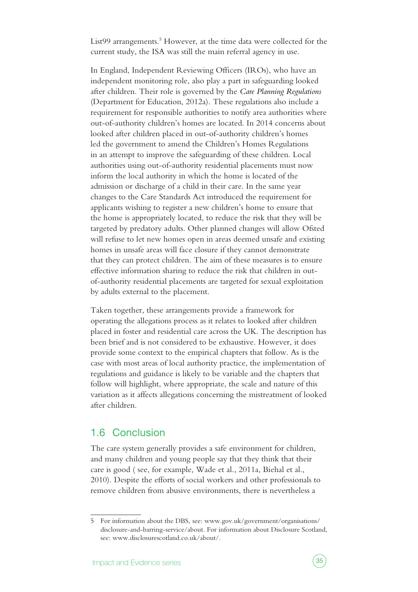<span id="page-34-0"></span>List99 arrangements.<sup>5</sup> However, at the time data were collected for the current study, the ISA was still the main referral agency in use.

In England, Independent Reviewing Officers (IROs), who have an independent monitoring role, also play a part in safeguarding looked after children. Their role is governed by the *Care Planning Regulations* (Department for Education, 2012a)*.* These regulations also include a requirement for responsible authorities to notify area authorities where out-of-authority children's homes are located. In 2014 concerns about looked after children placed in out-of-authority children's homes led the government to amend the Children's Homes Regulations in an attempt to improve the safeguarding of these children. Local authorities using out-of-authority residential placements must now inform the local authority in which the home is located of the admission or discharge of a child in their care. In the same year changes to the Care Standards Act introduced the requirement for applicants wishing to register a new children's home to ensure that the home is appropriately located, to reduce the risk that they will be targeted by predatory adults. Other planned changes will allow Ofsted will refuse to let new homes open in areas deemed unsafe and existing homes in unsafe areas will face closure if they cannot demonstrate that they can protect children. The aim of these measures is to ensure effective information sharing to reduce the risk that children in outof-authority residential placements are targeted for sexual exploitation by adults external to the placement.

Taken together, these arrangements provide a framework for operating the allegations process as it relates to looked after children placed in foster and residential care across the UK. The description has been brief and is not considered to be exhaustive. However, it does provide some context to the empirical chapters that follow. As is the case with most areas of local authority practice, the implementation of regulations and guidance is likely to be variable and the chapters that follow will highlight, where appropriate, the scale and nature of this variation as it affects allegations concerning the mistreatment of looked after children.

#### 1.6 Conclusion

The care system generally provides a safe environment for children, and many children and young people say that they think that their care is good ( see, for example, Wade et al., 2011a, Biehal et al., 2010). Despite the efforts of social workers and other professionals to remove children from abusive environments, there is nevertheless a



<sup>5</sup> For information about the DBS, see: www.gov.uk/government/organisations/ disclosure-and-barring-service/about. For information about Disclosure Scotland, see: www.disclosurescotland.co.uk/about/.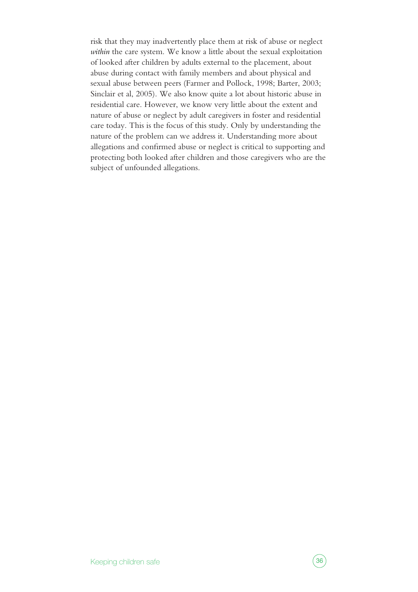risk that they may inadvertently place them at risk of abuse or neglect *within* the care system. We know a little about the sexual exploitation of looked after children by adults external to the placement, about abuse during contact with family members and about physical and sexual abuse between peers (Farmer and Pollock, 1998; Barter, 2003; Sinclair et al, 2005). We also know quite a lot about historic abuse in residential care. However, we know very little about the extent and nature of abuse or neglect by adult caregivers in foster and residential care today. This is the focus of this study. Only by understanding the nature of the problem can we address it. Understanding more about allegations and confirmed abuse or neglect is critical to supporting and protecting both looked after children and those caregivers who are the subject of unfounded allegations.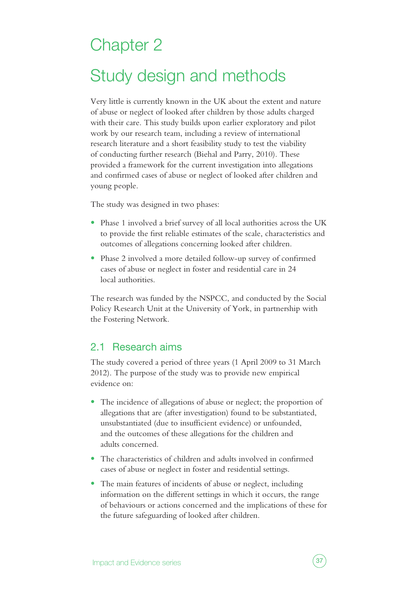# Chapter 2 Study design and methods

Very little is currently known in the UK about the extent and nature of abuse or neglect of looked after children by those adults charged with their care. This study builds upon earlier exploratory and pilot work by our research team, including a review of international research literature and a short feasibility study to test the viability of conducting further research (Biehal and Parry, 2010). These provided a framework for the current investigation into allegations and confirmed cases of abuse or neglect of looked after children and young people.

The study was designed in two phases:

- **•** Phase 1 involved a brief survey of all local authorities across the UK to provide the first reliable estimates of the scale, characteristics and outcomes of allegations concerning looked after children.
- **•** Phase 2 involved a more detailed follow-up survey of confirmed cases of abuse or neglect in foster and residential care in 24 local authorities.

The research was funded by the NSPCC, and conducted by the Social Policy Research Unit at the University of York, in partnership with the Fostering Network.

#### 2.1 Research aims

The study covered a period of three years (1 April 2009 to 31 March 2012). The purpose of the study was to provide new empirical evidence on:

- **•** The incidence of allegations of abuse or neglect; the proportion of allegations that are (after investigation) found to be substantiated, unsubstantiated (due to insufficient evidence) or unfounded, and the outcomes of these allegations for the children and adults concerned.
- **•** The characteristics of children and adults involved in confirmed cases of abuse or neglect in foster and residential settings.
- **•** The main features of incidents of abuse or neglect, including information on the different settings in which it occurs, the range of behaviours or actions concerned and the implications of these for the future safeguarding of looked after children.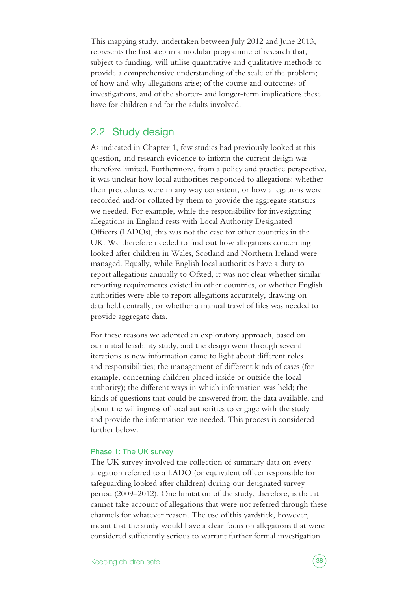This mapping study, undertaken between July 2012 and June 2013, represents the first step in a modular programme of research that, subject to funding, will utilise quantitative and qualitative methods to provide a comprehensive understanding of the scale of the problem; of how and why allegations arise; of the course and outcomes of investigations, and of the shorter- and longer-term implications these have for children and for the adults involved.

#### 2.2 Study design

As indicated in Chapter 1, few studies had previously looked at this question, and research evidence to inform the current design was therefore limited. Furthermore, from a policy and practice perspective, it was unclear how local authorities responded to allegations: whether their procedures were in any way consistent, or how allegations were recorded and/or collated by them to provide the aggregate statistics we needed. For example, while the responsibility for investigating allegations in England rests with Local Authority Designated Officers (LADOs), this was not the case for other countries in the UK. We therefore needed to find out how allegations concerning looked after children in Wales, Scotland and Northern Ireland were managed. Equally, while English local authorities have a duty to report allegations annually to Ofsted, it was not clear whether similar reporting requirements existed in other countries, or whether English authorities were able to report allegations accurately, drawing on data held centrally, or whether a manual trawl of files was needed to provide aggregate data.

For these reasons we adopted an exploratory approach, based on our initial feasibility study, and the design went through several iterations as new information came to light about different roles and responsibilities; the management of different kinds of cases (for example, concerning children placed inside or outside the local authority); the different ways in which information was held; the kinds of questions that could be answered from the data available, and about the willingness of local authorities to engage with the study and provide the information we needed. This process is considered further below.

#### Phase 1: The UK survey

The UK survey involved the collection of summary data on every allegation referred to a LADO (or equivalent officer responsible for safeguarding looked after children) during our designated survey period (2009–2012). One limitation of the study, therefore, is that it cannot take account of allegations that were not referred through these channels for whatever reason. The use of this yardstick, however, meant that the study would have a clear focus on allegations that were considered sufficiently serious to warrant further formal investigation.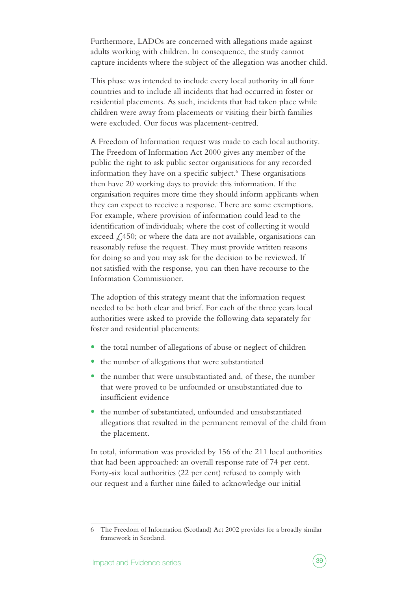Furthermore, LADOs are concerned with allegations made against adults working with children. In consequence, the study cannot capture incidents where the subject of the allegation was another child.

This phase was intended to include every local authority in all four countries and to include all incidents that had occurred in foster or residential placements. As such, incidents that had taken place while children were away from placements or visiting their birth families were excluded. Our focus was placement-centred.

A Freedom of Information request was made to each local authority. The Freedom of Information Act 2000 gives any member of the public the right to ask public sector organisations for any recorded information they have on a specific subject.6 These organisations then have 20 working days to provide this information. If the organisation requires more time they should inform applicants when they can expect to receive a response. There are some exemptions. For example, where provision of information could lead to the identification of individuals; where the cost of collecting it would exceed  $\angle$  450; or where the data are not available, organisations can reasonably refuse the request. They must provide written reasons for doing so and you may ask for the decision to be reviewed. If not satisfied with the response, you can then have recourse to the Information Commissioner.

The adoption of this strategy meant that the information request needed to be both clear and brief. For each of the three years local authorities were asked to provide the following data separately for foster and residential placements:

- the total number of allegations of abuse or neglect of children
- **•** the number of allegations that were substantiated
- the number that were unsubstantiated and, of these, the number that were proved to be unfounded or unsubstantiated due to insufficient evidence
- the number of substantiated, unfounded and unsubstantiated allegations that resulted in the permanent removal of the child from the placement.

In total, information was provided by 156 of the 211 local authorities that had been approached: an overall response rate of 74 per cent. Forty-six local authorities (22 per cent) refused to comply with our request and a further nine failed to acknowledge our initial



<sup>6</sup> The Freedom of Information (Scotland) Act 2002 provides for a broadly similar framework in Scotland.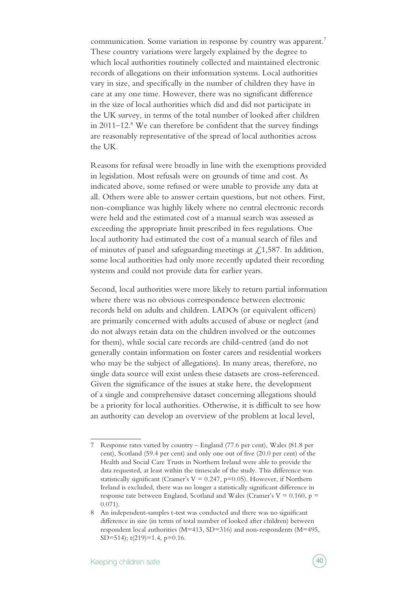communication. Some variation in response by country was apparent.7 These country variations were largely explained by the degree to which local authorities routinely collected and maintained electronic records of allegations on their information systems. Local authorities vary in size, and specifically in the number of children they have in care at any one time. However, there was no significant difference in the size of local authorities which did and did not participate in the UK survey, in terms of the total number of looked after children in 2011–12.<sup>8</sup> We can therefore be confident that the survey findings are reasonably representative of the spread of local authorities across the UK.

Reasons for refusal were broadly in line with the exemptions provided in legislation. Most refusals were on grounds of time and cost. As indicated above, some refused or were unable to provide any data at all. Others were able to answer certain questions, but not others. First, non-compliance was highly likely where no central electronic records were held and the estimated cost of a manual search was assessed as exceeding the appropriate limit prescribed in fees regulations. One local authority had estimated the cost of a manual search of files and of minutes of panel and safeguarding meetings at  $\ell$ , 1,587. In addition, some local authorities had only more recently updated their recording systems and could not provide data for earlier years.

Second, local authorities were more likely to return partial information where there was no obvious correspondence between electronic records held on adults and children. LADOs (or equivalent officers) are primarily concerned with adults accused of abuse or neglect (and do not always retain data on the children involved or the outcomes for them), while social care records are child-centred (and do not generally contain information on foster carers and residential workers who may be the subject of allegations). In many areas, therefore, no single data source will exist unless these datasets are cross-referenced. Given the significance of the issues at stake here, the development of a single and comprehensive dataset concerning allegations should be a priority for local authorities. Otherwise, it is difficult to see how an authority can develop an overview of the problem at local level,

<sup>7</sup> Response rates varied by country – England (77.6 per cent), Wales (81.8 per cent), Scotland (59.4 per cent) and only one out of five (20.0 per cent) of the Health and Social Care Trusts in Northern Ireland were able to provide the data requested, at least within the timescale of the study. This difference was statistically significant (Cramer's  $V = 0.247$ , p=0.05). However, if Northern Ireland is excluded, there was no longer a statistically significant difference in response rate between England, Scotland and Wales (Cramer's  $V = 0.160$ , p = 0.071).

<sup>8</sup> An independent-samples t-test was conducted and there was no significant difference in size (in terms of total number of looked after children) between respondent local authorities (M=413, SD=316) and non-respondents (M=495, SD=514); t(219)=1.4, p=0.16.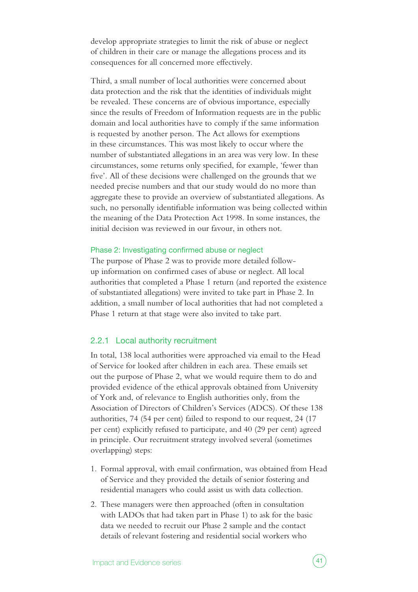develop appropriate strategies to limit the risk of abuse or neglect of children in their care or manage the allegations process and its consequences for all concerned more effectively.

Third, a small number of local authorities were concerned about data protection and the risk that the identities of individuals might be revealed. These concerns are of obvious importance, especially since the results of Freedom of Information requests are in the public domain and local authorities have to comply if the same information is requested by another person. The Act allows for exemptions in these circumstances. This was most likely to occur where the number of substantiated allegations in an area was very low. In these circumstances, some returns only specified, for example, 'fewer than five'. All of these decisions were challenged on the grounds that we needed precise numbers and that our study would do no more than aggregate these to provide an overview of substantiated allegations. As such, no personally identifiable information was being collected within the meaning of the Data Protection Act 1998. In some instances, the initial decision was reviewed in our favour, in others not.

#### Phase 2: Investigating confirmed abuse or neglect

The purpose of Phase 2 was to provide more detailed followup information on confirmed cases of abuse or neglect. All local authorities that completed a Phase 1 return (and reported the existence of substantiated allegations) were invited to take part in Phase 2. In addition, a small number of local authorities that had not completed a Phase 1 return at that stage were also invited to take part.

#### 2.2.1 Local authority recruitment

In total, 138 local authorities were approached via email to the Head of Service for looked after children in each area. These emails set out the purpose of Phase 2, what we would require them to do and provided evidence of the ethical approvals obtained from University of York and, of relevance to English authorities only, from the Association of Directors of Children's Services (ADCS). Of these 138 authorities, 74 (54 per cent) failed to respond to our request, 24 (17 per cent) explicitly refused to participate, and 40 (29 per cent) agreed in principle. Our recruitment strategy involved several (sometimes overlapping) steps:

- 1. Formal approval, with email confirmation, was obtained from Head of Service and they provided the details of senior fostering and residential managers who could assist us with data collection.
- 2. These managers were then approached (often in consultation with LADOs that had taken part in Phase 1) to ask for the basic data we needed to recruit our Phase 2 sample and the contact details of relevant fostering and residential social workers who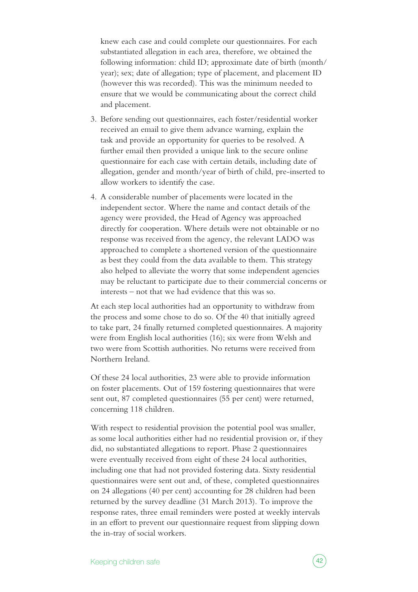knew each case and could complete our questionnaires. For each substantiated allegation in each area, therefore, we obtained the following information: child ID; approximate date of birth (month/ year); sex; date of allegation; type of placement, and placement ID (however this was recorded). This was the minimum needed to ensure that we would be communicating about the correct child and placement.

- 3. Before sending out questionnaires, each foster/residential worker received an email to give them advance warning, explain the task and provide an opportunity for queries to be resolved. A further email then provided a unique link to the secure online questionnaire for each case with certain details, including date of allegation, gender and month/year of birth of child, pre-inserted to allow workers to identify the case.
- 4. A considerable number of placements were located in the independent sector. Where the name and contact details of the agency were provided, the Head of Agency was approached directly for cooperation. Where details were not obtainable or no response was received from the agency, the relevant LADO was approached to complete a shortened version of the questionnaire as best they could from the data available to them. This strategy also helped to alleviate the worry that some independent agencies may be reluctant to participate due to their commercial concerns or interests – not that we had evidence that this was so.

At each step local authorities had an opportunity to withdraw from the process and some chose to do so. Of the 40 that initially agreed to take part, 24 finally returned completed questionnaires. A majority were from English local authorities (16); six were from Welsh and two were from Scottish authorities. No returns were received from Northern Ireland.

Of these 24 local authorities, 23 were able to provide information on foster placements. Out of 159 fostering questionnaires that were sent out, 87 completed questionnaires (55 per cent) were returned, concerning 118 children.

With respect to residential provision the potential pool was smaller, as some local authorities either had no residential provision or, if they did, no substantiated allegations to report. Phase 2 questionnaires were eventually received from eight of these 24 local authorities, including one that had not provided fostering data. Sixty residential questionnaires were sent out and, of these, completed questionnaires on 24 allegations (40 per cent) accounting for 28 children had been returned by the survey deadline (31 March 2013). To improve the response rates, three email reminders were posted at weekly intervals in an effort to prevent our questionnaire request from slipping down the in-tray of social workers.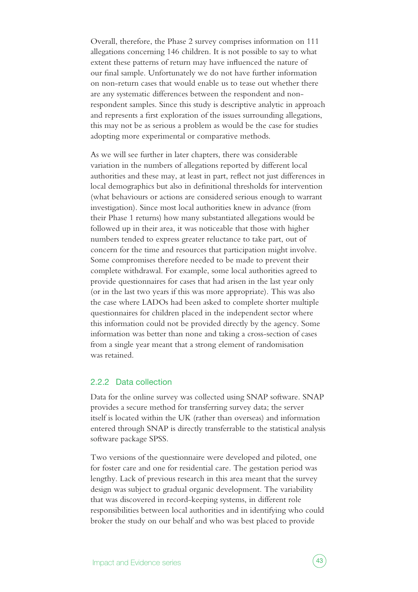Overall, therefore, the Phase 2 survey comprises information on 111 allegations concerning 146 children. It is not possible to say to what extent these patterns of return may have influenced the nature of our final sample. Unfortunately we do not have further information on non-return cases that would enable us to tease out whether there are any systematic differences between the respondent and nonrespondent samples. Since this study is descriptive analytic in approach and represents a first exploration of the issues surrounding allegations, this may not be as serious a problem as would be the case for studies adopting more experimental or comparative methods.

As we will see further in later chapters, there was considerable variation in the numbers of allegations reported by different local authorities and these may, at least in part, reflect not just differences in local demographics but also in definitional thresholds for intervention (what behaviours or actions are considered serious enough to warrant investigation). Since most local authorities knew in advance (from their Phase 1 returns) how many substantiated allegations would be followed up in their area, it was noticeable that those with higher numbers tended to express greater reluctance to take part, out of concern for the time and resources that participation might involve. Some compromises therefore needed to be made to prevent their complete withdrawal. For example, some local authorities agreed to provide questionnaires for cases that had arisen in the last year only (or in the last two years if this was more appropriate). This was also the case where LADOs had been asked to complete shorter multiple questionnaires for children placed in the independent sector where this information could not be provided directly by the agency. Some information was better than none and taking a cross-section of cases from a single year meant that a strong element of randomisation was retained.

#### 2.2.2 Data collection

Data for the online survey was collected using SNAP software. SNAP provides a secure method for transferring survey data; the server itself is located within the UK (rather than overseas) and information entered through SNAP is directly transferrable to the statistical analysis software package SPSS.

Two versions of the questionnaire were developed and piloted, one for foster care and one for residential care. The gestation period was lengthy. Lack of previous research in this area meant that the survey design was subject to gradual organic development. The variability that was discovered in record-keeping systems, in different role responsibilities between local authorities and in identifying who could broker the study on our behalf and who was best placed to provide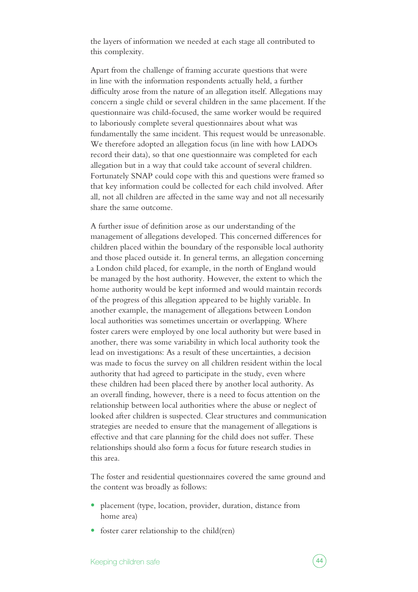the layers of information we needed at each stage all contributed to this complexity.

Apart from the challenge of framing accurate questions that were in line with the information respondents actually held, a further difficulty arose from the nature of an allegation itself. Allegations may concern a single child or several children in the same placement. If the questionnaire was child-focused, the same worker would be required to laboriously complete several questionnaires about what was fundamentally the same incident. This request would be unreasonable. We therefore adopted an allegation focus (in line with how LADOs record their data), so that one questionnaire was completed for each allegation but in a way that could take account of several children. Fortunately SNAP could cope with this and questions were framed so that key information could be collected for each child involved. After all, not all children are affected in the same way and not all necessarily share the same outcome.

A further issue of definition arose as our understanding of the management of allegations developed. This concerned differences for children placed within the boundary of the responsible local authority and those placed outside it. In general terms, an allegation concerning a London child placed, for example, in the north of England would be managed by the host authority. However, the extent to which the home authority would be kept informed and would maintain records of the progress of this allegation appeared to be highly variable. In another example, the management of allegations between London local authorities was sometimes uncertain or overlapping. Where foster carers were employed by one local authority but were based in another, there was some variability in which local authority took the lead on investigations: As a result of these uncertainties, a decision was made to focus the survey on all children resident within the local authority that had agreed to participate in the study, even where these children had been placed there by another local authority. As an overall finding, however, there is a need to focus attention on the relationship between local authorities where the abuse or neglect of looked after children is suspected. Clear structures and communication strategies are needed to ensure that the management of allegations is effective and that care planning for the child does not suffer. These relationships should also form a focus for future research studies in this area.

The foster and residential questionnaires covered the same ground and the content was broadly as follows:

- placement (type, location, provider, duration, distance from home area)
- foster carer relationship to the child(ren)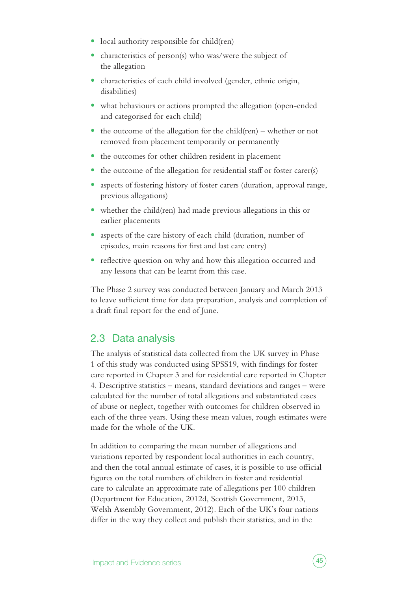- local authority responsible for child(ren)
- characteristics of person(s) who was/were the subject of the allegation
- characteristics of each child involved (gender, ethnic origin, disabilities)
- what behaviours or actions prompted the allegation (open-ended and categorised for each child)
- the outcome of the allegation for the child(ren) whether or not removed from placement temporarily or permanently
- the outcomes for other children resident in placement
- the outcome of the allegation for residential staff or foster carer(s)
- aspects of fostering history of foster carers (duration, approval range, previous allegations)
- whether the child(ren) had made previous allegations in this or earlier placements
- **•** aspects of the care history of each child (duration, number of episodes, main reasons for first and last care entry)
- reflective question on why and how this allegation occurred and any lessons that can be learnt from this case.

The Phase 2 survey was conducted between January and March 2013 to leave sufficient time for data preparation, analysis and completion of a draft final report for the end of June.

#### 2.3 Data analysis

The analysis of statistical data collected from the UK survey in Phase 1 of this study was conducted using SPSS19, with findings for foster care reported in Chapter 3 and for residential care reported in Chapter 4. Descriptive statistics – means, standard deviations and ranges – were calculated for the number of total allegations and substantiated cases of abuse or neglect, together with outcomes for children observed in each of the three years. Using these mean values, rough estimates were made for the whole of the UK.

In addition to comparing the mean number of allegations and variations reported by respondent local authorities in each country, and then the total annual estimate of cases, it is possible to use official figures on the total numbers of children in foster and residential care to calculate an approximate rate of allegations per 100 children (Department for Education, 2012d, Scottish Government, 2013, Welsh Assembly Government, 2012). Each of the UK's four nations differ in the way they collect and publish their statistics, and in the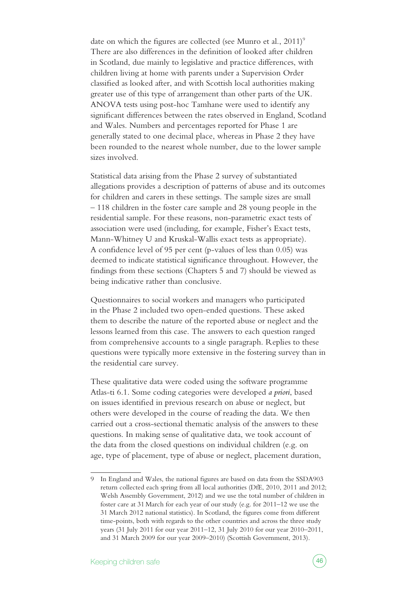date on which the figures are collected (see Munro et al.,  $2011$ )<sup>9</sup> There are also differences in the definition of looked after children in Scotland, due mainly to legislative and practice differences, with children living at home with parents under a Supervision Order classified as looked after, and with Scottish local authorities making greater use of this type of arrangement than other parts of the UK. ANOVA tests using post-hoc Tamhane were used to identify any significant differences between the rates observed in England, Scotland and Wales. Numbers and percentages reported for Phase 1 are generally stated to one decimal place, whereas in Phase 2 they have been rounded to the nearest whole number, due to the lower sample sizes involved.

Statistical data arising from the Phase 2 survey of substantiated allegations provides a description of patterns of abuse and its outcomes for children and carers in these settings. The sample sizes are small – 118 children in the foster care sample and 28 young people in the residential sample. For these reasons, non-parametric exact tests of association were used (including, for example, Fisher's Exact tests, Mann-Whitney U and Kruskal-Wallis exact tests as appropriate). A confidence level of 95 per cent (p-values of less than 0.05) was deemed to indicate statistical significance throughout. However, the findings from these sections (Chapters 5 and 7) should be viewed as being indicative rather than conclusive.

Questionnaires to social workers and managers who participated in the Phase 2 included two open-ended questions. These asked them to describe the nature of the reported abuse or neglect and the lessons learned from this case. The answers to each question ranged from comprehensive accounts to a single paragraph. Replies to these questions were typically more extensive in the fostering survey than in the residential care survey.

These qualitative data were coded using the software programme Atlas-ti 6.1. Some coding categories were developed *a priori*, based on issues identified in previous research on abuse or neglect, but others were developed in the course of reading the data. We then carried out a cross-sectional thematic analysis of the answers to these questions. In making sense of qualitative data, we took account of the data from the closed questions on individual children (e.g. on age, type of placement, type of abuse or neglect, placement duration,

<sup>9</sup> In England and Wales, the national figures are based on data from the SSDA903 return collected each spring from all local authorities (DfE, 2010, 2011 and 2012; Welsh Assembly Government, 2012) and we use the total number of children in foster care at 31 March for each year of our study (e.g. for 2011–12 we use the 31 March 2012 national statistics). In Scotland, the figures come from different time-points, both with regards to the other countries and across the three study years (31 July 2011 for our year 2011–12, 31 July 2010 for our year 2010–2011, and 31 March 2009 for our year 2009–2010) (Scottish Government, 2013).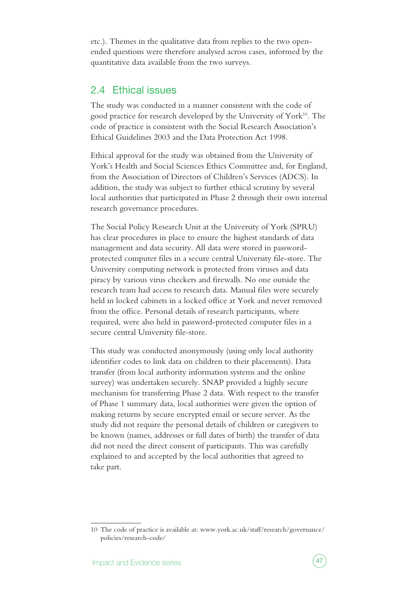etc.). Themes in the qualitative data from replies to the two openended questions were therefore analysed across cases, informed by the quantitative data available from the two surveys.

#### 2.4 Ethical issues

The study was conducted in a manner consistent with the code of good practice for research developed by the University of  $\text{York}^{10}$ . The code of practice is consistent with the Social Research Association's Ethical Guidelines 2003 and the Data Protection Act 1998.

Ethical approval for the study was obtained from the University of York's Health and Social Sciences Ethics Committee and, for England, from the Association of Directors of Children's Services (ADCS). In addition, the study was subject to further ethical scrutiny by several local authorities that participated in Phase 2 through their own internal research governance procedures.

The Social Policy Research Unit at the University of York (SPRU) has clear procedures in place to ensure the highest standards of data management and data security. All data were stored in passwordprotected computer files in a secure central University file-store. The University computing network is protected from viruses and data piracy by various virus checkers and firewalls. No one outside the research team had access to research data. Manual files were securely held in locked cabinets in a locked office at York and never removed from the office. Personal details of research participants, where required, were also held in password-protected computer files in a secure central University file-store.

This study was conducted anonymously (using only local authority identifier codes to link data on children to their placements). Data transfer (from local authority information systems and the online survey) was undertaken securely. SNAP provided a highly secure mechanism for transferring Phase 2 data. With respect to the transfer of Phase 1 summary data, local authorities were given the option of making returns by secure encrypted email or secure server. As the study did not require the personal details of children or caregivers to be known (names, addresses or full dates of birth) the transfer of data did not need the direct consent of participants. This was carefully explained to and accepted by the local authorities that agreed to take part.



<sup>10</sup> The code of practice is available at: www.york.ac.uk/staff/research/governance/ policies/research-code/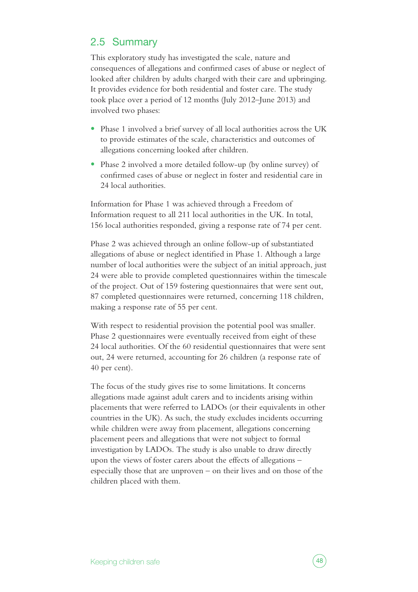#### 2.5 Summary

This exploratory study has investigated the scale, nature and consequences of allegations and confirmed cases of abuse or neglect of looked after children by adults charged with their care and upbringing. It provides evidence for both residential and foster care. The study took place over a period of 12 months (July 2012–June 2013) and involved two phases:

- **•** Phase 1 involved a brief survey of all local authorities across the UK to provide estimates of the scale, characteristics and outcomes of allegations concerning looked after children.
- Phase 2 involved a more detailed follow-up (by online survey) of confirmed cases of abuse or neglect in foster and residential care in 24 local authorities.

Information for Phase 1 was achieved through a Freedom of Information request to all 211 local authorities in the UK. In total, 156 local authorities responded, giving a response rate of 74 per cent.

Phase 2 was achieved through an online follow-up of substantiated allegations of abuse or neglect identified in Phase 1. Although a large number of local authorities were the subject of an initial approach, just 24 were able to provide completed questionnaires within the timescale of the project. Out of 159 fostering questionnaires that were sent out, 87 completed questionnaires were returned, concerning 118 children, making a response rate of 55 per cent.

With respect to residential provision the potential pool was smaller. Phase 2 questionnaires were eventually received from eight of these 24 local authorities. Of the 60 residential questionnaires that were sent out, 24 were returned, accounting for 26 children (a response rate of 40 per cent).

The focus of the study gives rise to some limitations. It concerns allegations made against adult carers and to incidents arising within placements that were referred to LADOs (or their equivalents in other countries in the UK). As such, the study excludes incidents occurring while children were away from placement, allegations concerning placement peers and allegations that were not subject to formal investigation by LADOs. The study is also unable to draw directly upon the views of foster carers about the effects of allegations – especially those that are unproven – on their lives and on those of the children placed with them.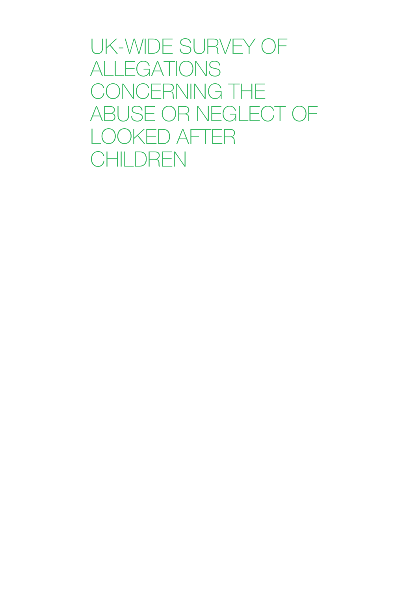UK-wide survey of **ALLEGATIONS** concerning the abuse or neglect of looked after **CHILDREN**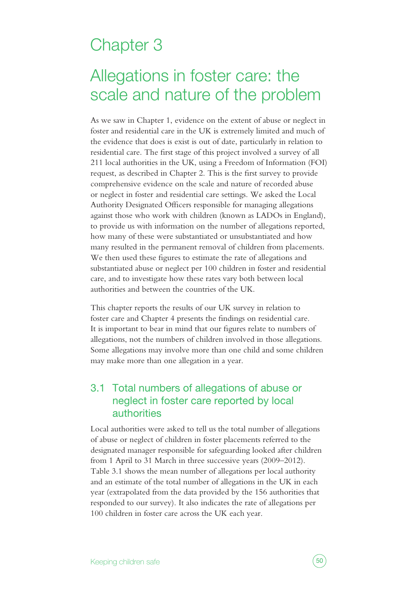# Chapter 3

# Allegations in foster care: the scale and nature of the problem

As we saw in Chapter 1, evidence on the extent of abuse or neglect in foster and residential care in the UK is extremely limited and much of the evidence that does is exist is out of date, particularly in relation to residential care. The first stage of this project involved a survey of all 211 local authorities in the UK, using a Freedom of Information (FOI) request, as described in Chapter 2. This is the first survey to provide comprehensive evidence on the scale and nature of recorded abuse or neglect in foster and residential care settings. We asked the Local Authority Designated Officers responsible for managing allegations against those who work with children (known as LADOs in England), to provide us with information on the number of allegations reported, how many of these were substantiated or unsubstantiated and how many resulted in the permanent removal of children from placements. We then used these figures to estimate the rate of allegations and substantiated abuse or neglect per 100 children in foster and residential care, and to investigate how these rates vary both between local authorities and between the countries of the UK.

This chapter reports the results of our UK survey in relation to foster care and Chapter 4 presents the findings on residential care. It is important to bear in mind that our figures relate to numbers of allegations, not the numbers of children involved in those allegations. Some allegations may involve more than one child and some children may make more than one allegation in a year.

### 3.1 Total numbers of allegations of abuse or neglect in foster care reported by local authorities

Local authorities were asked to tell us the total number of allegations of abuse or neglect of children in foster placements referred to the designated manager responsible for safeguarding looked after children from 1 April to 31 March in three successive years (2009–2012). Table 3.1 shows the mean number of allegations per local authority and an estimate of the total number of allegations in the UK in each year (extrapolated from the data provided by the 156 authorities that responded to our survey). It also indicates the rate of allegations per 100 children in foster care across the UK each year.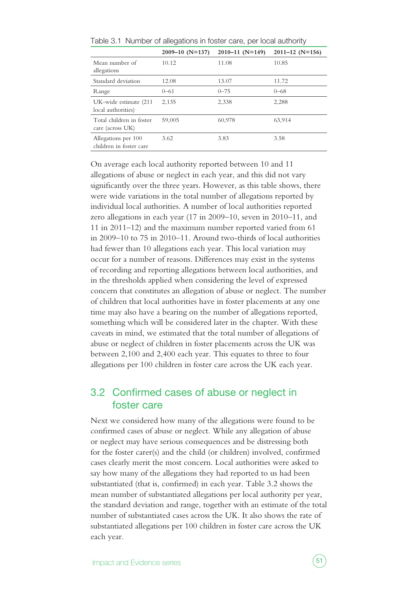|                                                | $2009 - 10$ (N=137) | $2010 - 11$ (N=149) | $2011 - 12$ (N=156) |
|------------------------------------------------|---------------------|---------------------|---------------------|
| Mean number of<br>allegations                  | 10.12               | 11.08               | 10.85               |
| Standard deviation                             | 12.08               | 13.07               | 11.72               |
| Range                                          | $0 - 61$            | $0 - 75$            | $0 - 68$            |
| UK-wide estimate (211)<br>local authorities)   | 2,135               | 2,338               | 2,288               |
| Total children in foster<br>care (across UK)   | 59,005              | 60,978              | 63,914              |
| Allegations per 100<br>children in foster care | 3.62                | 3.83                | 3.58                |
|                                                |                     |                     |                     |

Table 3.1 Number of allegations in foster care, per local authority

On average each local authority reported between 10 and 11 allegations of abuse or neglect in each year, and this did not vary significantly over the three years. However, as this table shows, there were wide variations in the total number of allegations reported by individual local authorities. A number of local authorities reported zero allegations in each year (17 in 2009–10, seven in 2010–11, and 11 in 2011–12) and the maximum number reported varied from 61 in 2009–10 to 75 in 2010–11. Around two-thirds of local authorities had fewer than 10 allegations each year. This local variation may occur for a number of reasons. Differences may exist in the systems of recording and reporting allegations between local authorities, and in the thresholds applied when considering the level of expressed concern that constitutes an allegation of abuse or neglect. The number of children that local authorities have in foster placements at any one time may also have a bearing on the number of allegations reported, something which will be considered later in the chapter. With these caveats in mind, we estimated that the total number of allegations of abuse or neglect of children in foster placements across the UK was between 2,100 and 2,400 each year. This equates to three to four allegations per 100 children in foster care across the UK each year.

### 3.2 Confirmed cases of abuse or neglect in foster care

Next we considered how many of the allegations were found to be confirmed cases of abuse or neglect. While any allegation of abuse or neglect may have serious consequences and be distressing both for the foster carer(s) and the child (or children) involved, confirmed cases clearly merit the most concern. Local authorities were asked to say how many of the allegations they had reported to us had been substantiated (that is, confirmed) in each year. Table 3.2 shows the mean number of substantiated allegations per local authority per year, the standard deviation and range, together with an estimate of the total number of substantiated cases across the UK. It also shows the rate of substantiated allegations per 100 children in foster care across the UK each year.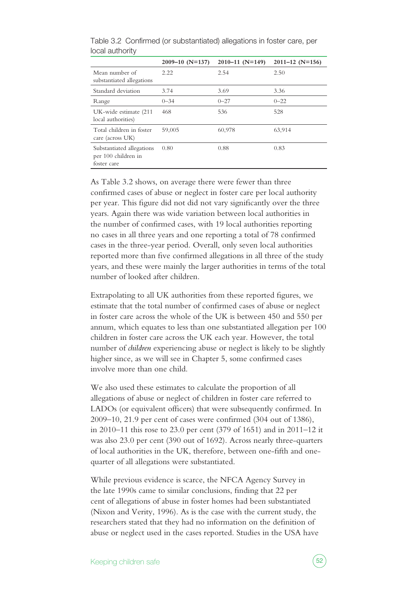|                                                                 | $2009 - 10$ (N=137) | $2010 - 11$ (N=149) | $2011 - 12$ (N=156) |
|-----------------------------------------------------------------|---------------------|---------------------|---------------------|
| Mean number of<br>substantiated allegations                     | 2.22                | 2.54                | 2.50                |
| Standard deviation                                              | 3.74                | 3.69                | 3.36                |
| Range                                                           | $0 - 34$            | $0 - 27$            | $0 - 22$            |
| UK-wide estimate (211)<br>local authorities)                    | 468                 | 536                 | 528                 |
| Total children in foster<br>care (across UK)                    | 59,005              | 60,978              | 63,914              |
| Substantiated allegations<br>per 100 children in<br>foster care | 0.80                | 0.88                | 0.83                |

Table 3.2 Confirmed (or substantiated) allegations in foster care, per local authority

As Table 3.2 shows, on average there were fewer than three confirmed cases of abuse or neglect in foster care per local authority per year. This figure did not did not vary significantly over the three years. Again there was wide variation between local authorities in the number of confirmed cases, with 19 local authorities reporting no cases in all three years and one reporting a total of 78 confirmed cases in the three-year period. Overall, only seven local authorities reported more than five confirmed allegations in all three of the study years, and these were mainly the larger authorities in terms of the total number of looked after children.

Extrapolating to all UK authorities from these reported figures, we estimate that the total number of confirmed cases of abuse or neglect in foster care across the whole of the UK is between 450 and 550 per annum, which equates to less than one substantiated allegation per 100 children in foster care across the UK each year. However, the total number of *children* experiencing abuse or neglect is likely to be slightly higher since, as we will see in Chapter 5, some confirmed cases involve more than one child.

We also used these estimates to calculate the proportion of all allegations of abuse or neglect of children in foster care referred to LADOs (or equivalent officers) that were subsequently confirmed. In 2009–10, 21.9 per cent of cases were confirmed (304 out of 1386), in 2010–11 this rose to 23.0 per cent (379 of 1651) and in 2011–12 it was also 23.0 per cent (390 out of 1692). Across nearly three-quarters of local authorities in the UK, therefore, between one-fifth and onequarter of all allegations were substantiated.

While previous evidence is scarce, the NFCA Agency Survey in the late 1990s came to similar conclusions, finding that 22 per cent of allegations of abuse in foster homes had been substantiated (Nixon and Verity, 1996). As is the case with the current study, the researchers stated that they had no information on the definition of abuse or neglect used in the cases reported. Studies in the USA have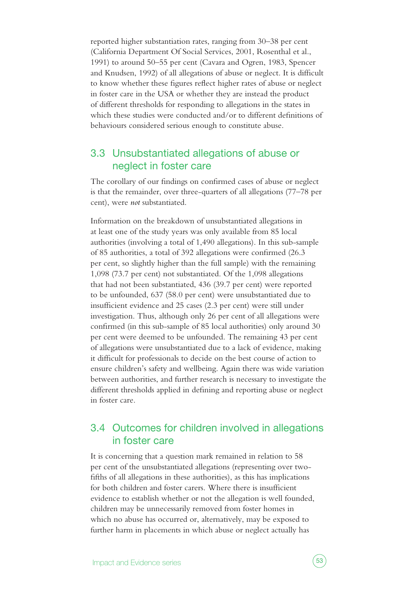reported higher substantiation rates, ranging from 30–38 per cent (California Department Of Social Services, 2001, Rosenthal et al., 1991) to around 50–55 per cent (Cavara and Ogren, 1983, Spencer and Knudsen, 1992) of all allegations of abuse or neglect. It is difficult to know whether these figures reflect higher rates of abuse or neglect in foster care in the USA or whether they are instead the product of different thresholds for responding to allegations in the states in which these studies were conducted and/or to different definitions of behaviours considered serious enough to constitute abuse.

#### 3.3 Unsubstantiated allegations of abuse or neglect in foster care

The corollary of our findings on confirmed cases of abuse or neglect is that the remainder, over three-quarters of all allegations (77–78 per cent), were *not* substantiated.

Information on the breakdown of unsubstantiated allegations in at least one of the study years was only available from 85 local authorities (involving a total of 1,490 allegations). In this sub-sample of 85 authorities, a total of 392 allegations were confirmed (26.3 per cent, so slightly higher than the full sample) with the remaining 1,098 (73.7 per cent) not substantiated. Of the 1,098 allegations that had not been substantiated, 436 (39.7 per cent) were reported to be unfounded, 637 (58.0 per cent) were unsubstantiated due to insufficient evidence and 25 cases (2.3 per cent) were still under investigation. Thus, although only 26 per cent of all allegations were confirmed (in this sub-sample of 85 local authorities) only around 30 per cent were deemed to be unfounded. The remaining 43 per cent of allegations were unsubstantiated due to a lack of evidence, making it difficult for professionals to decide on the best course of action to ensure children's safety and wellbeing. Again there was wide variation between authorities, and further research is necessary to investigate the different thresholds applied in defining and reporting abuse or neglect in foster care.

### 3.4 Outcomes for children involved in allegations in foster care

It is concerning that a question mark remained in relation to 58 per cent of the unsubstantiated allegations (representing over twofifths of all allegations in these authorities), as this has implications for both children and foster carers. Where there is insufficient evidence to establish whether or not the allegation is well founded, children may be unnecessarily removed from foster homes in which no abuse has occurred or, alternatively, may be exposed to further harm in placements in which abuse or neglect actually has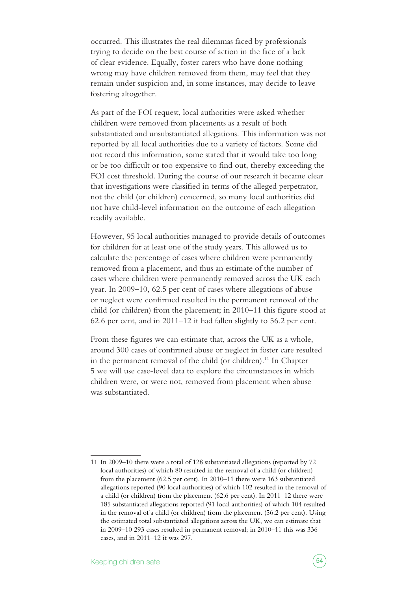occurred. This illustrates the real dilemmas faced by professionals trying to decide on the best course of action in the face of a lack of clear evidence. Equally, foster carers who have done nothing wrong may have children removed from them, may feel that they remain under suspicion and, in some instances, may decide to leave fostering altogether.

As part of the FOI request, local authorities were asked whether children were removed from placements as a result of both substantiated and unsubstantiated allegations. This information was not reported by all local authorities due to a variety of factors. Some did not record this information, some stated that it would take too long or be too difficult or too expensive to find out, thereby exceeding the FOI cost threshold. During the course of our research it became clear that investigations were classified in terms of the alleged perpetrator, not the child (or children) concerned, so many local authorities did not have child-level information on the outcome of each allegation readily available.

However, 95 local authorities managed to provide details of outcomes for children for at least one of the study years. This allowed us to calculate the percentage of cases where children were permanently removed from a placement, and thus an estimate of the number of cases where children were permanently removed across the UK each year. In 2009–10, 62.5 per cent of cases where allegations of abuse or neglect were confirmed resulted in the permanent removal of the child (or children) from the placement; in 2010–11 this figure stood at 62.6 per cent, and in 2011–12 it had fallen slightly to 56.2 per cent.

From these figures we can estimate that, across the UK as a whole, around 300 cases of confirmed abuse or neglect in foster care resulted in the permanent removal of the child (or children).<sup>11</sup> In Chapter 5 we will use case-level data to explore the circumstances in which children were, or were not, removed from placement when abuse was substantiated.

<sup>11</sup> In 2009–10 there were a total of 128 substantiated allegations (reported by 72 local authorities) of which 80 resulted in the removal of a child (or children) from the placement (62.5 per cent). In 2010–11 there were 163 substantiated allegations reported (90 local authorities) of which 102 resulted in the removal of a child (or children) from the placement (62.6 per cent). In 2011–12 there were 185 substantiated allegations reported (91 local authorities) of which 104 resulted in the removal of a child (or children) from the placement (56.2 per cent). Using the estimated total substantiated allegations across the UK, we can estimate that in 2009–10 293 cases resulted in permanent removal; in 2010–11 this was 336 cases, and in 2011–12 it was 297.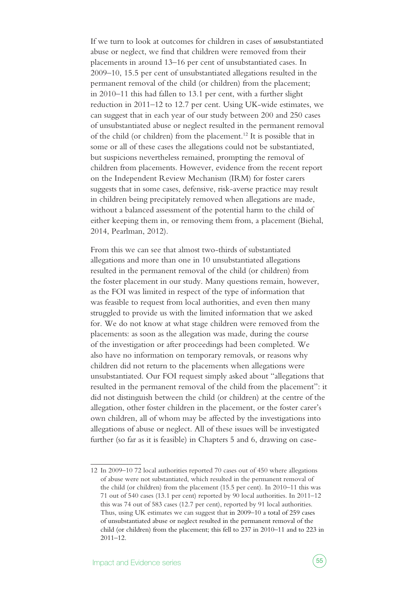If we turn to look at outcomes for children in cases of *un*substantiated abuse or neglect, we find that children were removed from their placements in around 13–16 per cent of unsubstantiated cases. In 2009–10, 15.5 per cent of unsubstantiated allegations resulted in the permanent removal of the child (or children) from the placement; in 2010–11 this had fallen to 13.1 per cent, with a further slight reduction in 2011–12 to 12.7 per cent. Using UK-wide estimates, we can suggest that in each year of our study between 200 and 250 cases of unsubstantiated abuse or neglect resulted in the permanent removal of the child (or children) from the placement.<sup>12</sup> It is possible that in some or all of these cases the allegations could not be substantiated, but suspicions nevertheless remained, prompting the removal of children from placements. However, evidence from the recent report on the Independent Review Mechanism (IRM) for foster carers suggests that in some cases, defensive, risk-averse practice may result in children being precipitately removed when allegations are made, without a balanced assessment of the potential harm to the child of either keeping them in, or removing them from, a placement (Biehal, 2014, Pearlman, 2012).

From this we can see that almost two-thirds of substantiated allegations and more than one in 10 unsubstantiated allegations resulted in the permanent removal of the child (or children) from the foster placement in our study. Many questions remain, however, as the FOI was limited in respect of the type of information that was feasible to request from local authorities, and even then many struggled to provide us with the limited information that we asked for. We do not know at what stage children were removed from the placements: as soon as the allegation was made, during the course of the investigation or after proceedings had been completed. We also have no information on temporary removals, or reasons why children did not return to the placements when allegations were unsubstantiated. Our FOI request simply asked about "allegations that resulted in the permanent removal of the child from the placement": it did not distinguish between the child (or children) at the centre of the allegation, other foster children in the placement, or the foster carer's own children, all of whom may be affected by the investigations into allegations of abuse or neglect. All of these issues will be investigated further (so far as it is feasible) in Chapters 5 and 6, drawing on case-

<sup>12</sup> In 2009–10 72 local authorities reported 70 cases out of 450 where allegations of abuse were not substantiated, which resulted in the permanent removal of the child (or children) from the placement (15.5 per cent). In 2010–11 this was 71 out of 540 cases (13.1 per cent) reported by 90 local authorities. In 2011–12 this was 74 out of 583 cases (12.7 per cent), reported by 91 local authorities. Thus, using UK estimates we can suggest that in 2009–10 a total of 259 cases of unsubstantiated abuse or neglect resulted in the permanent removal of the child (or children) from the placement; this fell to 237 in 2010–11 and to 223 in 2011–12.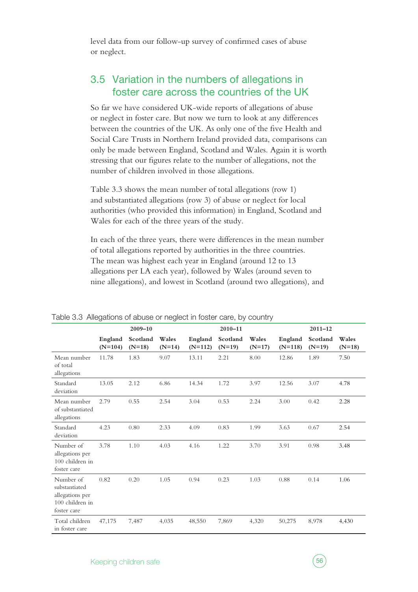level data from our follow-up survey of confirmed cases of abuse or neglect.

#### 3.5 Variation in the numbers of allegations in foster care across the countries of the UK

So far we have considered UK-wide reports of allegations of abuse or neglect in foster care. But now we turn to look at any differences between the countries of the UK. As only one of the five Health and Social Care Trusts in Northern Ireland provided data, comparisons can only be made between England, Scotland and Wales. Again it is worth stressing that our figures relate to the number of allegations, not the number of children involved in those allegations.

Table 3.3 shows the mean number of total allegations (row 1) and substantiated allegations (row 3) of abuse or neglect for local authorities (who provided this information) in England, Scotland and Wales for each of the three years of the study.

In each of the three years, there were differences in the mean number of total allegations reported by authorities in the three countries. The mean was highest each year in England (around 12 to 13 allegations per LA each year), followed by Wales (around seven to nine allegations), and lowest in Scotland (around two allegations), and

|                                                                                 | ັ                    |                      | ັ                 |                      |                      |                   |                      |                      |                   |
|---------------------------------------------------------------------------------|----------------------|----------------------|-------------------|----------------------|----------------------|-------------------|----------------------|----------------------|-------------------|
|                                                                                 |                      | $2009 - 10$          | $2010 - 11$       |                      |                      | $2011 - 12$       |                      |                      |                   |
|                                                                                 | England<br>$(N=104)$ | Scotland<br>$(N=18)$ | Wales<br>$(N=14)$ | England<br>$(N=112)$ | Scotland<br>$(N=19)$ | Wales<br>$(N=17)$ | England<br>$(N=118)$ | Scotland<br>$(N=19)$ | Wales<br>$(N=18)$ |
| Mean number<br>of total<br>allegations                                          | 11.78                | 1.83                 | 9.07              | 13.11                | 2.21                 | 8.00              | 12.86                | 1.89                 | 7.50              |
| Standard<br>deviation                                                           | 13.05                | 2.12                 | 6.86              | 14.34                | 1.72                 | 3.97              | 12.56                | 3.07                 | 4.78              |
| Mean number<br>of substantiated<br>allegations                                  | 2.79                 | 0.55                 | 2.54              | 3.04                 | 0.53                 | 2.24              | 3.00                 | 0.42                 | 2.28              |
| Standard<br>deviation                                                           | 4.23                 | 0.80                 | 2.33              | 4.09                 | 0.83                 | 1.99              | 3.63                 | 0.67                 | 2.54              |
| Number of<br>allegations per<br>100 children in<br>foster care                  | 3.78                 | 1.10                 | 4.03              | 4.16                 | 1.22                 | 3.70              | 3.91                 | 0.98                 | 3.48              |
| Number of<br>substantiated<br>allegations per<br>100 children in<br>foster care | 0.82                 | 0.20                 | 1.05              | 0.94                 | 0.23                 | 1.03              | 0.88                 | 0.14                 | 1.06              |
| Total children<br>in foster care                                                | 47,175               | 7,487                | 4,035             | 48,550               | 7,869                | 4,320             | 50,275               | 8,978                | 4,430             |

#### Table 3.3 Allegations of abuse or neglect in foster care, by country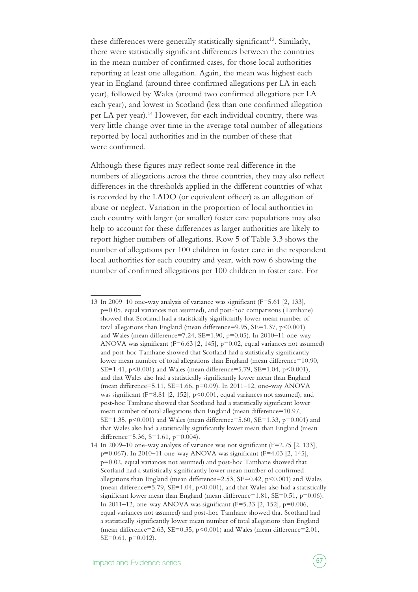these differences were generally statistically significant<sup>13</sup>. Similarly, there were statistically significant differences between the countries in the mean number of confirmed cases, for those local authorities reporting at least one allegation. Again, the mean was highest each year in England (around three confirmed allegations per LA in each year), followed by Wales (around two confirmed allegations per LA each year), and lowest in Scotland (less than one confirmed allegation per LA per year).14 However, for each individual country, there was very little change over time in the average total number of allegations reported by local authorities and in the number of these that were confirmed.

Although these figures may reflect some real difference in the numbers of allegations across the three countries, they may also reflect differences in the thresholds applied in the different countries of what is recorded by the LADO (or equivalent officer) as an allegation of abuse or neglect. Variation in the proportion of local authorities in each country with larger (or smaller) foster care populations may also help to account for these differences as larger authorities are likely to report higher numbers of allegations. Row 5 of Table 3.3 shows the number of allegations per 100 children in foster care in the respondent local authorities for each country and year, with row 6 showing the number of confirmed allegations per 100 children in foster care. For

<sup>13</sup> In 2009–10 one-way analysis of variance was significant (F=5.61 [2, 133], p=0.05, equal variances not assumed), and post-hoc comparisons (Tamhane) showed that Scotland had a statistically significantly lower mean number of total allegations than England (mean difference=9.95, SE=1.37, p<0.001) and Wales (mean difference=7.24, SE=1.90, p=0.05). In 2010–11 one-way ANOVA was significant (F=6.63 [2, 145], p=0.02, equal variances not assumed) and post-hoc Tamhane showed that Scotland had a statistically significantly lower mean number of total allegations than England (mean difference=10.90, SE=1.41, p<0.001) and Wales (mean difference=5.79, SE=1.04, p<0.001), and that Wales also had a statistically significantly lower mean than England (mean difference=5.11, SE=1.66, p=0.09). In 2011–12, one-way ANOVA was significant (F=8.81 [2, 152], p<0.001, equal variances not assumed), and post-hoc Tamhane showed that Scotland had a statistically significant lower mean number of total allegations than England (mean difference=10.97, SE=1.35,  $p < 0.001$ ) and Wales (mean difference=5.60, SE=1.33,  $p=0.001$ ) and that Wales also had a statistically significantly lower mean than England (mean difference=5.36, S=1.61, p=0.004).

<sup>14</sup> In 2009–10 one-way analysis of variance was not significant (F=2.75 [2, 133], p=0.067). In 2010–11 one-way ANOVA was significant (F=4.03 [2, 145], p=0.02, equal variances not assumed) and post-hoc Tamhane showed that Scotland had a statistically significantly lower mean number of confirmed allegations than England (mean difference=2.53,  $SE=0.42$ ,  $p<0.001$ ) and Wales (mean difference=5.79, SE=1.04, p<0.001), and that Wales also had a statistically significant lower mean than England (mean difference=1.81, SE=0.51, p=0.06). In 2011–12, one-way ANOVA was significant (F=5.33 [2, 152], p=0.006, equal variances not assumed) and post-hoc Tamhane showed that Scotland had a statistically significantly lower mean number of total allegations than England (mean difference=2.63, SE=0.35, p<0.001) and Wales (mean difference=2.01, SE=0.61, p=0.012).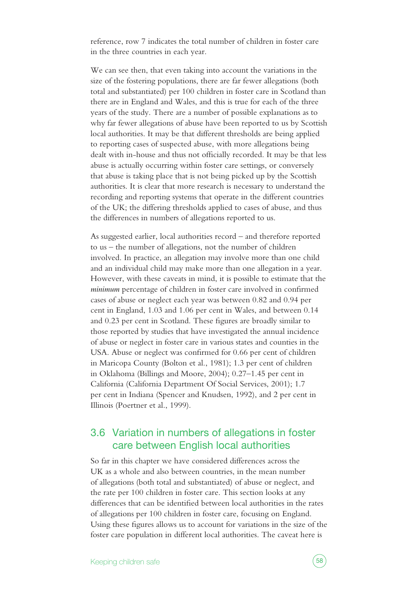reference, row 7 indicates the total number of children in foster care in the three countries in each year.

We can see then, that even taking into account the variations in the size of the fostering populations, there are far fewer allegations (both total and substantiated) per 100 children in foster care in Scotland than there are in England and Wales, and this is true for each of the three years of the study. There are a number of possible explanations as to why far fewer allegations of abuse have been reported to us by Scottish local authorities. It may be that different thresholds are being applied to reporting cases of suspected abuse, with more allegations being dealt with in-house and thus not officially recorded. It may be that less abuse is actually occurring within foster care settings, or conversely that abuse is taking place that is not being picked up by the Scottish authorities. It is clear that more research is necessary to understand the recording and reporting systems that operate in the different countries of the UK; the differing thresholds applied to cases of abuse, and thus the differences in numbers of allegations reported to us.

As suggested earlier, local authorities record – and therefore reported to us – the number of allegations, not the number of children involved. In practice, an allegation may involve more than one child and an individual child may make more than one allegation in a year. However, with these caveats in mind, it is possible to estimate that the *minimum* percentage of children in foster care involved in confirmed cases of abuse or neglect each year was between 0.82 and 0.94 per cent in England, 1.03 and 1.06 per cent in Wales, and between 0.14 and 0.23 per cent in Scotland. These figures are broadly similar to those reported by studies that have investigated the annual incidence of abuse or neglect in foster care in various states and counties in the USA. Abuse or neglect was confirmed for 0.66 per cent of children in Maricopa County (Bolton et al., 1981); 1.3 per cent of children in Oklahoma (Billings and Moore, 2004); 0.27–1.45 per cent in California (California Department Of Social Services, 2001); 1.7 per cent in Indiana (Spencer and Knudsen, 1992), and 2 per cent in Illinois (Poertner et al., 1999).

#### 3.6 Variation in numbers of allegations in foster care between English local authorities

So far in this chapter we have considered differences across the UK as a whole and also between countries, in the mean number of allegations (both total and substantiated) of abuse or neglect, and the rate per 100 children in foster care. This section looks at any differences that can be identified between local authorities in the rates of allegations per 100 children in foster care, focusing on England. Using these figures allows us to account for variations in the size of the foster care population in different local authorities. The caveat here is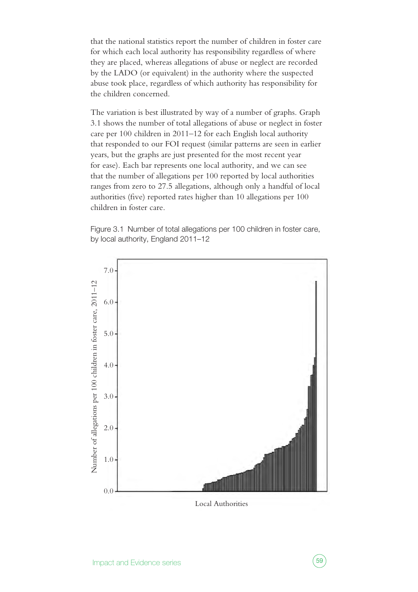that the national statistics report the number of children in foster care for which each local authority has responsibility regardless of where they are placed, whereas allegations of abuse or neglect are recorded by the LADO (or equivalent) in the authority where the suspected abuse took place, regardless of which authority has responsibility for the children concerned.

The variation is best illustrated by way of a number of graphs. Graph 3.1 shows the number of total allegations of abuse or neglect in foster care per 100 children in 2011–12 for each English local authority that responded to our FOI request (similar patterns are seen in earlier years, but the graphs are just presented for the most recent year for ease). Each bar represents one local authority, and we can see that the number of allegations per 100 reported by local authorities ranges from zero to 27.5 allegations, although only a handful of local authorities (five) reported rates higher than 10 allegations per 100 children in foster care.

Figure 3.1 Number of total allegations per 100 children in foster care, by local authority, England 2011–12



Local Authorities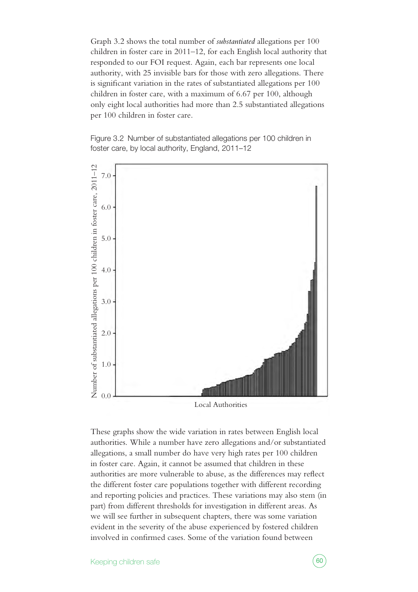Graph 3.2 shows the total number of *substantiated* allegations per 100 children in foster care in 2011–12, for each English local authority that responded to our FOI request. Again, each bar represents one local authority, with 25 invisible bars for those with zero allegations. There is significant variation in the rates of substantiated allegations per 100 children in foster care, with a maximum of 6.67 per 100, although only eight local authorities had more than 2.5 substantiated allegations per 100 children in foster care.

Figure 3.2 Number of substantiated allegations per 100 children in foster care, by local authority, England, 2011–12



These graphs show the wide variation in rates between English local authorities. While a number have zero allegations and/or substantiated allegations, a small number do have very high rates per 100 children in foster care. Again, it cannot be assumed that children in these authorities are more vulnerable to abuse, as the differences may reflect the different foster care populations together with different recording and reporting policies and practices. These variations may also stem (in part) from different thresholds for investigation in different areas. As we will see further in subsequent chapters, there was some variation evident in the severity of the abuse experienced by fostered children involved in confirmed cases. Some of the variation found between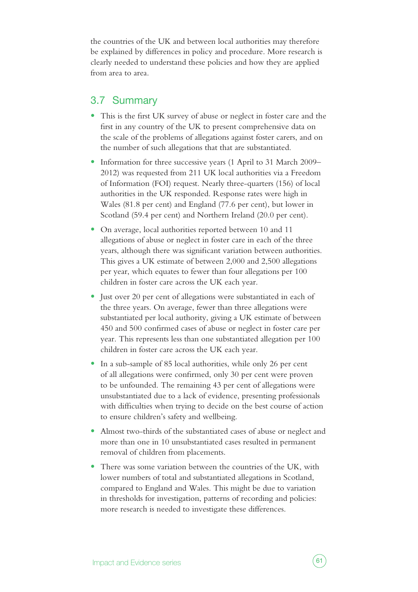the countries of the UK and between local authorities may therefore be explained by differences in policy and procedure. More research is clearly needed to understand these policies and how they are applied from area to area.

#### 3.7 Summary

- **•** This is the first UK survey of abuse or neglect in foster care and the first in any country of the UK to present comprehensive data on the scale of the problems of allegations against foster carers, and on the number of such allegations that that are substantiated.
- Information for three successive years (1 April to 31 March 2009– 2012) was requested from 211 UK local authorities via a Freedom of Information (FOI) request. Nearly three-quarters (156) of local authorities in the UK responded. Response rates were high in Wales (81.8 per cent) and England (77.6 per cent), but lower in Scotland (59.4 per cent) and Northern Ireland (20.0 per cent).
- **•** On average, local authorities reported between 10 and 11 allegations of abuse or neglect in foster care in each of the three years, although there was significant variation between authorities. This gives a UK estimate of between 2,000 and 2,500 allegations per year, which equates to fewer than four allegations per 100 children in foster care across the UK each year.
- **•** Just over 20 per cent of allegations were substantiated in each of the three years. On average, fewer than three allegations were substantiated per local authority, giving a UK estimate of between 450 and 500 confirmed cases of abuse or neglect in foster care per year. This represents less than one substantiated allegation per 100 children in foster care across the UK each year.
- In a sub-sample of 85 local authorities, while only 26 per cent of all allegations were confirmed, only 30 per cent were proven to be unfounded. The remaining 43 per cent of allegations were unsubstantiated due to a lack of evidence, presenting professionals with difficulties when trying to decide on the best course of action to ensure children's safety and wellbeing.
- **•** Almost two-thirds of the substantiated cases of abuse or neglect and more than one in 10 unsubstantiated cases resulted in permanent removal of children from placements.
- **•** There was some variation between the countries of the UK, with lower numbers of total and substantiated allegations in Scotland, compared to England and Wales. This might be due to variation in thresholds for investigation, patterns of recording and policies: more research is needed to investigate these differences.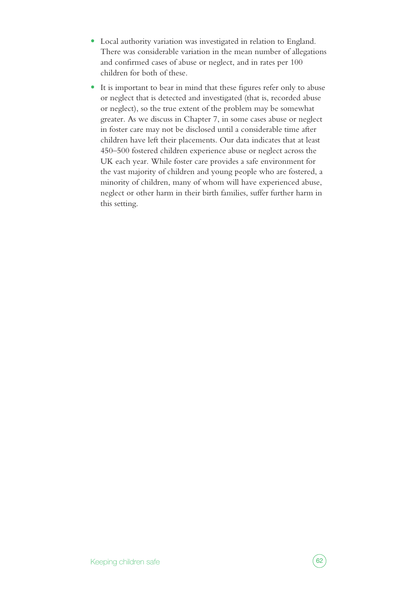- **•** Local authority variation was investigated in relation to England. There was considerable variation in the mean number of allegations and confirmed cases of abuse or neglect, and in rates per 100 children for both of these.
- **•** It is important to bear in mind that these figures refer only to abuse or neglect that is detected and investigated (that is, recorded abuse or neglect), so the true extent of the problem may be somewhat greater. As we discuss in Chapter 7, in some cases abuse or neglect in foster care may not be disclosed until a considerable time after children have left their placements. Our data indicates that at least 450–500 fostered children experience abuse or neglect across the UK each year. While foster care provides a safe environment for the vast majority of children and young people who are fostered, a minority of children, many of whom will have experienced abuse, neglect or other harm in their birth families, suffer further harm in this setting.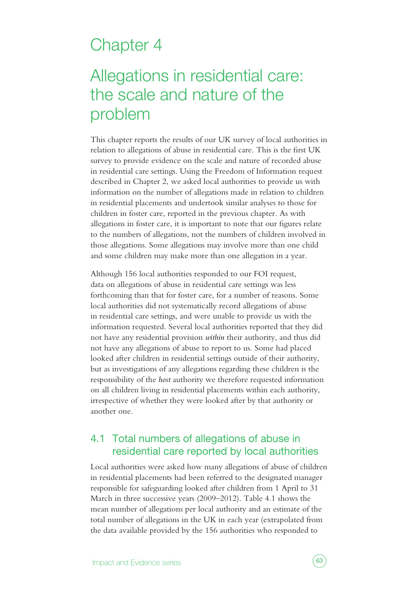# Chapter 4

# Allegations in residential care: the scale and nature of the problem

This chapter reports the results of our UK survey of local authorities in relation to allegations of abuse in residential care. This is the first UK survey to provide evidence on the scale and nature of recorded abuse in residential care settings. Using the Freedom of Information request described in Chapter 2, we asked local authorities to provide us with information on the number of allegations made in relation to children in residential placements and undertook similar analyses to those for children in foster care, reported in the previous chapter. As with allegations in foster care, it is important to note that our figures relate to the numbers of allegations, not the numbers of children involved in those allegations. Some allegations may involve more than one child and some children may make more than one allegation in a year.

Although 156 local authorities responded to our FOI request, data on allegations of abuse in residential care settings was less forthcoming than that for foster care, for a number of reasons. Some local authorities did not systematically record allegations of abuse in residential care settings, and were unable to provide us with the information requested. Several local authorities reported that they did not have any residential provision *within* their authority, and thus did not have any allegations of abuse to report to us. Some had placed looked after children in residential settings outside of their authority, but as investigations of any allegations regarding these children is the responsibility of the *host* authority we therefore requested information on all children living in residential placements within each authority, irrespective of whether they were looked after by that authority or another one.

## 4.1 Total numbers of allegations of abuse in residential care reported by local authorities

Local authorities were asked how many allegations of abuse of children in residential placements had been referred to the designated manager responsible for safeguarding looked after children from 1 April to 31 March in three successive years (2009–2012). Table 4.1 shows the mean number of allegations per local authority and an estimate of the total number of allegations in the UK in each year (extrapolated from the data available provided by the 156 authorities who responded to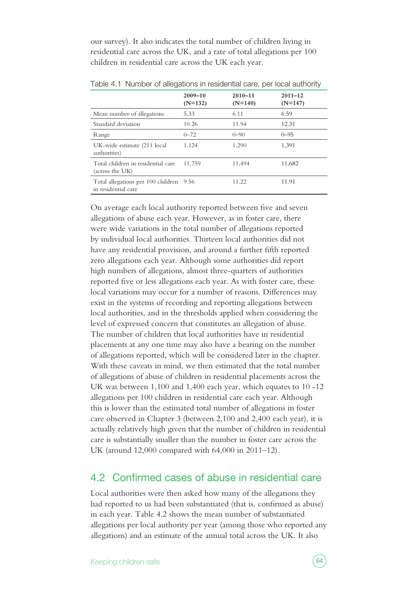our survey). It also indicates the total number of children living in residential care across the UK, and a rate of total allegations per 100 children in residential care across the UK each year.

|                                                                | $2009 - 10$<br>$(N=132)$ | $2010 - 11$<br>$(N=140)$ | $2011 - 12$<br>$(N=147)$ |
|----------------------------------------------------------------|--------------------------|--------------------------|--------------------------|
| Mean number of allegations                                     | 5.33                     | 6.11                     | 6.59                     |
| Standard deviation                                             | 10.26                    | 11.94                    | 12.31                    |
| Range                                                          | $0 - 72$                 | $() - 9()$               | $0 - 95$                 |
| UK-wide estimate (211 local<br>authorities)                    | 1,124                    | 1.290                    | 1.391                    |
| Total children in residential care<br>(across the UK)          | 11,759                   | 11,494                   | 11,682                   |
| Total allegations per 100 children 9.56<br>in residential care |                          | 11.22                    | 11.91                    |

Table 4.1 Number of allegations in residential care, per local authority

On average each local authority reported between five and seven allegations of abuse each year. However, as in foster care, there were wide variations in the total number of allegations reported by individual local authorities. Thirteen local authorities did not have any residential provision, and around a further fifth reported zero allegations each year. Although some authorities did report high numbers of allegations, almost three-quarters of authorities reported five or less allegations each year. As with foster care, these local variations may occur for a number of reasons. Differences may exist in the systems of recording and reporting allegations between local authorities, and in the thresholds applied when considering the level of expressed concern that constitutes an allegation of abuse. The number of children that local authorities have in residential placements at any one time may also have a bearing on the number of allegations reported, which will be considered later in the chapter. With these caveats in mind, we then estimated that the total number of allegations of abuse of children in residential placements across the UK was between 1,100 and 1,400 each year, which equates to 10 -12 allegations per 100 children in residential care each year. Although this is lower than the estimated total number of allegations in foster care observed in Chapter 3 (between 2,100 and 2,400 each year), it is actually relatively high given that the number of children in residential care is substantially smaller than the number in foster care across the UK (around 12,000 compared with 64,000 in 2011–12).

#### 4.2 Confirmed cases of abuse in residential care

Local authorities were then asked how many of the allegations they had reported to us had been substantiated (that is, confirmed as abuse) in each year. Table 4.2 shows the mean number of substantiated allegations per local authority per year (among those who reported any allegations) and an estimate of the annual total across the UK. It also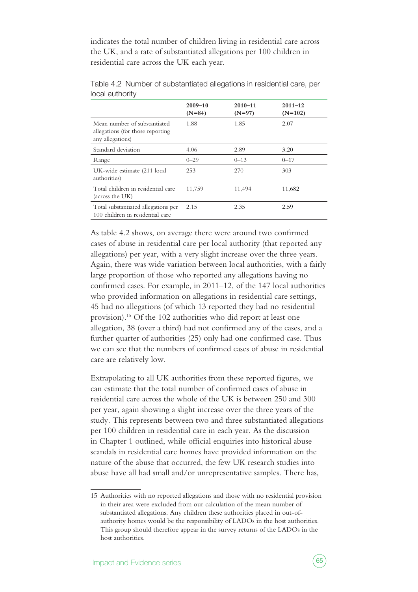indicates the total number of children living in residential care across the UK, and a rate of substantiated allegations per 100 children in residential care across the UK each year.

|                                                                                       | $2009 - 10$<br>$(N=84)$ | $2010 - 11$<br>$(N=97)$ | $2011 - 12$<br>$(N=102)$ |
|---------------------------------------------------------------------------------------|-------------------------|-------------------------|--------------------------|
| Mean number of substantiated<br>allegations (for those reporting)<br>any allegations) | 1.88                    | 1.85                    | 2.07                     |
| Standard deviation                                                                    | 4.06                    | 2.89                    | 3.20                     |
| Range                                                                                 | $0 - 29$                | $0 - 13$                | $0 - 17$                 |
| UK-wide estimate (211 local<br>authorities)                                           | 253                     | 270                     | 303                      |
| Total children in residential care<br>(across the UK)                                 | 11,759                  | 11,494                  | 11,682                   |
| Total substantiated allegations per<br>100 children in residential care               | 2.15                    | 2.35                    | 2.59                     |

Table 4.2 Number of substantiated allegations in residential care, per local authority

As table 4.2 shows, on average there were around two confirmed cases of abuse in residential care per local authority (that reported any allegations) per year, with a very slight increase over the three years. Again, there was wide variation between local authorities, with a fairly large proportion of those who reported any allegations having no confirmed cases. For example, in 2011–12, of the 147 local authorities who provided information on allegations in residential care settings, 45 had no allegations (of which 13 reported they had no residential provision).15 Of the 102 authorities who did report at least one allegation, 38 (over a third) had not confirmed any of the cases, and a further quarter of authorities (25) only had one confirmed case. Thus we can see that the numbers of confirmed cases of abuse in residential care are relatively low.

Extrapolating to all UK authorities from these reported figures, we can estimate that the total number of confirmed cases of abuse in residential care across the whole of the UK is between 250 and 300 per year, again showing a slight increase over the three years of the study. This represents between two and three substantiated allegations per 100 children in residential care in each year. As the discussion in Chapter 1 outlined, while official enquiries into historical abuse scandals in residential care homes have provided information on the nature of the abuse that occurred, the few UK research studies into abuse have all had small and/or unrepresentative samples. There has,

<sup>15</sup> Authorities with no reported allegations and those with no residential provision in their area were excluded from our calculation of the mean number of substantiated allegations. Any children these authorities placed in out-ofauthority homes would be the responsibility of LADOs in the host authorities. This group should therefore appear in the survey returns of the LADOs in the host authorities.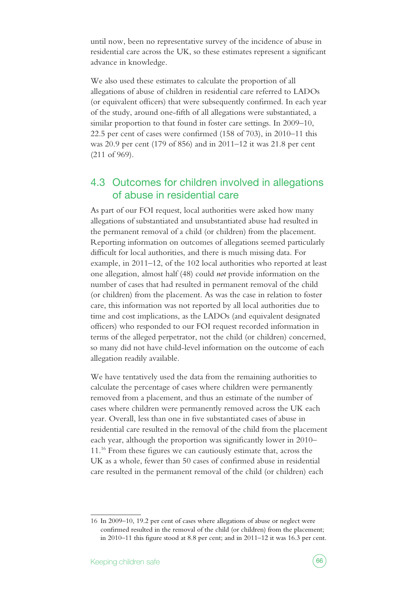until now, been no representative survey of the incidence of abuse in residential care across the UK, so these estimates represent a significant advance in knowledge.

We also used these estimates to calculate the proportion of all allegations of abuse of children in residential care referred to LADOs (or equivalent officers) that were subsequently confirmed. In each year of the study, around one-fifth of all allegations were substantiated, a similar proportion to that found in foster care settings. In 2009–10, 22.5 per cent of cases were confirmed (158 of 703), in 2010–11 this was 20.9 per cent (179 of 856) and in 2011–12 it was 21.8 per cent (211 of 969).

### 4.3 Outcomes for children involved in allegations of abuse in residential care

As part of our FOI request, local authorities were asked how many allegations of substantiated and unsubstantiated abuse had resulted in the permanent removal of a child (or children) from the placement. Reporting information on outcomes of allegations seemed particularly difficult for local authorities, and there is much missing data. For example, in 2011–12, of the 102 local authorities who reported at least one allegation, almost half (48) could *not* provide information on the number of cases that had resulted in permanent removal of the child (or children) from the placement. As was the case in relation to foster care, this information was not reported by all local authorities due to time and cost implications, as the LADOs (and equivalent designated officers) who responded to our FOI request recorded information in terms of the alleged perpetrator, not the child (or children) concerned, so many did not have child-level information on the outcome of each allegation readily available.

We have tentatively used the data from the remaining authorities to calculate the percentage of cases where children were permanently removed from a placement, and thus an estimate of the number of cases where children were permanently removed across the UK each year. Overall, less than one in five substantiated cases of abuse in residential care resulted in the removal of the child from the placement each year, although the proportion was significantly lower in 2010– 11.16 From these figures we can cautiously estimate that, across the UK as a whole, fewer than 50 cases of confirmed abuse in residential care resulted in the permanent removal of the child (or children) each

<sup>16</sup> In 2009–10, 19.2 per cent of cases where allegations of abuse or neglect were confirmed resulted in the removal of the child (or children) from the placement; in 2010–11 this figure stood at 8.8 per cent; and in 2011–12 it was 16.3 per cent.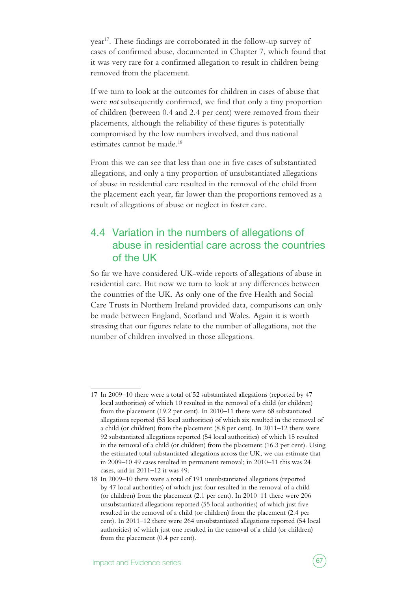year<sup>17</sup>. These findings are corroborated in the follow-up survey of cases of confirmed abuse, documented in Chapter 7, which found that it was very rare for a confirmed allegation to result in children being removed from the placement.

If we turn to look at the outcomes for children in cases of abuse that were *not* subsequently confirmed, we find that only a tiny proportion of children (between 0.4 and 2.4 per cent) were removed from their placements, although the reliability of these figures is potentially compromised by the low numbers involved, and thus national estimates cannot be made.<sup>18</sup>

From this we can see that less than one in five cases of substantiated allegations, and only a tiny proportion of unsubstantiated allegations of abuse in residential care resulted in the removal of the child from the placement each year, far lower than the proportions removed as a result of allegations of abuse or neglect in foster care.

### 4.4 Variation in the numbers of allegations of abuse in residential care across the countries of the UK

So far we have considered UK-wide reports of allegations of abuse in residential care. But now we turn to look at any differences between the countries of the UK. As only one of the five Health and Social Care Trusts in Northern Ireland provided data, comparisons can only be made between England, Scotland and Wales. Again it is worth stressing that our figures relate to the number of allegations, not the number of children involved in those allegations.

<sup>17</sup> In 2009–10 there were a total of 52 substantiated allegations (reported by 47 local authorities) of which 10 resulted in the removal of a child (or children) from the placement (19.2 per cent). In 2010–11 there were 68 substantiated allegations reported (55 local authorities) of which six resulted in the removal of a child (or children) from the placement (8.8 per cent). In 2011–12 there were 92 substantiated allegations reported (54 local authorities) of which 15 resulted in the removal of a child (or children) from the placement (16.3 per cent). Using the estimated total substantiated allegations across the UK, we can estimate that in 2009–10 49 cases resulted in permanent removal; in 2010–11 this was 24 cases, and in 2011–12 it was 49.

<sup>18</sup> In 2009–10 there were a total of 191 unsubstantiated allegations (reported by 47 local authorities) of which just four resulted in the removal of a child (or children) from the placement (2.1 per cent). In 2010–11 there were 206 unsubstantiated allegations reported (55 local authorities) of which just five resulted in the removal of a child (or children) from the placement (2.4 per cent). In 2011–12 there were 264 unsubstantiated allegations reported (54 local authorities) of which just one resulted in the removal of a child (or children) from the placement (0.4 per cent).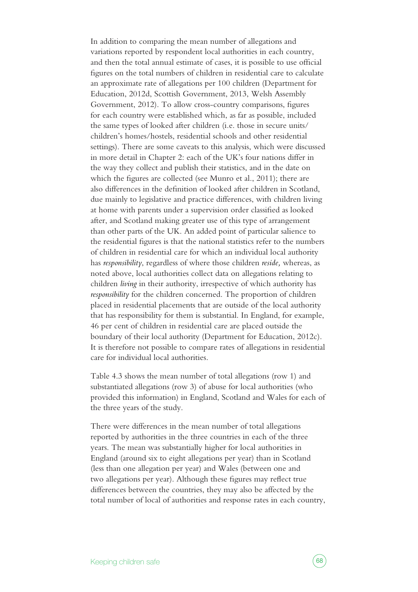In addition to comparing the mean number of allegations and variations reported by respondent local authorities in each country, and then the total annual estimate of cases, it is possible to use official figures on the total numbers of children in residential care to calculate an approximate rate of allegations per 100 children (Department for Education, 2012d, Scottish Government, 2013, Welsh Assembly Government, 2012). To allow cross-country comparisons, figures for each country were established which, as far as possible, included the same types of looked after children (i.e. those in secure units/ children's homes/hostels, residential schools and other residential settings). There are some caveats to this analysis, which were discussed in more detail in Chapter 2: each of the UK's four nations differ in the way they collect and publish their statistics, and in the date on which the figures are collected (see Munro et al., 2011); there are also differences in the definition of looked after children in Scotland, due mainly to legislative and practice differences, with children living at home with parents under a supervision order classified as looked after, and Scotland making greater use of this type of arrangement than other parts of the UK. An added point of particular salience to the residential figures is that the national statistics refer to the numbers of children in residential care for which an individual local authority has *responsibility*, regardless of where those children *reside,* whereas, as noted above, local authorities collect data on allegations relating to children *living* in their authority, irrespective of which authority has *responsibility* for the children concerned. The proportion of children placed in residential placements that are outside of the local authority that has responsibility for them is substantial. In England, for example, 46 per cent of children in residential care are placed outside the boundary of their local authority (Department for Education, 2012c). It is therefore not possible to compare rates of allegations in residential care for individual local authorities.

Table 4.3 shows the mean number of total allegations (row 1) and substantiated allegations (row 3) of abuse for local authorities (who provided this information) in England, Scotland and Wales for each of the three years of the study.

There were differences in the mean number of total allegations reported by authorities in the three countries in each of the three years. The mean was substantially higher for local authorities in England (around six to eight allegations per year) than in Scotland (less than one allegation per year) and Wales (between one and two allegations per year). Although these figures may reflect true differences between the countries, they may also be affected by the total number of local of authorities and response rates in each country,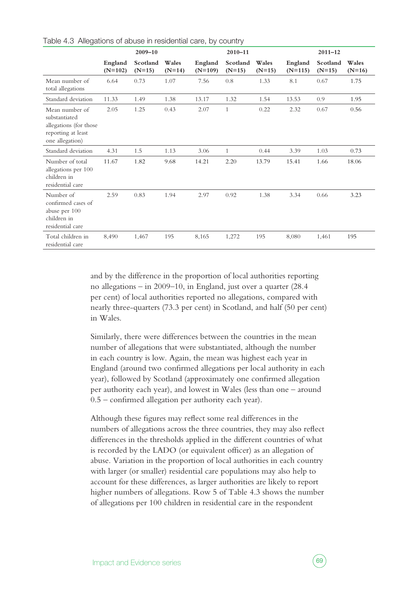|                                                                                                    | $2009 - 10$          |                      |                   | $2010 - 11$          |                      |                   | $2011 - 12$          |                      |                   |  |
|----------------------------------------------------------------------------------------------------|----------------------|----------------------|-------------------|----------------------|----------------------|-------------------|----------------------|----------------------|-------------------|--|
|                                                                                                    | England<br>$(N=102)$ | Scotland<br>$(N=15)$ | Wales<br>$(N=14)$ | England<br>$(N=109)$ | Scotland<br>$(N=15)$ | Wales<br>$(N=15)$ | England<br>$(N=115)$ | Scotland<br>$(N=15)$ | Wales<br>$(N=16)$ |  |
| Mean number of<br>total allegations                                                                | 6.64                 | 0.73                 | 1.07              | 7.56                 | 0.8                  | 1.33              | 8.1                  | 0.67                 | 1.75              |  |
| Standard deviation                                                                                 | 11.33                | 1.49                 | 1.38              | 13.17                | 1.32                 | 1.54              | 13.53                | 0.9                  | 1.95              |  |
| Mean number of<br>substantiated<br>allegations (for those<br>reporting at least<br>one allegation) | 2.05                 | 1.25                 | 0.43              | 2.07                 | $\mathbf{1}$         | 0.22              | 2.32                 | 0.67                 | 0.56              |  |
| Standard deviation                                                                                 | 4.31                 | 1.5                  | 1.13              | 3.06                 | $\mathbf{1}$         | 0.44              | 3.39                 | 1.03                 | 0.73              |  |
| Number of total<br>allegations per 100<br>children in<br>residential care                          | 11.67                | 1.82                 | 9.68              | 14.21                | 2.20                 | 13.79             | 15.41                | 1.66                 | 18.06             |  |
| Number of<br>confirmed cases of<br>abuse per 100<br>children in<br>residential care                | 2.59                 | 0.83                 | 1.94              | 2.97                 | 0.92                 | 1.38              | 3.34                 | 0.66                 | 3.23              |  |
| Total children in<br>residential care                                                              | 8,490                | 1,467                | 195               | 8,165                | 1,272                | 195               | 8,080                | 1,461                | 195               |  |

| Table 4.3 Allegations of abuse in residential care, by country |  |  |  |
|----------------------------------------------------------------|--|--|--|
|                                                                |  |  |  |

and by the difference in the proportion of local authorities reporting no allegations – in 2009–10, in England, just over a quarter (28.4 per cent) of local authorities reported no allegations, compared with nearly three-quarters (73.3 per cent) in Scotland, and half (50 per cent) in Wales.

Similarly, there were differences between the countries in the mean number of allegations that were substantiated, although the number in each country is low. Again, the mean was highest each year in England (around two confirmed allegations per local authority in each year), followed by Scotland (approximately one confirmed allegation per authority each year), and lowest in Wales (less than one – around 0.5 – confirmed allegation per authority each year).

Although these figures may reflect some real differences in the numbers of allegations across the three countries, they may also reflect differences in the thresholds applied in the different countries of what is recorded by the LADO (or equivalent officer) as an allegation of abuse. Variation in the proportion of local authorities in each country with larger (or smaller) residential care populations may also help to account for these differences, as larger authorities are likely to report higher numbers of allegations. Row 5 of Table 4.3 shows the number of allegations per 100 children in residential care in the respondent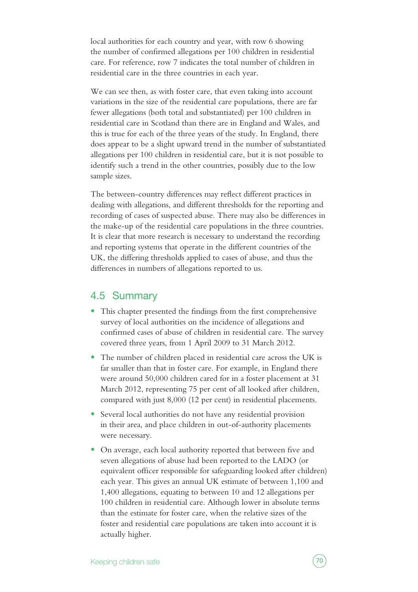local authorities for each country and year, with row 6 showing the number of confirmed allegations per 100 children in residential care. For reference, row 7 indicates the total number of children in residential care in the three countries in each year.

We can see then, as with foster care, that even taking into account variations in the size of the residential care populations, there are far fewer allegations (both total and substantiated) per 100 children in residential care in Scotland than there are in England and Wales, and this is true for each of the three years of the study. In England, there does appear to be a slight upward trend in the number of substantiated allegations per 100 children in residential care, but it is not possible to identify such a trend in the other countries, possibly due to the low sample sizes.

The between-country differences may reflect different practices in dealing with allegations, and different thresholds for the reporting and recording of cases of suspected abuse. There may also be differences in the make-up of the residential care populations in the three countries. It is clear that more research is necessary to understand the recording and reporting systems that operate in the different countries of the UK, the differing thresholds applied to cases of abuse, and thus the differences in numbers of allegations reported to us.

#### 4.5 Summary

- **•** This chapter presented the findings from the first comprehensive survey of local authorities on the incidence of allegations and confirmed cases of abuse of children in residential care. The survey covered three years, from 1 April 2009 to 31 March 2012.
- **•** The number of children placed in residential care across the UK is far smaller than that in foster care. For example, in England there were around 50,000 children cared for in a foster placement at 31 March 2012, representing 75 per cent of all looked after children, compared with just 8,000 (12 per cent) in residential placements.
- **•** Several local authorities do not have any residential provision in their area, and place children in out-of-authority placements were necessary.
- **•** On average, each local authority reported that between five and seven allegations of abuse had been reported to the LADO (or equivalent officer responsible for safeguarding looked after children) each year. This gives an annual UK estimate of between 1,100 and 1,400 allegations, equating to between 10 and 12 allegations per 100 children in residential care. Although lower in absolute terms than the estimate for foster care, when the relative sizes of the foster and residential care populations are taken into account it is actually higher.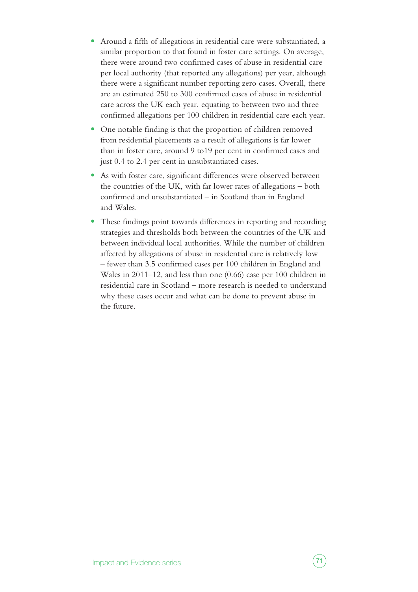- **•** Around a fifth of allegations in residential care were substantiated, a similar proportion to that found in foster care settings. On average, there were around two confirmed cases of abuse in residential care per local authority (that reported any allegations) per year, although there were a significant number reporting zero cases. Overall, there are an estimated 250 to 300 confirmed cases of abuse in residential care across the UK each year, equating to between two and three confirmed allegations per 100 children in residential care each year.
- One notable finding is that the proportion of children removed from residential placements as a result of allegations is far lower than in foster care, around 9 to19 per cent in confirmed cases and just 0.4 to 2.4 per cent in unsubstantiated cases.
- **•** As with foster care, significant differences were observed between the countries of the UK, with far lower rates of allegations – both confirmed and unsubstantiated – in Scotland than in England and Wales.
- **•** These findings point towards differences in reporting and recording strategies and thresholds both between the countries of the UK and between individual local authorities. While the number of children affected by allegations of abuse in residential care is relatively low – fewer than 3.5 confirmed cases per 100 children in England and Wales in 2011–12, and less than one (0.66) case per 100 children in residential care in Scotland – more research is needed to understand why these cases occur and what can be done to prevent abuse in the future.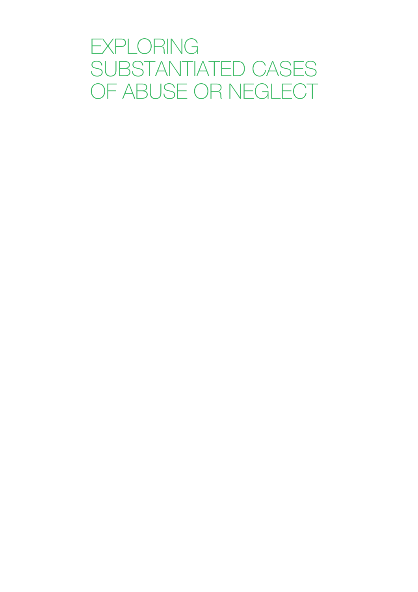**EXPLORING** substantiated cases of abuse or neglect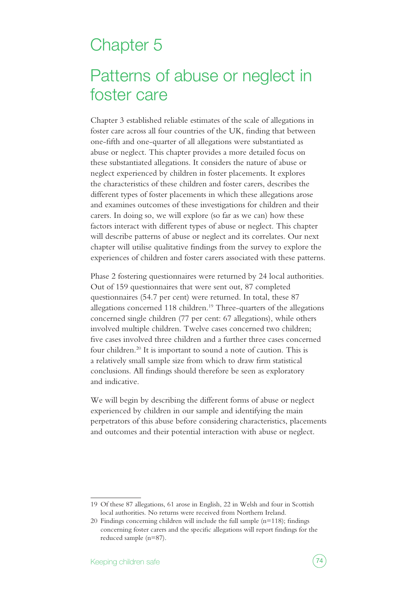# Chapter 5

# Patterns of abuse or neglect in foster care

Chapter 3 established reliable estimates of the scale of allegations in foster care across all four countries of the UK, finding that between one-fifth and one-quarter of all allegations were substantiated as abuse or neglect. This chapter provides a more detailed focus on these substantiated allegations. It considers the nature of abuse or neglect experienced by children in foster placements. It explores the characteristics of these children and foster carers, describes the different types of foster placements in which these allegations arose and examines outcomes of these investigations for children and their carers. In doing so, we will explore (so far as we can) how these factors interact with different types of abuse or neglect. This chapter will describe patterns of abuse or neglect and its correlates. Our next chapter will utilise qualitative findings from the survey to explore the experiences of children and foster carers associated with these patterns.

Phase 2 fostering questionnaires were returned by 24 local authorities. Out of 159 questionnaires that were sent out, 87 completed questionnaires (54.7 per cent) were returned. In total, these 87 allegations concerned 118 children.<sup>19</sup> Three-quarters of the allegations concerned single children (77 per cent: 67 allegations), while others involved multiple children. Twelve cases concerned two children; five cases involved three children and a further three cases concerned four children.20 It is important to sound a note of caution. This is a relatively small sample size from which to draw firm statistical conclusions. All findings should therefore be seen as exploratory and indicative.

We will begin by describing the different forms of abuse or neglect experienced by children in our sample and identifying the main perpetrators of this abuse before considering characteristics, placements and outcomes and their potential interaction with abuse or neglect.

<sup>19</sup> Of these 87 allegations, 61 arose in English, 22 in Welsh and four in Scottish local authorities. No returns were received from Northern Ireland.

<sup>20</sup> Findings concerning children will include the full sample (n=118); findings concerning foster carers and the specific allegations will report findings for the reduced sample (n=87).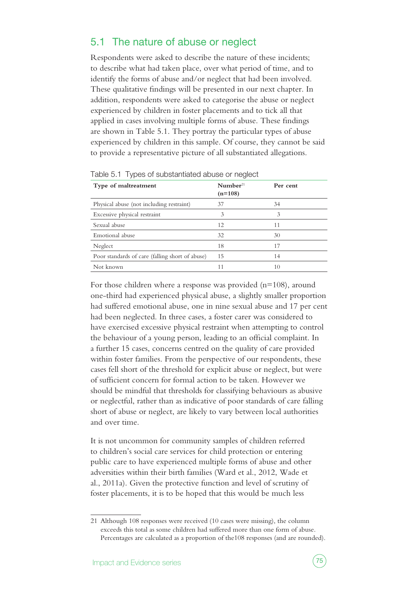# 5.1 The nature of abuse or neglect

Respondents were asked to describe the nature of these incidents; to describe what had taken place, over what period of time, and to identify the forms of abuse and/or neglect that had been involved. These qualitative findings will be presented in our next chapter. In addition, respondents were asked to categorise the abuse or neglect experienced by children in foster placements and to tick all that applied in cases involving multiple forms of abuse. These findings are shown in Table 5.1. They portray the particular types of abuse experienced by children in this sample. Of course, they cannot be said to provide a representative picture of all substantiated allegations.

| Table U.T. Types of substantiated abuse of Hegicot |                                   |          |  |
|----------------------------------------------------|-----------------------------------|----------|--|
| Type of maltreatment                               | Number <sup>21</sup><br>$(n=108)$ | Per cent |  |
| Physical abuse (not including restraint)           | 37                                | 34       |  |
| Excessive physical restraint                       | 3                                 | 3        |  |
| Sexual abuse                                       | 12                                | 11       |  |
| Emotional abuse                                    | 32                                | 30       |  |
| Neglect                                            | 18                                | 17       |  |
| Poor standards of care (falling short of abuse)    | 15                                | 14       |  |
| Not known                                          | 11                                | 10       |  |

Table 5.1 Types of substantiated abuse or neglect

For those children where a response was provided  $(n=108)$ , around one-third had experienced physical abuse, a slightly smaller proportion had suffered emotional abuse, one in nine sexual abuse and 17 per cent had been neglected. In three cases, a foster carer was considered to have exercised excessive physical restraint when attempting to control the behaviour of a young person, leading to an official complaint. In a further 15 cases, concerns centred on the quality of care provided within foster families. From the perspective of our respondents, these cases fell short of the threshold for explicit abuse or neglect, but were of sufficient concern for formal action to be taken. However we should be mindful that thresholds for classifying behaviours as abusive or neglectful, rather than as indicative of poor standards of care falling short of abuse or neglect, are likely to vary between local authorities and over time.

It is not uncommon for community samples of children referred to children's social care services for child protection or entering public care to have experienced multiple forms of abuse and other adversities within their birth families (Ward et al., 2012, Wade et al., 2011a). Given the protective function and level of scrutiny of foster placements, it is to be hoped that this would be much less

<sup>21</sup> Although 108 responses were received (10 cases were missing), the column exceeds this total as some children had suffered more than one form of abuse. Percentages are calculated as a proportion of the108 responses (and are rounded).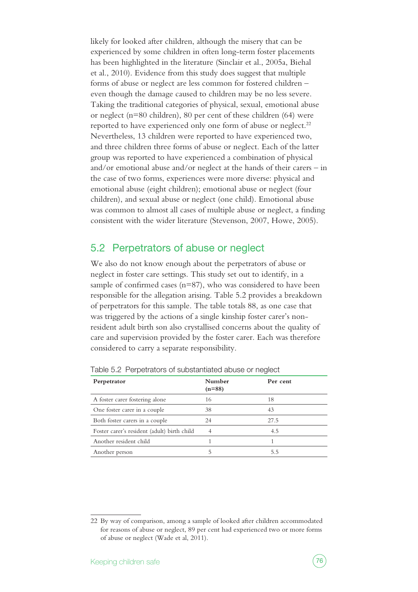likely for looked after children, although the misery that can be experienced by some children in often long-term foster placements has been highlighted in the literature (Sinclair et al., 2005a, Biehal et al., 2010). Evidence from this study does suggest that multiple forms of abuse or neglect are less common for fostered children – even though the damage caused to children may be no less severe. Taking the traditional categories of physical, sexual, emotional abuse or neglect (n=80 children), 80 per cent of these children (64) were reported to have experienced only one form of abuse or neglect.<sup>22</sup> Nevertheless, 13 children were reported to have experienced two, and three children three forms of abuse or neglect. Each of the latter group was reported to have experienced a combination of physical and/or emotional abuse and/or neglect at the hands of their carers – in the case of two forms, experiences were more diverse: physical and emotional abuse (eight children); emotional abuse or neglect (four children), and sexual abuse or neglect (one child). Emotional abuse was common to almost all cases of multiple abuse or neglect, a finding consistent with the wider literature (Stevenson, 2007, Howe, 2005).

### 5.2 Perpetrators of abuse or neglect

We also do not know enough about the perpetrators of abuse or neglect in foster care settings. This study set out to identify, in a sample of confirmed cases ( $n=87$ ), who was considered to have been responsible for the allegation arising. Table 5.2 provides a breakdown of perpetrators for this sample. The table totals 88, as one case that was triggered by the actions of a single kinship foster carer's nonresident adult birth son also crystallised concerns about the quality of care and supervision provided by the foster carer. Each was therefore considered to carry a separate responsibility.

| Perpetrator                                 | Number<br>$(n=88)$ | Per cent |
|---------------------------------------------|--------------------|----------|
| A foster carer fostering alone              | 16                 | 18       |
| One foster carer in a couple                | 38                 | 43       |
| Both foster carers in a couple              | 24                 | 27.5     |
| Foster carer's resident (adult) birth child | 4                  | 4.5      |
| Another resident child                      |                    |          |
| Another person                              | 5                  | 5.5      |

Table 5.2 Perpetrators of substantiated abuse or neglect

<sup>22</sup> By way of comparison, among a sample of looked after children accommodated for reasons of abuse or neglect, 89 per cent had experienced two or more forms of abuse or neglect (Wade et al, 2011).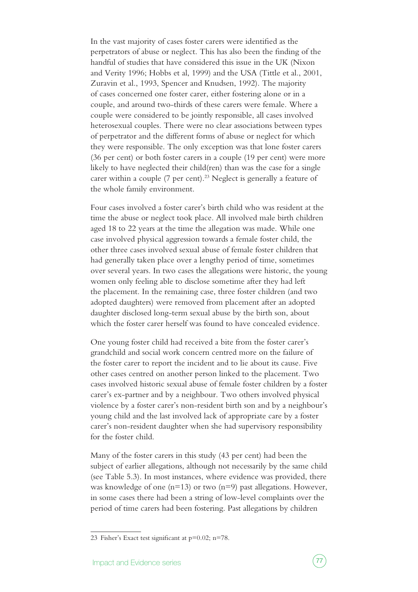In the vast majority of cases foster carers were identified as the perpetrators of abuse or neglect. This has also been the finding of the handful of studies that have considered this issue in the UK (Nixon and Verity 1996; Hobbs et al, 1999) and the USA (Tittle et al., 2001, Zuravin et al., 1993, Spencer and Knudsen, 1992). The majority of cases concerned one foster carer, either fostering alone or in a couple, and around two-thirds of these carers were female. Where a couple were considered to be jointly responsible, all cases involved heterosexual couples. There were no clear associations between types of perpetrator and the different forms of abuse or neglect for which they were responsible. The only exception was that lone foster carers (36 per cent) or both foster carers in a couple (19 per cent) were more likely to have neglected their child(ren) than was the case for a single carer within a couple  $(7 \text{ per cent})$ .<sup>23</sup> Neglect is generally a feature of the whole family environment.

Four cases involved a foster carer's birth child who was resident at the time the abuse or neglect took place. All involved male birth children aged 18 to 22 years at the time the allegation was made. While one case involved physical aggression towards a female foster child, the other three cases involved sexual abuse of female foster children that had generally taken place over a lengthy period of time, sometimes over several years. In two cases the allegations were historic, the young women only feeling able to disclose sometime after they had left the placement. In the remaining case, three foster children (and two adopted daughters) were removed from placement after an adopted daughter disclosed long-term sexual abuse by the birth son, about which the foster carer herself was found to have concealed evidence.

One young foster child had received a bite from the foster carer's grandchild and social work concern centred more on the failure of the foster carer to report the incident and to lie about its cause. Five other cases centred on another person linked to the placement. Two cases involved historic sexual abuse of female foster children by a foster carer's ex-partner and by a neighbour. Two others involved physical violence by a foster carer's non-resident birth son and by a neighbour's young child and the last involved lack of appropriate care by a foster carer's non-resident daughter when she had supervisory responsibility for the foster child.

Many of the foster carers in this study (43 per cent) had been the subject of earlier allegations, although not necessarily by the same child (see Table 5.3). In most instances, where evidence was provided, there was knowledge of one  $(n=13)$  or two  $(n=9)$  past allegations. However, in some cases there had been a string of low-level complaints over the period of time carers had been fostering. Past allegations by children

<sup>23</sup> Fisher's Exact test significant at p=0.02; n=78.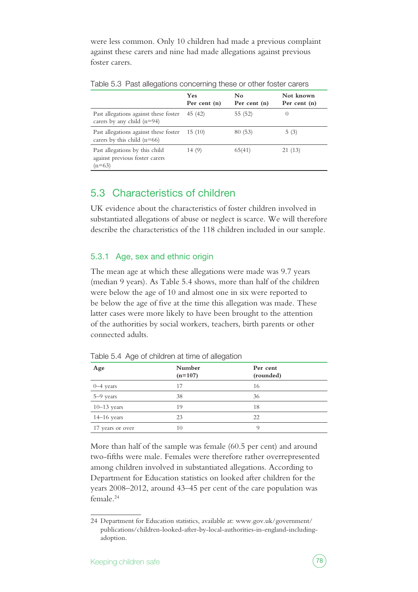were less common. Only 10 children had made a previous complaint against these carers and nine had made allegations against previous foster carers.

|                                                                              | Yes<br>Per cent $(n)$ | No<br>Per cent $(n)$ | Not known<br>Per cent $(n)$ |
|------------------------------------------------------------------------------|-----------------------|----------------------|-----------------------------|
| Past allegations against these foster<br>carers by any child $(n=94)$        | 45 (42)               | 55 (52)              | $\left( \right)$            |
| Past allegations against these foster<br>carers by this child $(n=66)$       | 15(10)                | 80 (53)              | 5(3)                        |
| Past allegations by this child<br>against previous foster carers<br>$(n=63)$ | 14 (9)                | 65(41)               | 21 (13)                     |

Table 5.3 Past allegations concerning these or other foster carers

## 5.3 Characteristics of children

UK evidence about the characteristics of foster children involved in substantiated allegations of abuse or neglect is scarce. We will therefore describe the characteristics of the 118 children included in our sample.

#### 5.3.1 Age, sex and ethnic origin

The mean age at which these allegations were made was 9.7 years (median 9 years). As Table 5.4 shows, more than half of the children were below the age of 10 and almost one in six were reported to be below the age of five at the time this allegation was made. These latter cases were more likely to have been brought to the attention of the authorities by social workers, teachers, birth parents or other connected adults.

| Age              | Number<br>$(n=107)$ | Per cent<br>(rounded) |
|------------------|---------------------|-----------------------|
| 0–4 years        | 17                  | 16                    |
| 5-9 years        | 38                  | 36                    |
| $10-13$ years    | 19                  | 18                    |
| $14-16$ years    | 23                  | 22                    |
| 17 years or over | 10                  | 9                     |

Table 5.4 Age of children at time of allegation

More than half of the sample was female (60.5 per cent) and around two-fifths were male. Females were therefore rather overrepresented among children involved in substantiated allegations. According to Department for Education statistics on looked after children for the years 2008–2012, around 43–45 per cent of the care population was female.24

<sup>24</sup> Department for Education statistics, available at: www.gov.uk/government/ publications/children-looked-after-by-local-authorities-in-england-includingadoption.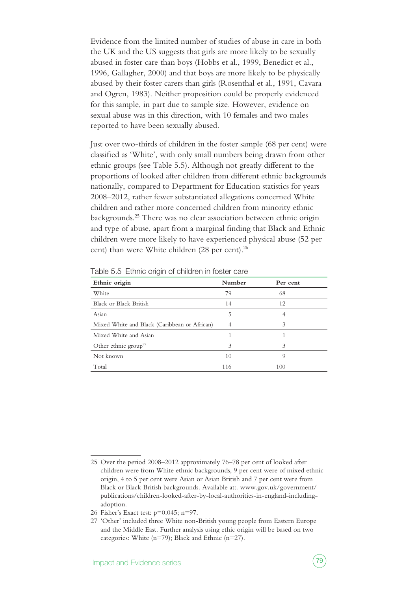Evidence from the limited number of studies of abuse in care in both the UK and the US suggests that girls are more likely to be sexually abused in foster care than boys (Hobbs et al., 1999, Benedict et al., 1996, Gallagher, 2000) and that boys are more likely to be physically abused by their foster carers than girls (Rosenthal et al., 1991, Cavara and Ogren, 1983). Neither proposition could be properly evidenced for this sample, in part due to sample size. However, evidence on sexual abuse was in this direction, with 10 females and two males reported to have been sexually abused.

Just over two-thirds of children in the foster sample (68 per cent) were classified as 'White', with only small numbers being drawn from other ethnic groups (see Table 5.5). Although not greatly different to the proportions of looked after children from different ethnic backgrounds nationally, compared to Department for Education statistics for years 2008–2012, rather fewer substantiated allegations concerned White children and rather more concerned children from minority ethnic backgrounds.25 There was no clear association between ethnic origin and type of abuse, apart from a marginal finding that Black and Ethnic children were more likely to have experienced physical abuse (52 per cent) than were White children (28 per cent).<sup>26</sup>

| Ethnic origin                                | Number | Per cent |
|----------------------------------------------|--------|----------|
| White                                        | 79     | 68       |
| Black or Black British                       | 14     | 12       |
| Asian                                        | 5      |          |
| Mixed White and Black (Caribbean or African) |        | 3        |
| Mixed White and Asian                        |        |          |
| Other ethnic group <sup>27</sup>             | 3      | 3        |
| Not known                                    | 10     | 9        |
| Total                                        | 116    | 100      |

Table 5.5 Ethnic origin of children in foster care

26 Fisher's Exact test: p=0.045; n=97.

<sup>25</sup> Over the period 2008–2012 approximately 76–78 per cent of looked after children were from White ethnic backgrounds, 9 per cent were of mixed ethnic origin, 4 to 5 per cent were Asian or Asian British and 7 per cent were from Black or Black British backgrounds. Available at:. www.gov.uk/government/ publications/children-looked-after-by-local-authorities-in-england-includingadoption.

<sup>27</sup> 'Other' included three White non-British young people from Eastern Europe and the Middle East. Further analysis using ethic origin will be based on two categories: White (n=79); Black and Ethnic (n=27).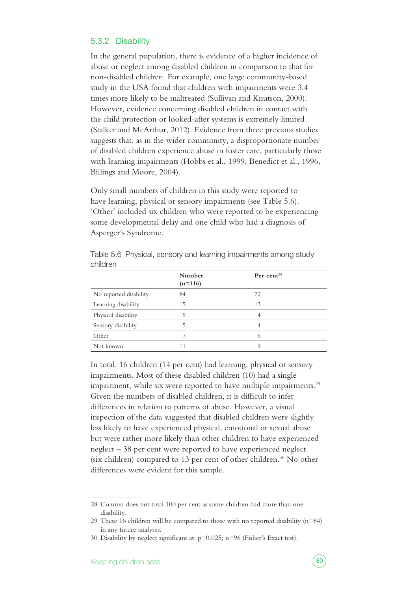#### 5.3.2 Disability

In the general population, there is evidence of a higher incidence of abuse or neglect among disabled children in comparison to that for non-disabled children. For example, one large community-based study in the USA found that children with impairments were 3.4 times more likely to be maltreated (Sullivan and Knutson, 2000). However, evidence concerning disabled children in contact with the child protection or looked-after systems is extremely limited (Stalker and McArthur, 2012). Evidence from three previous studies suggests that, as in the wider community, a disproportionate number of disabled children experience abuse in foster care, particularly those with learning impairments (Hobbs et al., 1999, Benedict et al., 1996, Billings and Moore, 2004).

Only small numbers of children in this study were reported to have learning, physical or sensory impairments (see Table 5.6). 'Other' included six children who were reported to be experiencing some developmental delay and one child who had a diagnosis of Asperger's Syndrome.

|                        | Number<br>$(n=116)$ | Per cent <sup>28</sup> |  |
|------------------------|---------------------|------------------------|--|
| No reported disability | 84                  | 72                     |  |
| Learning disability    | 15                  | 13                     |  |
| Physical disability    | 5                   |                        |  |
| Sensory disability     | 5                   |                        |  |
| Other                  |                     | 6                      |  |
| Not known              |                     |                        |  |

Table 5.6 Physical, sensory and learning impairments among study children

In total, 16 children (14 per cent) had learning, physical or sensory impairments. Most of these disabled children (10) had a single impairment, while six were reported to have multiple impairments.<sup>29</sup> Given the numbers of disabled children, it is difficult to infer differences in relation to patterns of abuse. However, a visual inspection of the data suggested that disabled children were slightly less likely to have experienced physical, emotional or sexual abuse but were rather more likely than other children to have experienced neglect – 38 per cent were reported to have experienced neglect (six children) compared to 13 per cent of other children.30 No other differences were evident for this sample.

<sup>28</sup> Column does not total 100 per cent as some children had more than one disability.

<sup>29</sup> These 16 children will be compared to those with no reported disability  $(n=84)$ in any future analyses.

<sup>30</sup> Disability by neglect significant at: p=0.025; n=96 (Fisher's Exact test).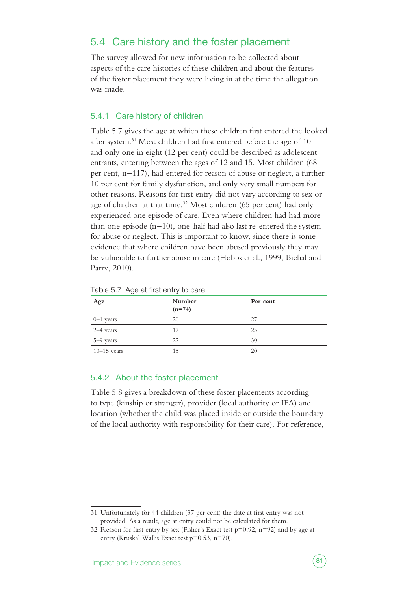## 5.4 Care history and the foster placement

The survey allowed for new information to be collected about aspects of the care histories of these children and about the features of the foster placement they were living in at the time the allegation was made.

#### 5.4.1 Care history of children

Table 5.7 gives the age at which these children first entered the looked after system.<sup>31</sup> Most children had first entered before the age of 10 and only one in eight (12 per cent) could be described as adolescent entrants, entering between the ages of 12 and 15. Most children (68 per cent, n=117), had entered for reason of abuse or neglect, a further 10 per cent for family dysfunction, and only very small numbers for other reasons. Reasons for first entry did not vary according to sex or age of children at that time.<sup>32</sup> Most children (65 per cent) had only experienced one episode of care. Even where children had had more than one episode  $(n=10)$ , one-half had also last re-entered the system for abuse or neglect. This is important to know, since there is some evidence that where children have been abused previously they may be vulnerable to further abuse in care (Hobbs et al., 1999, Biehal and Parry, 2010).

| ັ<br>Age      | Number<br>$(n=74)$ | Per cent |
|---------------|--------------------|----------|
| $0-1$ years   | 20                 | 27       |
| 2–4 years     | 17                 | 23       |
| 5–9 years     | 22                 | 30       |
| $10-15$ years | 15                 | 20       |

Table 5.7 Age at first entry to care

#### 5.4.2 About the foster placement

Table 5.8 gives a breakdown of these foster placements according to type (kinship or stranger), provider (local authority or IFA) and location (whether the child was placed inside or outside the boundary of the local authority with responsibility for their care). For reference,



<sup>31</sup> Unfortunately for 44 children (37 per cent) the date at first entry was not provided. As a result, age at entry could not be calculated for them.

<sup>32</sup> Reason for first entry by sex (Fisher's Exact test p=0.92, n=92) and by age at entry (Kruskal Wallis Exact test p=0.53, n=70).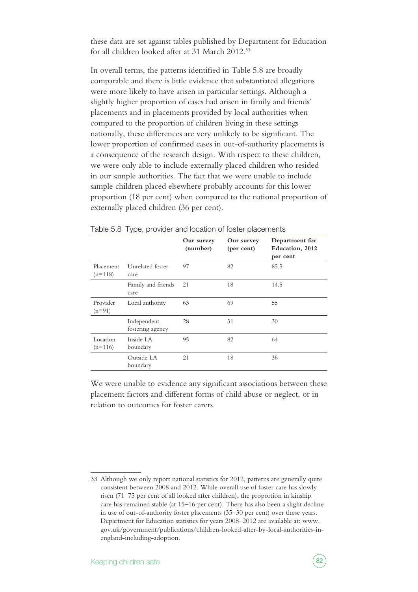these data are set against tables published by Department for Education for all children looked after at 31 March 2012.33

In overall terms, the patterns identified in Table 5.8 are broadly comparable and there is little evidence that substantiated allegations were more likely to have arisen in particular settings. Although a slightly higher proportion of cases had arisen in family and friends' placements and in placements provided by local authorities when compared to the proportion of children living in these settings nationally, these differences are very unlikely to be significant. The lower proportion of confirmed cases in out-of-authority placements is a consequence of the research design. With respect to these children, we were only able to include externally placed children who resided in our sample authorities. The fact that we were unable to include sample children placed elsewhere probably accounts for this lower proportion (18 per cent) when compared to the national proportion of externally placed children (36 per cent).

|                        |                                 | Our survey<br>(number) | Our survey<br>(per cent) | Department for<br>Education, 2012<br>per cent |
|------------------------|---------------------------------|------------------------|--------------------------|-----------------------------------------------|
| Placement<br>$(n=118)$ | Unrelated foster<br>care        | 97                     | 82                       | 85.5                                          |
|                        | Family and friends<br>care      | 21                     | 18                       | 14.5                                          |
| Provider<br>$(n=91)$   | Local authority                 | 63                     | 69                       | 55                                            |
|                        | Independent<br>fostering agency | 28                     | 31                       | 30                                            |
| Location<br>$(n=116)$  | Inside LA<br>boundary           | 95                     | 82                       | 64                                            |
|                        | Outside LA<br>boundary          | 21                     | 18                       | 36                                            |

| Table 5.8 Type, provider and location of foster placements |
|------------------------------------------------------------|
|------------------------------------------------------------|

We were unable to evidence any significant associations between these placement factors and different forms of child abuse or neglect, or in relation to outcomes for foster carers.

<sup>33</sup> Although we only report national statistics for 2012, patterns are generally quite consistent between 2008 and 2012. While overall use of foster care has slowly risen (71–75 per cent of all looked after children), the proportion in kinship care has remained stable (at 15–16 per cent). There has also been a slight decline in use of out-of-authority foster placements (35–30 per cent) over these years. Department for Education statistics for years 2008–2012 are available at: www. gov.uk/government/publications/children-looked-after-by-local-authorities-inengland-including-adoption.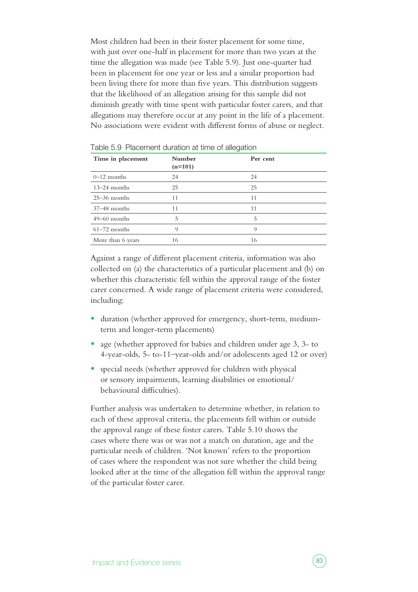Most children had been in their foster placement for some time, with just over one-half in placement for more than two years at the time the allegation was made (see Table 5.9). Just one-quarter had been in placement for one year or less and a similar proportion had been living there for more than five years. This distribution suggests that the likelihood of an allegation arising for this sample did not diminish greatly with time spent with particular foster carers, and that allegations may therefore occur at any point in the life of a placement. No associations were evident with different forms of abuse or neglect.

| Time in placement | Number<br>$(n=101)$ | Per cent |  |
|-------------------|---------------------|----------|--|
| $0-12$ months     | 24                  | 24       |  |
| $13-24$ months    | 25                  | 25       |  |
| $25-36$ months    | 11                  | 11       |  |
| $37-48$ months    | 11                  | 11       |  |
| $49-60$ months    | 5                   | 5        |  |
| $61-72$ months    | 9                   | 9        |  |
| More than 6 years | 16                  | 16       |  |

Table 5.9 Placement duration at time of allegation

Against a range of different placement criteria, information was also collected on (a) the characteristics of a particular placement and (b) on whether this characteristic fell within the approval range of the foster carer concerned. A wide range of placement criteria were considered, including:

- **•** duration (whether approved for emergency, short-term, mediumterm and longer-term placements)
- age (whether approved for babies and children under age 3, 3- to 4-year-olds, 5- to-11–year-olds and/or adolescents aged 12 or over)
- **•** special needs (whether approved for children with physical or sensory impairments, learning disabilities or emotional/ behavioural difficulties).

Further analysis was undertaken to determine whether, in relation to each of these approval criteria, the placements fell within or outside the approval range of these foster carers. Table 5.10 shows the cases where there was or was not a match on duration, age and the particular needs of children. 'Not known' refers to the proportion of cases where the respondent was not sure whether the child being looked after at the time of the allegation fell within the approval range of the particular foster carer.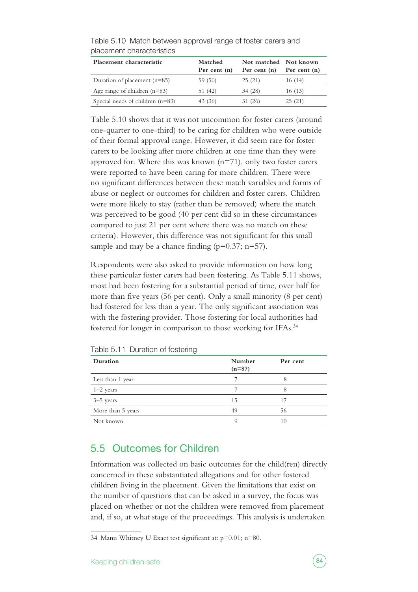| Placement characteristic           | Matched        | Not matched Not known |                |
|------------------------------------|----------------|-----------------------|----------------|
|                                    | Per cent $(n)$ | Per cent $(n)$        | Per cent $(n)$ |
| Duration of placement $(n=85)$     | 59(50)         | 25(21)                | 16(14)         |
| Age range of children $(n=83)$     | 51 (42)        | 34 (28)               | 16(13)         |
| Special needs of children $(n=83)$ | 43 (36)        | 31 (26)               | 25(21)         |

Table 5.10 Match between approval range of foster carers and placement characteristics

Table 5.10 shows that it was not uncommon for foster carers (around one-quarter to one-third) to be caring for children who were outside of their formal approval range. However, it did seem rare for foster carers to be looking after more children at one time than they were approved for. Where this was known  $(n=71)$ , only two foster carers were reported to have been caring for more children. There were no significant differences between these match variables and forms of abuse or neglect or outcomes for children and foster carers. Children were more likely to stay (rather than be removed) where the match was perceived to be good (40 per cent did so in these circumstances compared to just 21 per cent where there was no match on these criteria). However, this difference was not significant for this small sample and may be a chance finding ( $p=0.37$ ; n=57).

Respondents were also asked to provide information on how long these particular foster carers had been fostering. As Table 5.11 shows, most had been fostering for a substantial period of time, over half for more than five years (56 per cent). Only a small minority (8 per cent) had fostered for less than a year. The only significant association was with the fostering provider. Those fostering for local authorities had fostered for longer in comparison to those working for IFAs.<sup>34</sup>

| Duration          | Number<br>$(n=87)$ | Per cent |
|-------------------|--------------------|----------|
| Less than 1 year  |                    | 8        |
| $1-2$ years       |                    | 8        |
| $3-5$ years       | 15                 |          |
| More than 5 years | 49                 | 56       |
| Not known         | Q                  | 10       |

Table 5.11 Duration of fostering

## 5.5 Outcomes for Children

Information was collected on basic outcomes for the child(ren) directly concerned in these substantiated allegations and for other fostered children living in the placement. Given the limitations that exist on the number of questions that can be asked in a survey, the focus was placed on whether or not the children were removed from placement and, if so, at what stage of the proceedings. This analysis is undertaken

<sup>34</sup> Mann Whitney U Exact test significant at: p=0.01; n=80.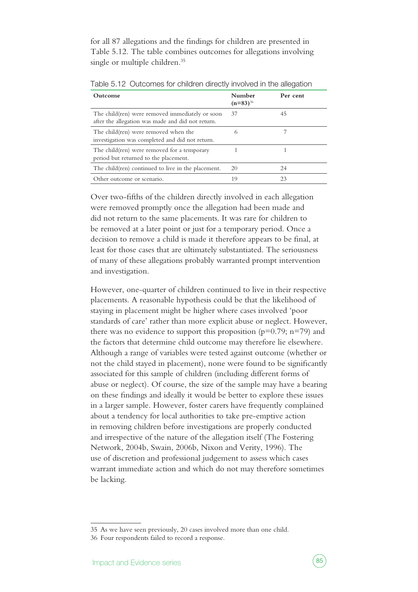for all 87 allegations and the findings for children are presented in Table 5.12. The table combines outcomes for allegations involving single or multiple children.<sup>35</sup>

| Outcome                                                                                              | Number<br>$(n=83)^{36}$ | Per cent |
|------------------------------------------------------------------------------------------------------|-------------------------|----------|
| The child(ren) were removed immediately or soon<br>after the allegation was made and did not return. | 37                      | 45       |
| The child(ren) were removed when the<br>investigation was completed and did not return.              | 6                       |          |
| The child(ren) were removed for a temporary<br>period but returned to the placement.                 |                         |          |
| The child(ren) continued to live in the placement.                                                   | 20                      | 24       |
| Other outcome or scenario.                                                                           | 19                      | 23       |

Table 5.12 Outcomes for children directly involved in the allegation

Over two-fifths of the children directly involved in each allegation were removed promptly once the allegation had been made and did not return to the same placements. It was rare for children to be removed at a later point or just for a temporary period. Once a decision to remove a child is made it therefore appears to be final, at least for those cases that are ultimately substantiated. The seriousness of many of these allegations probably warranted prompt intervention and investigation.

However, one-quarter of children continued to live in their respective placements. A reasonable hypothesis could be that the likelihood of staying in placement might be higher where cases involved 'poor standards of care' rather than more explicit abuse or neglect. However, there was no evidence to support this proposition ( $p=0.79$ ;  $n=79$ ) and the factors that determine child outcome may therefore lie elsewhere. Although a range of variables were tested against outcome (whether or not the child stayed in placement), none were found to be significantly associated for this sample of children (including different forms of abuse or neglect). Of course, the size of the sample may have a bearing on these findings and ideally it would be better to explore these issues in a larger sample. However, foster carers have frequently complained about a tendency for local authorities to take pre-emptive action in removing children before investigations are properly conducted and irrespective of the nature of the allegation itself (The Fostering Network, 2004b, Swain, 2006b, Nixon and Verity, 1996). The use of discretion and professional judgement to assess which cases warrant immediate action and which do not may therefore sometimes be lacking.



<sup>35</sup> As we have seen previously, 20 cases involved more than one child.

<sup>36</sup> Four respondents failed to record a response.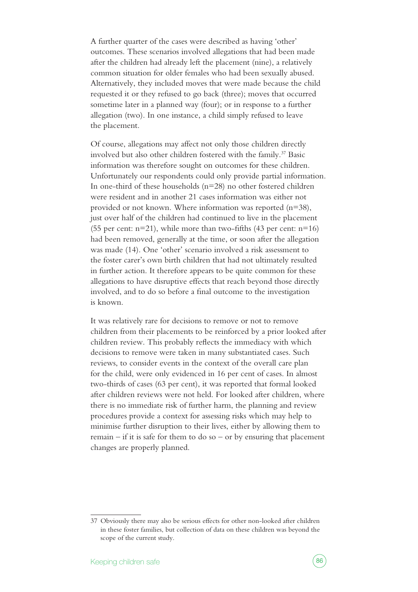A further quarter of the cases were described as having 'other' outcomes. These scenarios involved allegations that had been made after the children had already left the placement (nine), a relatively common situation for older females who had been sexually abused. Alternatively, they included moves that were made because the child requested it or they refused to go back (three); moves that occurred sometime later in a planned way (four); or in response to a further allegation (two). In one instance, a child simply refused to leave the placement.

Of course, allegations may affect not only those children directly involved but also other children fostered with the family.<sup>37</sup> Basic information was therefore sought on outcomes for these children. Unfortunately our respondents could only provide partial information. In one-third of these households  $(n=28)$  no other fostered children were resident and in another 21 cases information was either not provided or not known. Where information was reported (n=38), just over half of the children had continued to live in the placement (55 per cent:  $n=21$ ), while more than two-fifths (43 per cent:  $n=16$ ) had been removed, generally at the time, or soon after the allegation was made (14). One 'other' scenario involved a risk assessment to the foster carer's own birth children that had not ultimately resulted in further action. It therefore appears to be quite common for these allegations to have disruptive effects that reach beyond those directly involved, and to do so before a final outcome to the investigation is known.

It was relatively rare for decisions to remove or not to remove children from their placements to be reinforced by a prior looked after children review. This probably reflects the immediacy with which decisions to remove were taken in many substantiated cases. Such reviews, to consider events in the context of the overall care plan for the child, were only evidenced in 16 per cent of cases. In almost two-thirds of cases (63 per cent), it was reported that formal looked after children reviews were not held. For looked after children, where there is no immediate risk of further harm, the planning and review procedures provide a context for assessing risks which may help to minimise further disruption to their lives, either by allowing them to remain  $-$  if it is safe for them to do so  $-$  or by ensuring that placement changes are properly planned.

<sup>37</sup> Obviously there may also be serious effects for other non-looked after children in these foster families, but collection of data on these children was beyond the scope of the current study.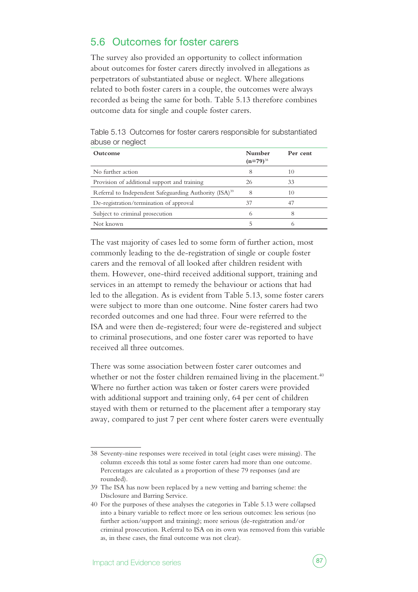## 5.6 Outcomes for foster carers

The survey also provided an opportunity to collect information about outcomes for foster carers directly involved in allegations as perpetrators of substantiated abuse or neglect. Where allegations related to both foster carers in a couple, the outcomes were always recorded as being the same for both. Table 5.13 therefore combines outcome data for single and couple foster carers.

| Outcome                                                            | Number<br>$(n=79)^{38}$ | Per cent |
|--------------------------------------------------------------------|-------------------------|----------|
| No further action                                                  | 8                       | 10       |
| Provision of additional support and training                       | 26                      | 33       |
| Referral to Independent Safeguarding Authority (ISA) <sup>39</sup> | 8                       | 10       |
| De-registration/termination of approval                            | 37                      |          |
| Subject to criminal prosecution                                    | 6                       |          |
| Not known                                                          | ┑                       |          |

Table 5.13 Outcomes for foster carers responsible for substantiated abuse or neglect

The vast majority of cases led to some form of further action, most commonly leading to the de-registration of single or couple foster carers and the removal of all looked after children resident with them. However, one-third received additional support, training and services in an attempt to remedy the behaviour or actions that had led to the allegation. As is evident from Table 5.13, some foster carers were subject to more than one outcome. Nine foster carers had two recorded outcomes and one had three. Four were referred to the ISA and were then de-registered; four were de-registered and subject to criminal prosecutions, and one foster carer was reported to have received all three outcomes.

There was some association between foster carer outcomes and whether or not the foster children remained living in the placement.<sup>40</sup> Where no further action was taken or foster carers were provided with additional support and training only, 64 per cent of children stayed with them or returned to the placement after a temporary stay away, compared to just 7 per cent where foster carers were eventually

<sup>38</sup> Seventy-nine responses were received in total (eight cases were missing). The column exceeds this total as some foster carers had more than one outcome. Percentages are calculated as a proportion of these 79 responses (and are rounded).

<sup>39</sup> The ISA has now been replaced by a new vetting and barring scheme: the Disclosure and Barring Service.

<sup>40</sup> For the purposes of these analyses the categories in Table 5.13 were collapsed into a binary variable to reflect more or less serious outcomes: less serious (no further action/support and training); more serious (de-registration and/or criminal prosecution. Referral to ISA on its own was removed from this variable as, in these cases, the final outcome was not clear).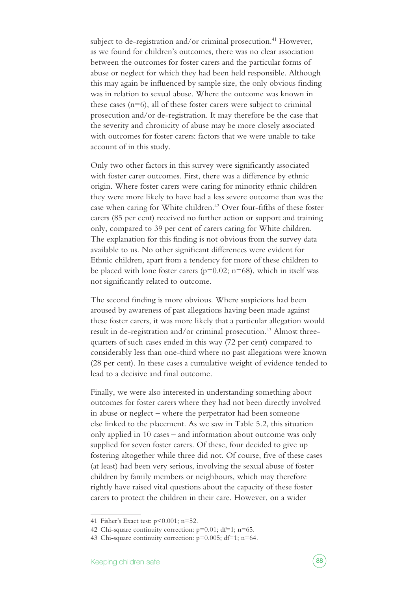subject to de-registration and/or criminal prosecution.<sup>41</sup> However, as we found for children's outcomes, there was no clear association between the outcomes for foster carers and the particular forms of abuse or neglect for which they had been held responsible. Although this may again be influenced by sample size, the only obvious finding was in relation to sexual abuse. Where the outcome was known in these cases  $(n=6)$ , all of these foster carers were subject to criminal prosecution and/or de-registration. It may therefore be the case that the severity and chronicity of abuse may be more closely associated with outcomes for foster carers: factors that we were unable to take account of in this study.

Only two other factors in this survey were significantly associated with foster carer outcomes. First, there was a difference by ethnic origin. Where foster carers were caring for minority ethnic children they were more likely to have had a less severe outcome than was the case when caring for White children.<sup>42</sup> Over four-fifths of these foster carers (85 per cent) received no further action or support and training only, compared to 39 per cent of carers caring for White children. The explanation for this finding is not obvious from the survey data available to us. No other significant differences were evident for Ethnic children, apart from a tendency for more of these children to be placed with lone foster carers ( $p=0.02$ ;  $n=68$ ), which in itself was not significantly related to outcome.

The second finding is more obvious. Where suspicions had been aroused by awareness of past allegations having been made against these foster carers, it was more likely that a particular allegation would result in de-registration and/or criminal prosecution.<sup>43</sup> Almost threequarters of such cases ended in this way (72 per cent) compared to considerably less than one-third where no past allegations were known (28 per cent). In these cases a cumulative weight of evidence tended to lead to a decisive and final outcome.

Finally, we were also interested in understanding something about outcomes for foster carers where they had not been directly involved in abuse or neglect – where the perpetrator had been someone else linked to the placement. As we saw in Table 5.2, this situation only applied in 10 cases – and information about outcome was only supplied for seven foster carers. Of these, four decided to give up fostering altogether while three did not. Of course, five of these cases (at least) had been very serious, involving the sexual abuse of foster children by family members or neighbours, which may therefore rightly have raised vital questions about the capacity of these foster carers to protect the children in their care. However, on a wider

<sup>41</sup> Fisher's Exact test: p<0.001; n=52.

<sup>42</sup> Chi-square continuity correction: p=0.01; df=1; n=65.

<sup>43</sup> Chi-square continuity correction: p=0.005; df=1; n=64.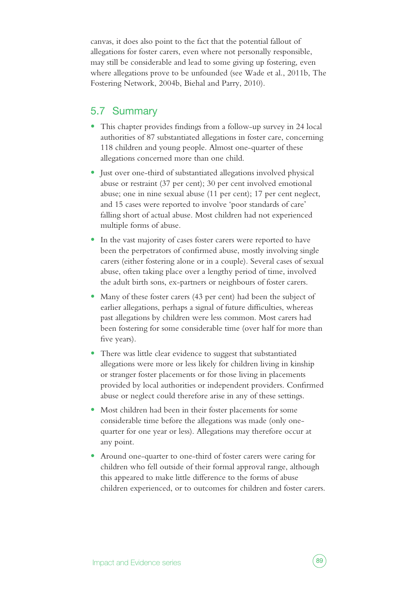canvas, it does also point to the fact that the potential fallout of allegations for foster carers, even where not personally responsible, may still be considerable and lead to some giving up fostering, even where allegations prove to be unfounded (see Wade et al., 2011b, The Fostering Network, 2004b, Biehal and Parry, 2010).

### 5.7 Summary

- **•** This chapter provides findings from a follow-up survey in 24 local authorities of 87 substantiated allegations in foster care, concerning 118 children and young people. Almost one-quarter of these allegations concerned more than one child.
- **•** Just over one-third of substantiated allegations involved physical abuse or restraint (37 per cent); 30 per cent involved emotional abuse; one in nine sexual abuse (11 per cent); 17 per cent neglect, and 15 cases were reported to involve 'poor standards of care' falling short of actual abuse. Most children had not experienced multiple forms of abuse.
- In the vast majority of cases foster carers were reported to have been the perpetrators of confirmed abuse, mostly involving single carers (either fostering alone or in a couple). Several cases of sexual abuse, often taking place over a lengthy period of time, involved the adult birth sons, ex-partners or neighbours of foster carers.
- Many of these foster carers (43 per cent) had been the subject of earlier allegations, perhaps a signal of future difficulties, whereas past allegations by children were less common. Most carers had been fostering for some considerable time (over half for more than five years).
- **•** There was little clear evidence to suggest that substantiated allegations were more or less likely for children living in kinship or stranger foster placements or for those living in placements provided by local authorities or independent providers. Confirmed abuse or neglect could therefore arise in any of these settings.
- **•** Most children had been in their foster placements for some considerable time before the allegations was made (only onequarter for one year or less). Allegations may therefore occur at any point.
- **•** Around one-quarter to one-third of foster carers were caring for children who fell outside of their formal approval range, although this appeared to make little difference to the forms of abuse children experienced, or to outcomes for children and foster carers.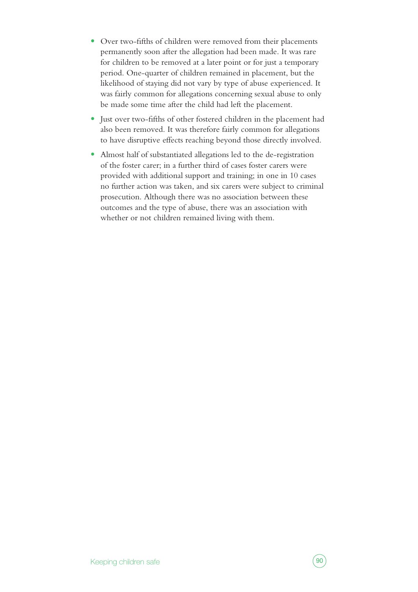- **•** Over two-fifths of children were removed from their placements permanently soon after the allegation had been made. It was rare for children to be removed at a later point or for just a temporary period. One-quarter of children remained in placement, but the likelihood of staying did not vary by type of abuse experienced. It was fairly common for allegations concerning sexual abuse to only be made some time after the child had left the placement.
- **•** Just over two-fifths of other fostered children in the placement had also been removed. It was therefore fairly common for allegations to have disruptive effects reaching beyond those directly involved.
- **•** Almost half of substantiated allegations led to the de-registration of the foster carer; in a further third of cases foster carers were provided with additional support and training; in one in 10 cases no further action was taken, and six carers were subject to criminal prosecution. Although there was no association between these outcomes and the type of abuse, there was an association with whether or not children remained living with them.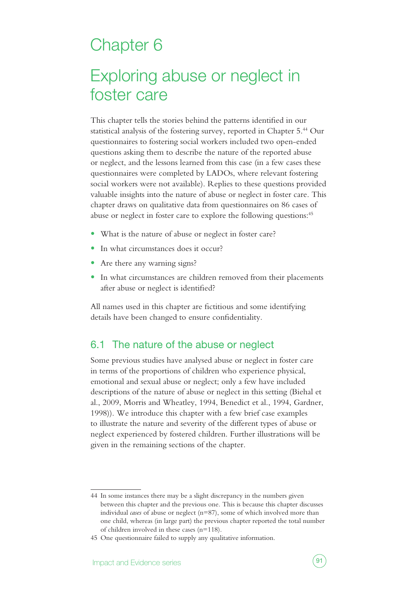# Chapter 6

# Exploring abuse or neglect in foster care

This chapter tells the stories behind the patterns identified in our statistical analysis of the fostering survey, reported in Chapter 5.<sup>44</sup> Our questionnaires to fostering social workers included two open-ended questions asking them to describe the nature of the reported abuse or neglect, and the lessons learned from this case (in a few cases these questionnaires were completed by LADOs, where relevant fostering social workers were not available). Replies to these questions provided valuable insights into the nature of abuse or neglect in foster care. This chapter draws on qualitative data from questionnaires on 86 cases of abuse or neglect in foster care to explore the following questions:<sup>45</sup>

- **•** What is the nature of abuse or neglect in foster care?
- **•** In what circumstances does it occur?
- Are there any warning signs?
- In what circumstances are children removed from their placements after abuse or neglect is identified?

All names used in this chapter are fictitious and some identifying details have been changed to ensure confidentiality.

## 6.1 The nature of the abuse or neglect

Some previous studies have analysed abuse or neglect in foster care in terms of the proportions of children who experience physical, emotional and sexual abuse or neglect; only a few have included descriptions of the nature of abuse or neglect in this setting (Biehal et al., 2009, Morris and Wheatley, 1994, Benedict et al., 1994, Gardner, 1998)). We introduce this chapter with a few brief case examples to illustrate the nature and severity of the different types of abuse or neglect experienced by fostered children. Further illustrations will be given in the remaining sections of the chapter.



<sup>44</sup> In some instances there may be a slight discrepancy in the numbers given between this chapter and the previous one. This is because this chapter discusses individual *cases* of abuse or neglect (n=87), some of which involved more than one child, whereas (in large part) the previous chapter reported the total number of children involved in these cases (n=118).

<sup>45</sup> One questionnaire failed to supply any qualitative information.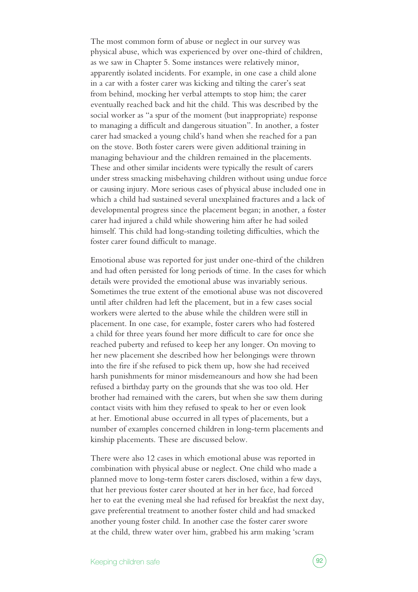The most common form of abuse or neglect in our survey was physical abuse, which was experienced by over one-third of children, as we saw in Chapter 5. Some instances were relatively minor, apparently isolated incidents. For example, in one case a child alone in a car with a foster carer was kicking and tilting the carer's seat from behind, mocking her verbal attempts to stop him; the carer eventually reached back and hit the child. This was described by the social worker as "a spur of the moment (but inappropriate) response to managing a difficult and dangerous situation". In another, a foster carer had smacked a young child's hand when she reached for a pan on the stove. Both foster carers were given additional training in managing behaviour and the children remained in the placements. These and other similar incidents were typically the result of carers under stress smacking misbehaving children without using undue force or causing injury. More serious cases of physical abuse included one in which a child had sustained several unexplained fractures and a lack of developmental progress since the placement began; in another, a foster carer had injured a child while showering him after he had soiled himself. This child had long-standing toileting difficulties, which the foster carer found difficult to manage.

Emotional abuse was reported for just under one-third of the children and had often persisted for long periods of time. In the cases for which details were provided the emotional abuse was invariably serious. Sometimes the true extent of the emotional abuse was not discovered until after children had left the placement, but in a few cases social workers were alerted to the abuse while the children were still in placement. In one case, for example, foster carers who had fostered a child for three years found her more difficult to care for once she reached puberty and refused to keep her any longer. On moving to her new placement she described how her belongings were thrown into the fire if she refused to pick them up, how she had received harsh punishments for minor misdemeanours and how she had been refused a birthday party on the grounds that she was too old. Her brother had remained with the carers, but when she saw them during contact visits with him they refused to speak to her or even look at her. Emotional abuse occurred in all types of placements, but a number of examples concerned children in long-term placements and kinship placements. These are discussed below.

There were also 12 cases in which emotional abuse was reported in combination with physical abuse or neglect. One child who made a planned move to long-term foster carers disclosed, within a few days, that her previous foster carer shouted at her in her face, had forced her to eat the evening meal she had refused for breakfast the next day, gave preferential treatment to another foster child and had smacked another young foster child. In another case the foster carer swore at the child, threw water over him, grabbed his arm making 'scram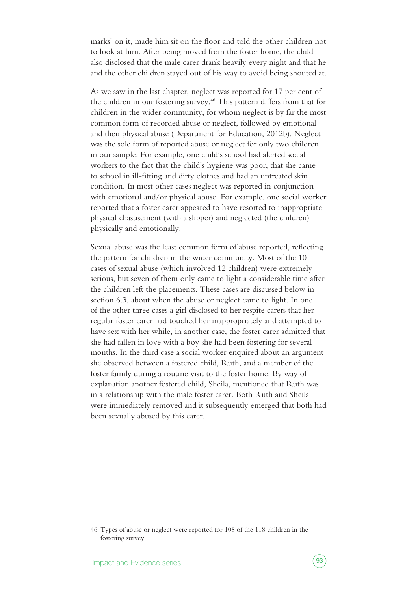marks' on it, made him sit on the floor and told the other children not to look at him. After being moved from the foster home, the child also disclosed that the male carer drank heavily every night and that he and the other children stayed out of his way to avoid being shouted at.

As we saw in the last chapter, neglect was reported for 17 per cent of the children in our fostering survey.46 This pattern differs from that for children in the wider community, for whom neglect is by far the most common form of recorded abuse or neglect, followed by emotional and then physical abuse (Department for Education, 2012b). Neglect was the sole form of reported abuse or neglect for only two children in our sample. For example, one child's school had alerted social workers to the fact that the child's hygiene was poor, that she came to school in ill-fitting and dirty clothes and had an untreated skin condition. In most other cases neglect was reported in conjunction with emotional and/or physical abuse. For example, one social worker reported that a foster carer appeared to have resorted to inappropriate physical chastisement (with a slipper) and neglected (the children) physically and emotionally.

Sexual abuse was the least common form of abuse reported, reflecting the pattern for children in the wider community. Most of the 10 cases of sexual abuse (which involved 12 children) were extremely serious, but seven of them only came to light a considerable time after the children left the placements. These cases are discussed below in section 6.3, about when the abuse or neglect came to light. In one of the other three cases a girl disclosed to her respite carers that her regular foster carer had touched her inappropriately and attempted to have sex with her while, in another case, the foster carer admitted that she had fallen in love with a boy she had been fostering for several months. In the third case a social worker enquired about an argument she observed between a fostered child, Ruth, and a member of the foster family during a routine visit to the foster home. By way of explanation another fostered child, Sheila, mentioned that Ruth was in a relationship with the male foster carer. Both Ruth and Sheila were immediately removed and it subsequently emerged that both had been sexually abused by this carer.



<sup>46</sup> Types of abuse or neglect were reported for 108 of the 118 children in the fostering survey.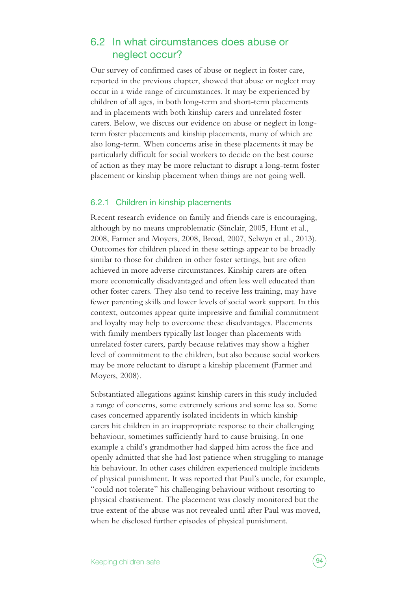# 6.2 In what circumstances does abuse or neglect occur?

Our survey of confirmed cases of abuse or neglect in foster care, reported in the previous chapter, showed that abuse or neglect may occur in a wide range of circumstances. It may be experienced by children of all ages, in both long-term and short-term placements and in placements with both kinship carers and unrelated foster carers. Below, we discuss our evidence on abuse or neglect in longterm foster placements and kinship placements, many of which are also long-term. When concerns arise in these placements it may be particularly difficult for social workers to decide on the best course of action as they may be more reluctant to disrupt a long-term foster placement or kinship placement when things are not going well.

#### 6.2.1 Children in kinship placements

Recent research evidence on family and friends care is encouraging, although by no means unproblematic (Sinclair, 2005, Hunt et al., 2008, Farmer and Moyers, 2008, Broad, 2007, Selwyn et al., 2013). Outcomes for children placed in these settings appear to be broadly similar to those for children in other foster settings, but are often achieved in more adverse circumstances. Kinship carers are often more economically disadvantaged and often less well educated than other foster carers. They also tend to receive less training, may have fewer parenting skills and lower levels of social work support. In this context, outcomes appear quite impressive and familial commitment and loyalty may help to overcome these disadvantages. Placements with family members typically last longer than placements with unrelated foster carers, partly because relatives may show a higher level of commitment to the children, but also because social workers may be more reluctant to disrupt a kinship placement (Farmer and Moyers, 2008).

Substantiated allegations against kinship carers in this study included a range of concerns, some extremely serious and some less so. Some cases concerned apparently isolated incidents in which kinship carers hit children in an inappropriate response to their challenging behaviour, sometimes sufficiently hard to cause bruising. In one example a child's grandmother had slapped him across the face and openly admitted that she had lost patience when struggling to manage his behaviour. In other cases children experienced multiple incidents of physical punishment. It was reported that Paul's uncle, for example, "could not tolerate" his challenging behaviour without resorting to physical chastisement. The placement was closely monitored but the true extent of the abuse was not revealed until after Paul was moved, when he disclosed further episodes of physical punishment.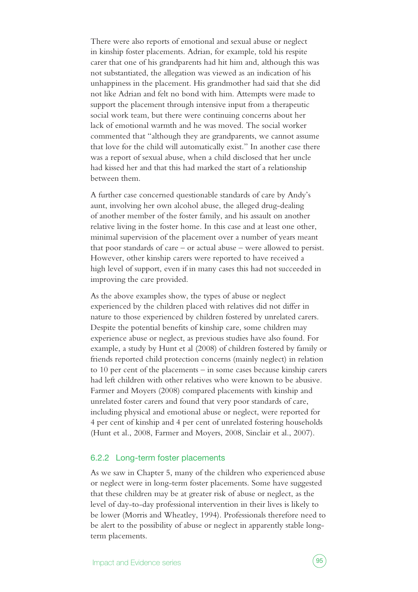There were also reports of emotional and sexual abuse or neglect in kinship foster placements. Adrian, for example, told his respite carer that one of his grandparents had hit him and, although this was not substantiated, the allegation was viewed as an indication of his unhappiness in the placement. His grandmother had said that she did not like Adrian and felt no bond with him. Attempts were made to support the placement through intensive input from a therapeutic social work team, but there were continuing concerns about her lack of emotional warmth and he was moved. The social worker commented that "although they are grandparents, we cannot assume that love for the child will automatically exist." In another case there was a report of sexual abuse, when a child disclosed that her uncle had kissed her and that this had marked the start of a relationship between them.

A further case concerned questionable standards of care by Andy's aunt, involving her own alcohol abuse, the alleged drug-dealing of another member of the foster family, and his assault on another relative living in the foster home. In this case and at least one other, minimal supervision of the placement over a number of years meant that poor standards of care – or actual abuse – were allowed to persist. However, other kinship carers were reported to have received a high level of support, even if in many cases this had not succeeded in improving the care provided.

As the above examples show, the types of abuse or neglect experienced by the children placed with relatives did not differ in nature to those experienced by children fostered by unrelated carers. Despite the potential benefits of kinship care, some children may experience abuse or neglect, as previous studies have also found. For example, a study by Hunt et al (2008) of children fostered by family or friends reported child protection concerns (mainly neglect) in relation to 10 per cent of the placements – in some cases because kinship carers had left children with other relatives who were known to be abusive. Farmer and Moyers (2008) compared placements with kinship and unrelated foster carers and found that very poor standards of care, including physical and emotional abuse or neglect, were reported for 4 per cent of kinship and 4 per cent of unrelated fostering households (Hunt et al., 2008, Farmer and Moyers, 2008, Sinclair et al., 2007).

#### 6.2.2 Long-term foster placements

As we saw in Chapter 5, many of the children who experienced abuse or neglect were in long-term foster placements. Some have suggested that these children may be at greater risk of abuse or neglect, as the level of day-to-day professional intervention in their lives is likely to be lower (Morris and Wheatley, 1994). Professionals therefore need to be alert to the possibility of abuse or neglect in apparently stable longterm placements.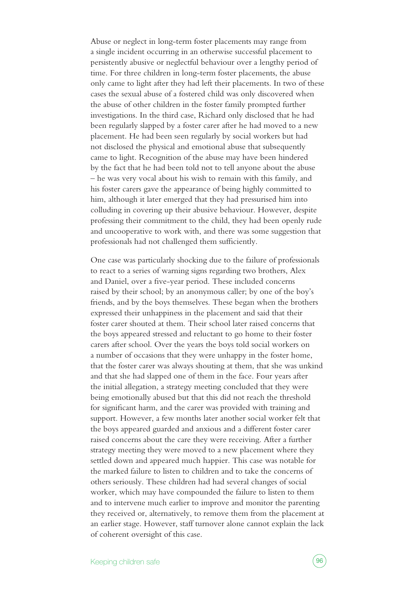Abuse or neglect in long-term foster placements may range from a single incident occurring in an otherwise successful placement to persistently abusive or neglectful behaviour over a lengthy period of time. For three children in long-term foster placements, the abuse only came to light after they had left their placements. In two of these cases the sexual abuse of a fostered child was only discovered when the abuse of other children in the foster family prompted further investigations. In the third case, Richard only disclosed that he had been regularly slapped by a foster carer after he had moved to a new placement. He had been seen regularly by social workers but had not disclosed the physical and emotional abuse that subsequently came to light. Recognition of the abuse may have been hindered by the fact that he had been told not to tell anyone about the abuse – he was very vocal about his wish to remain with this family, and his foster carers gave the appearance of being highly committed to him, although it later emerged that they had pressurised him into colluding in covering up their abusive behaviour. However, despite professing their commitment to the child, they had been openly rude and uncooperative to work with, and there was some suggestion that professionals had not challenged them sufficiently.

One case was particularly shocking due to the failure of professionals to react to a series of warning signs regarding two brothers, Alex and Daniel, over a five-year period. These included concerns raised by their school; by an anonymous caller; by one of the boy's friends, and by the boys themselves. These began when the brothers expressed their unhappiness in the placement and said that their foster carer shouted at them. Their school later raised concerns that the boys appeared stressed and reluctant to go home to their foster carers after school. Over the years the boys told social workers on a number of occasions that they were unhappy in the foster home, that the foster carer was always shouting at them, that she was unkind and that she had slapped one of them in the face. Four years after the initial allegation, a strategy meeting concluded that they were being emotionally abused but that this did not reach the threshold for significant harm, and the carer was provided with training and support. However, a few months later another social worker felt that the boys appeared guarded and anxious and a different foster carer raised concerns about the care they were receiving. After a further strategy meeting they were moved to a new placement where they settled down and appeared much happier. This case was notable for the marked failure to listen to children and to take the concerns of others seriously. These children had had several changes of social worker, which may have compounded the failure to listen to them and to intervene much earlier to improve and monitor the parenting they received or, alternatively, to remove them from the placement at an earlier stage. However, staff turnover alone cannot explain the lack of coherent oversight of this case.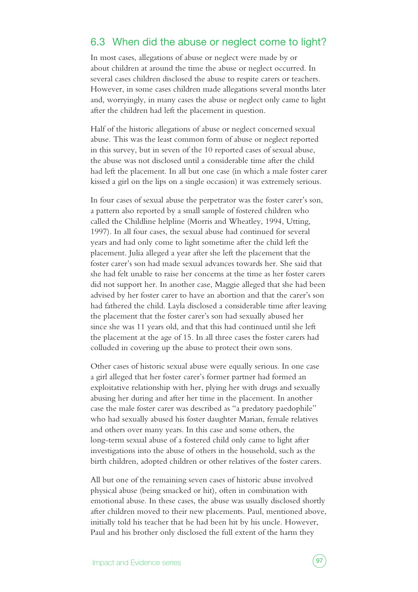## 6.3 When did the abuse or neglect come to light?

In most cases, allegations of abuse or neglect were made by or about children at around the time the abuse or neglect occurred. In several cases children disclosed the abuse to respite carers or teachers. However, in some cases children made allegations several months later and, worryingly, in many cases the abuse or neglect only came to light after the children had left the placement in question.

Half of the historic allegations of abuse or neglect concerned sexual abuse. This was the least common form of abuse or neglect reported in this survey, but in seven of the 10 reported cases of sexual abuse, the abuse was not disclosed until a considerable time after the child had left the placement. In all but one case (in which a male foster carer kissed a girl on the lips on a single occasion) it was extremely serious.

In four cases of sexual abuse the perpetrator was the foster carer's son, a pattern also reported by a small sample of fostered children who called the Childline helpline (Morris and Wheatley, 1994, Utting, 1997). In all four cases, the sexual abuse had continued for several years and had only come to light sometime after the child left the placement. Julia alleged a year after she left the placement that the foster carer's son had made sexual advances towards her. She said that she had felt unable to raise her concerns at the time as her foster carers did not support her. In another case, Maggie alleged that she had been advised by her foster carer to have an abortion and that the carer's son had fathered the child. Layla disclosed a considerable time after leaving the placement that the foster carer's son had sexually abused her since she was 11 years old, and that this had continued until she left the placement at the age of 15. In all three cases the foster carers had colluded in covering up the abuse to protect their own sons.

Other cases of historic sexual abuse were equally serious. In one case a girl alleged that her foster carer's former partner had formed an exploitative relationship with her, plying her with drugs and sexually abusing her during and after her time in the placement. In another case the male foster carer was described as "a predatory paedophile" who had sexually abused his foster daughter Marian, female relatives and others over many years. In this case and some others, the long-term sexual abuse of a fostered child only came to light after investigations into the abuse of others in the household, such as the birth children, adopted children or other relatives of the foster carers.

All but one of the remaining seven cases of historic abuse involved physical abuse (being smacked or hit), often in combination with emotional abuse. In these cases, the abuse was usually disclosed shortly after children moved to their new placements. Paul, mentioned above, initially told his teacher that he had been hit by his uncle. However, Paul and his brother only disclosed the full extent of the harm they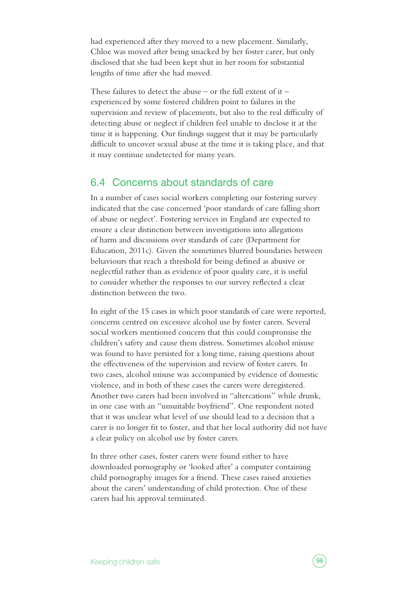had experienced after they moved to a new placement. Similarly, Chloe was moved after being smacked by her foster carer, but only disclosed that she had been kept shut in her room for substantial lengths of time after she had moved.

These failures to detect the abuse – or the full extent of it – experienced by some fostered children point to failures in the supervision and review of placements, but also to the real difficulty of detecting abuse or neglect if children feel unable to disclose it at the time it is happening. Our findings suggest that it may be particularly difficult to uncover sexual abuse at the time it is taking place, and that it may continue undetected for many years.

## 6.4 Concerns about standards of care

In a number of cases social workers completing our fostering survey indicated that the case concerned 'poor standards of care falling short of abuse or neglect'. Fostering services in England are expected to ensure a clear distinction between investigations into allegations of harm and discussions over standards of care (Department for Education, 2011c). Given the sometimes blurred boundaries between behaviours that reach a threshold for being defined as abusive or neglectful rather than as evidence of poor quality care, it is useful to consider whether the responses to our survey reflected a clear distinction between the two.

In eight of the 15 cases in which poor standards of care were reported, concerns centred on excessive alcohol use by foster carers. Several social workers mentioned concern that this could compromise the children's safety and cause them distress. Sometimes alcohol misuse was found to have persisted for a long time, raising questions about the effectiveness of the supervision and review of foster carers. In two cases, alcohol misuse was accompanied by evidence of domestic violence, and in both of these cases the carers were deregistered. Another two carers had been involved in "altercations" while drunk, in one case with an "unsuitable boyfriend". One respondent noted that it was unclear what level of use should lead to a decision that a carer is no longer fit to foster, and that her local authority did not have a clear policy on alcohol use by foster carers.

In three other cases, foster carers were found either to have downloaded pornography or 'looked after' a computer containing child pornography images for a friend. These cases raised anxieties about the carers' understanding of child protection. One of these carers had his approval terminated.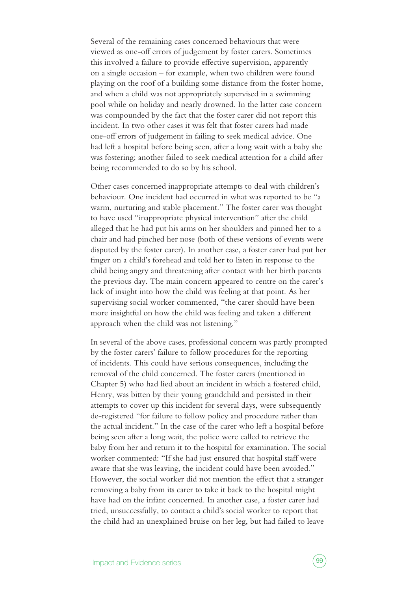Several of the remaining cases concerned behaviours that were viewed as one-off errors of judgement by foster carers. Sometimes this involved a failure to provide effective supervision, apparently on a single occasion – for example, when two children were found playing on the roof of a building some distance from the foster home, and when a child was not appropriately supervised in a swimming pool while on holiday and nearly drowned. In the latter case concern was compounded by the fact that the foster carer did not report this incident. In two other cases it was felt that foster carers had made one-off errors of judgement in failing to seek medical advice. One had left a hospital before being seen, after a long wait with a baby she was fostering; another failed to seek medical attention for a child after being recommended to do so by his school.

Other cases concerned inappropriate attempts to deal with children's behaviour. One incident had occurred in what was reported to be "a warm, nurturing and stable placement." The foster carer was thought to have used "inappropriate physical intervention" after the child alleged that he had put his arms on her shoulders and pinned her to a chair and had pinched her nose (both of these versions of events were disputed by the foster carer). In another case, a foster carer had put her finger on a child's forehead and told her to listen in response to the child being angry and threatening after contact with her birth parents the previous day. The main concern appeared to centre on the carer's lack of insight into how the child was feeling at that point. As her supervising social worker commented, "the carer should have been more insightful on how the child was feeling and taken a different approach when the child was not listening."

In several of the above cases, professional concern was partly prompted by the foster carers' failure to follow procedures for the reporting of incidents. This could have serious consequences, including the removal of the child concerned. The foster carers (mentioned in Chapter 5) who had lied about an incident in which a fostered child, Henry, was bitten by their young grandchild and persisted in their attempts to cover up this incident for several days, were subsequently de-registered "for failure to follow policy and procedure rather than the actual incident." In the case of the carer who left a hospital before being seen after a long wait, the police were called to retrieve the baby from her and return it to the hospital for examination. The social worker commented: "If she had just ensured that hospital staff were aware that she was leaving, the incident could have been avoided." However, the social worker did not mention the effect that a stranger removing a baby from its carer to take it back to the hospital might have had on the infant concerned. In another case, a foster carer had tried, unsuccessfully, to contact a child's social worker to report that the child had an unexplained bruise on her leg, but had failed to leave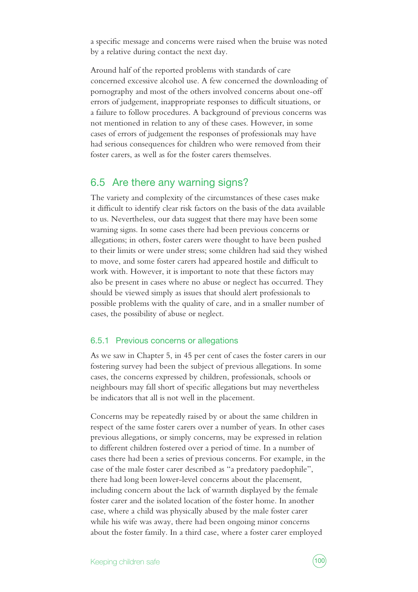a specific message and concerns were raised when the bruise was noted by a relative during contact the next day.

Around half of the reported problems with standards of care concerned excessive alcohol use. A few concerned the downloading of pornography and most of the others involved concerns about one-off errors of judgement, inappropriate responses to difficult situations, or a failure to follow procedures. A background of previous concerns was not mentioned in relation to any of these cases. However, in some cases of errors of judgement the responses of professionals may have had serious consequences for children who were removed from their foster carers, as well as for the foster carers themselves.

### 6.5 Are there any warning signs?

The variety and complexity of the circumstances of these cases make it difficult to identify clear risk factors on the basis of the data available to us. Nevertheless, our data suggest that there may have been some warning signs. In some cases there had been previous concerns or allegations; in others, foster carers were thought to have been pushed to their limits or were under stress; some children had said they wished to move, and some foster carers had appeared hostile and difficult to work with. However, it is important to note that these factors may also be present in cases where no abuse or neglect has occurred. They should be viewed simply as issues that should alert professionals to possible problems with the quality of care, and in a smaller number of cases, the possibility of abuse or neglect.

#### 6.5.1 Previous concerns or allegations

As we saw in Chapter 5, in 45 per cent of cases the foster carers in our fostering survey had been the subject of previous allegations. In some cases, the concerns expressed by children, professionals, schools or neighbours may fall short of specific allegations but may nevertheless be indicators that all is not well in the placement.

Concerns may be repeatedly raised by or about the same children in respect of the same foster carers over a number of years. In other cases previous allegations, or simply concerns, may be expressed in relation to different children fostered over a period of time. In a number of cases there had been a series of previous concerns. For example, in the case of the male foster carer described as "a predatory paedophile", there had long been lower-level concerns about the placement, including concern about the lack of warmth displayed by the female foster carer and the isolated location of the foster home. In another case, where a child was physically abused by the male foster carer while his wife was away, there had been ongoing minor concerns about the foster family. In a third case, where a foster carer employed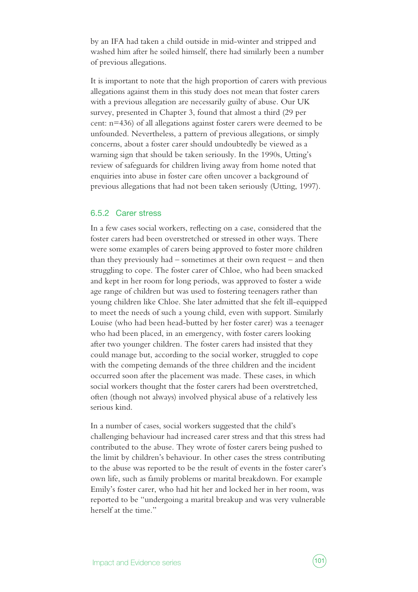by an IFA had taken a child outside in mid-winter and stripped and washed him after he soiled himself, there had similarly been a number of previous allegations.

It is important to note that the high proportion of carers with previous allegations against them in this study does not mean that foster carers with a previous allegation are necessarily guilty of abuse. Our UK survey, presented in Chapter 3, found that almost a third (29 per cent: n=436) of all allegations against foster carers were deemed to be unfounded. Nevertheless, a pattern of previous allegations, or simply concerns, about a foster carer should undoubtedly be viewed as a warning sign that should be taken seriously. In the 1990s, Utting's review of safeguards for children living away from home noted that enquiries into abuse in foster care often uncover a background of previous allegations that had not been taken seriously (Utting, 1997).

#### 6.5.2 Carer stress

In a few cases social workers, reflecting on a case, considered that the foster carers had been overstretched or stressed in other ways. There were some examples of carers being approved to foster more children than they previously had – sometimes at their own request – and then struggling to cope. The foster carer of Chloe, who had been smacked and kept in her room for long periods, was approved to foster a wide age range of children but was used to fostering teenagers rather than young children like Chloe. She later admitted that she felt ill-equipped to meet the needs of such a young child, even with support. Similarly Louise (who had been head-butted by her foster carer) was a teenager who had been placed, in an emergency, with foster carers looking after two younger children. The foster carers had insisted that they could manage but, according to the social worker, struggled to cope with the competing demands of the three children and the incident occurred soon after the placement was made. These cases, in which social workers thought that the foster carers had been overstretched, often (though not always) involved physical abuse of a relatively less serious kind.

In a number of cases, social workers suggested that the child's challenging behaviour had increased carer stress and that this stress had contributed to the abuse. They wrote of foster carers being pushed to the limit by children's behaviour. In other cases the stress contributing to the abuse was reported to be the result of events in the foster carer's own life, such as family problems or marital breakdown. For example Emily's foster carer, who had hit her and locked her in her room, was reported to be "undergoing a marital breakup and was very vulnerable herself at the time."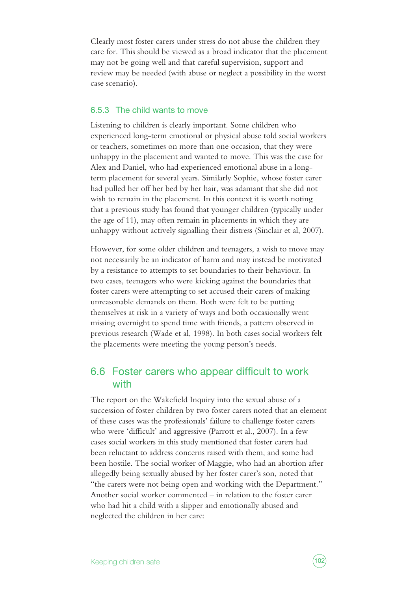Clearly most foster carers under stress do not abuse the children they care for. This should be viewed as a broad indicator that the placement may not be going well and that careful supervision, support and review may be needed (with abuse or neglect a possibility in the worst case scenario).

#### 6.5.3 The child wants to move

Listening to children is clearly important. Some children who experienced long-term emotional or physical abuse told social workers or teachers, sometimes on more than one occasion, that they were unhappy in the placement and wanted to move. This was the case for Alex and Daniel, who had experienced emotional abuse in a longterm placement for several years. Similarly Sophie, whose foster carer had pulled her off her bed by her hair, was adamant that she did not wish to remain in the placement. In this context it is worth noting that a previous study has found that younger children (typically under the age of 11), may often remain in placements in which they are unhappy without actively signalling their distress (Sinclair et al, 2007).

However, for some older children and teenagers, a wish to move may not necessarily be an indicator of harm and may instead be motivated by a resistance to attempts to set boundaries to their behaviour. In two cases, teenagers who were kicking against the boundaries that foster carers were attempting to set accused their carers of making unreasonable demands on them. Both were felt to be putting themselves at risk in a variety of ways and both occasionally went missing overnight to spend time with friends, a pattern observed in previous research (Wade et al, 1998). In both cases social workers felt the placements were meeting the young person's needs.

## 6.6 Foster carers who appear difficult to work with

The report on the Wakefield Inquiry into the sexual abuse of a succession of foster children by two foster carers noted that an element of these cases was the professionals' failure to challenge foster carers who were 'difficult' and aggressive (Parrott et al., 2007). In a few cases social workers in this study mentioned that foster carers had been reluctant to address concerns raised with them, and some had been hostile. The social worker of Maggie, who had an abortion after allegedly being sexually abused by her foster carer's son, noted that "the carers were not being open and working with the Department." Another social worker commented – in relation to the foster carer who had hit a child with a slipper and emotionally abused and neglected the children in her care: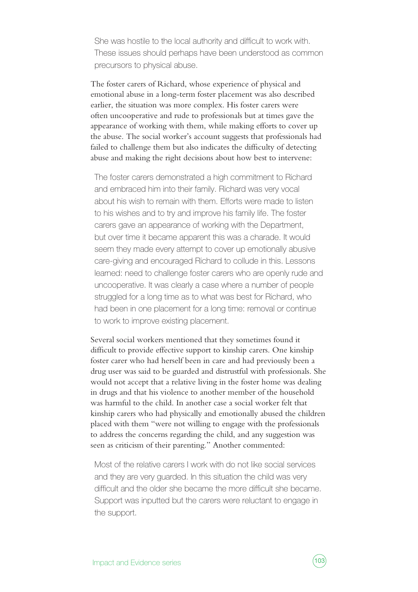She was hostile to the local authority and difficult to work with. These issues should perhaps have been understood as common precursors to physical abuse.

The foster carers of Richard, whose experience of physical and emotional abuse in a long-term foster placement was also described earlier, the situation was more complex. His foster carers were often uncooperative and rude to professionals but at times gave the appearance of working with them, while making efforts to cover up the abuse. The social worker's account suggests that professionals had failed to challenge them but also indicates the difficulty of detecting abuse and making the right decisions about how best to intervene:

The foster carers demonstrated a high commitment to Richard and embraced him into their family. Richard was very vocal about his wish to remain with them. Efforts were made to listen to his wishes and to try and improve his family life. The foster carers gave an appearance of working with the Department, but over time it became apparent this was a charade. It would seem they made every attempt to cover up emotionally abusive care-giving and encouraged Richard to collude in this. Lessons learned: need to challenge foster carers who are openly rude and uncooperative. It was clearly a case where a number of people struggled for a long time as to what was best for Richard, who had been in one placement for a long time: removal or continue to work to improve existing placement.

Several social workers mentioned that they sometimes found it difficult to provide effective support to kinship carers. One kinship foster carer who had herself been in care and had previously been a drug user was said to be guarded and distrustful with professionals. She would not accept that a relative living in the foster home was dealing in drugs and that his violence to another member of the household was harmful to the child. In another case a social worker felt that kinship carers who had physically and emotionally abused the children placed with them "were not willing to engage with the professionals to address the concerns regarding the child, and any suggestion was seen as criticism of their parenting." Another commented:

Most of the relative carers I work with do not like social services and they are very guarded. In this situation the child was very difficult and the older she became the more difficult she became. Support was inputted but the carers were reluctant to engage in the support.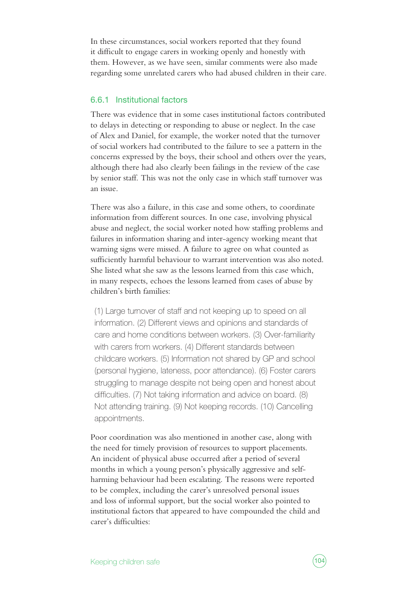In these circumstances, social workers reported that they found it difficult to engage carers in working openly and honestly with them. However, as we have seen, similar comments were also made regarding some unrelated carers who had abused children in their care.

#### 6.6.1 Institutional factors

There was evidence that in some cases institutional factors contributed to delays in detecting or responding to abuse or neglect. In the case of Alex and Daniel, for example, the worker noted that the turnover of social workers had contributed to the failure to see a pattern in the concerns expressed by the boys, their school and others over the years, although there had also clearly been failings in the review of the case by senior staff. This was not the only case in which staff turnover was an issue.

There was also a failure, in this case and some others, to coordinate information from different sources. In one case, involving physical abuse and neglect, the social worker noted how staffing problems and failures in information sharing and inter-agency working meant that warning signs were missed. A failure to agree on what counted as sufficiently harmful behaviour to warrant intervention was also noted. She listed what she saw as the lessons learned from this case which, in many respects, echoes the lessons learned from cases of abuse by children's birth families:

(1) Large turnover of staff and not keeping up to speed on all information. (2) Different views and opinions and standards of care and home conditions between workers. (3) Over-familiarity with carers from workers. (4) Different standards between childcare workers. (5) Information not shared by GP and school (personal hygiene, lateness, poor attendance). (6) Foster carers struggling to manage despite not being open and honest about difficulties. (7) Not taking information and advice on board. (8) Not attending training. (9) Not keeping records. (10) Cancelling appointments.

Poor coordination was also mentioned in another case, along with the need for timely provision of resources to support placements. An incident of physical abuse occurred after a period of several months in which a young person's physically aggressive and selfharming behaviour had been escalating. The reasons were reported to be complex, including the carer's unresolved personal issues and loss of informal support, but the social worker also pointed to institutional factors that appeared to have compounded the child and carer's difficulties: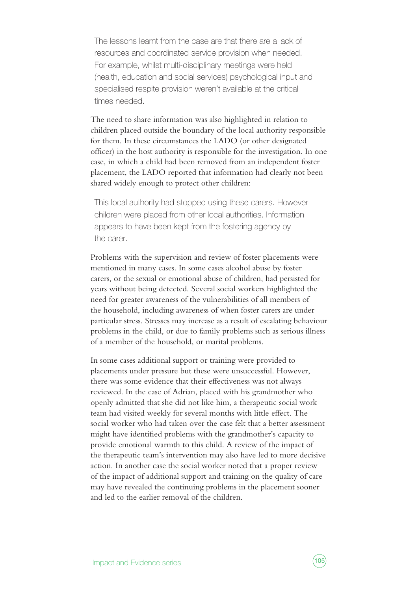The lessons learnt from the case are that there are a lack of resources and coordinated service provision when needed. For example, whilst multi-disciplinary meetings were held (health, education and social services) psychological input and specialised respite provision weren't available at the critical times needed.

The need to share information was also highlighted in relation to children placed outside the boundary of the local authority responsible for them. In these circumstances the LADO (or other designated officer) in the host authority is responsible for the investigation. In one case, in which a child had been removed from an independent foster placement, the LADO reported that information had clearly not been shared widely enough to protect other children:

This local authority had stopped using these carers. However children were placed from other local authorities. Information appears to have been kept from the fostering agency by the carer.

Problems with the supervision and review of foster placements were mentioned in many cases. In some cases alcohol abuse by foster carers, or the sexual or emotional abuse of children, had persisted for years without being detected. Several social workers highlighted the need for greater awareness of the vulnerabilities of all members of the household, including awareness of when foster carers are under particular stress. Stresses may increase as a result of escalating behaviour problems in the child, or due to family problems such as serious illness of a member of the household, or marital problems.

In some cases additional support or training were provided to placements under pressure but these were unsuccessful. However, there was some evidence that their effectiveness was not always reviewed. In the case of Adrian, placed with his grandmother who openly admitted that she did not like him, a therapeutic social work team had visited weekly for several months with little effect. The social worker who had taken over the case felt that a better assessment might have identified problems with the grandmother's capacity to provide emotional warmth to this child. A review of the impact of the therapeutic team's intervention may also have led to more decisive action. In another case the social worker noted that a proper review of the impact of additional support and training on the quality of care may have revealed the continuing problems in the placement sooner and led to the earlier removal of the children.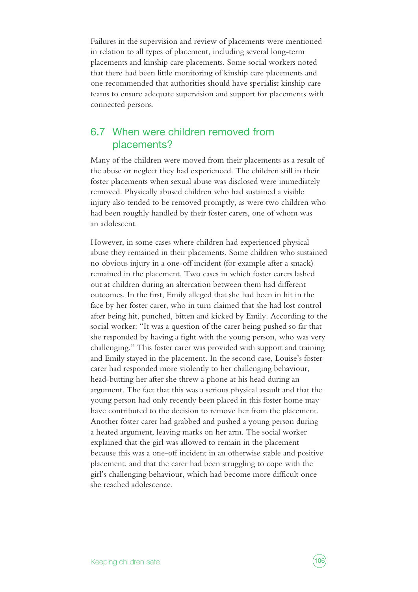Failures in the supervision and review of placements were mentioned in relation to all types of placement, including several long-term placements and kinship care placements. Some social workers noted that there had been little monitoring of kinship care placements and one recommended that authorities should have specialist kinship care teams to ensure adequate supervision and support for placements with connected persons.

# 6.7 When were children removed from placements?

Many of the children were moved from their placements as a result of the abuse or neglect they had experienced. The children still in their foster placements when sexual abuse was disclosed were immediately removed. Physically abused children who had sustained a visible injury also tended to be removed promptly, as were two children who had been roughly handled by their foster carers, one of whom was an adolescent.

However, in some cases where children had experienced physical abuse they remained in their placements. Some children who sustained no obvious injury in a one-off incident (for example after a smack) remained in the placement. Two cases in which foster carers lashed out at children during an altercation between them had different outcomes. In the first, Emily alleged that she had been in hit in the face by her foster carer, who in turn claimed that she had lost control after being hit, punched, bitten and kicked by Emily. According to the social worker: "It was a question of the carer being pushed so far that she responded by having a fight with the young person, who was very challenging." This foster carer was provided with support and training and Emily stayed in the placement. In the second case, Louise's foster carer had responded more violently to her challenging behaviour, head-butting her after she threw a phone at his head during an argument. The fact that this was a serious physical assault and that the young person had only recently been placed in this foster home may have contributed to the decision to remove her from the placement. Another foster carer had grabbed and pushed a young person during a heated argument, leaving marks on her arm. The social worker explained that the girl was allowed to remain in the placement because this was a one-off incident in an otherwise stable and positive placement, and that the carer had been struggling to cope with the girl's challenging behaviour, which had become more difficult once she reached adolescence.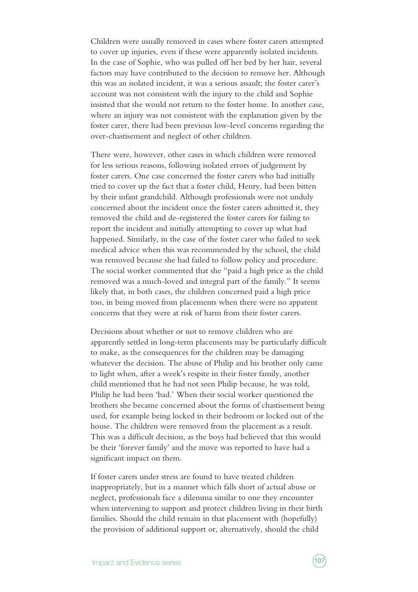Children were usually removed in cases where foster carers attempted to cover up injuries, even if these were apparently isolated incidents. In the case of Sophie, who was pulled off her bed by her hair, several factors may have contributed to the decision to remove her. Although this was an isolated incident, it was a serious assault; the foster carer's account was not consistent with the injury to the child and Sophie insisted that she would not return to the foster home. In another case, where an injury was not consistent with the explanation given by the foster carer, there had been previous low-level concerns regarding the over-chastisement and neglect of other children.

There were, however, other cases in which children were removed for less serious reasons, following isolated errors of judgement by foster carers. One case concerned the foster carers who had initially tried to cover up the fact that a foster child, Henry, had been bitten by their infant grandchild. Although professionals were not unduly concerned about the incident once the foster carers admitted it, they removed the child and de-registered the foster carers for failing to report the incident and initially attempting to cover up what had happened. Similarly, in the case of the foster carer who failed to seek medical advice when this was recommended by the school, the child was removed because she had failed to follow policy and procedure. The social worker commented that she "paid a high price as the child removed was a much-loved and integral part of the family." It seems likely that, in both cases, the children concerned paid a high price too, in being moved from placements when there were no apparent concerns that they were at risk of harm from their foster carers.

Decisions about whether or not to remove children who are apparently settled in long-term placements may be particularly difficult to make, as the consequences for the children may be damaging whatever the decision. The abuse of Philip and his brother only came to light when, after a week's respite in their foster family, another child mentioned that he had not seen Philip because, he was told, Philip he had been 'bad.' When their social worker questioned the brothers she became concerned about the forms of chastisement being used, for example being locked in their bedroom or locked out of the house. The children were removed from the placement as a result. This was a difficult decision, as the boys had believed that this would be their 'forever family' and the move was reported to have had a significant impact on them.

If foster carers under stress are found to have treated children inappropriately, but in a manner which falls short of actual abuse or neglect, professionals face a dilemma similar to one they encounter when intervening to support and protect children living in their birth families. Should the child remain in that placement with (hopefully) the provision of additional support or, alternatively, should the child

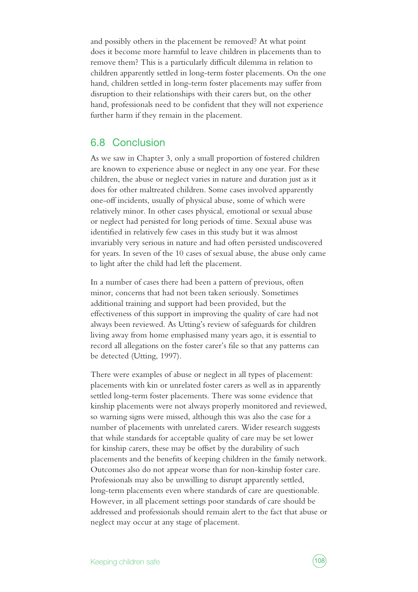and possibly others in the placement be removed? At what point does it become more harmful to leave children in placements than to remove them? This is a particularly difficult dilemma in relation to children apparently settled in long-term foster placements. On the one hand, children settled in long-term foster placements may suffer from disruption to their relationships with their carers but, on the other hand, professionals need to be confident that they will not experience further harm if they remain in the placement.

### 6.8 Conclusion

As we saw in Chapter 3, only a small proportion of fostered children are known to experience abuse or neglect in any one year. For these children, the abuse or neglect varies in nature and duration just as it does for other maltreated children. Some cases involved apparently one-off incidents, usually of physical abuse, some of which were relatively minor. In other cases physical, emotional or sexual abuse or neglect had persisted for long periods of time. Sexual abuse was identified in relatively few cases in this study but it was almost invariably very serious in nature and had often persisted undiscovered for years. In seven of the 10 cases of sexual abuse, the abuse only came to light after the child had left the placement.

In a number of cases there had been a pattern of previous, often minor, concerns that had not been taken seriously. Sometimes additional training and support had been provided, but the effectiveness of this support in improving the quality of care had not always been reviewed. As Utting's review of safeguards for children living away from home emphasised many years ago, it is essential to record all allegations on the foster carer's file so that any patterns can be detected (Utting, 1997).

There were examples of abuse or neglect in all types of placement: placements with kin or unrelated foster carers as well as in apparently settled long-term foster placements. There was some evidence that kinship placements were not always properly monitored and reviewed, so warning signs were missed, although this was also the case for a number of placements with unrelated carers. Wider research suggests that while standards for acceptable quality of care may be set lower for kinship carers, these may be offset by the durability of such placements and the benefits of keeping children in the family network. Outcomes also do not appear worse than for non-kinship foster care. Professionals may also be unwilling to disrupt apparently settled, long-term placements even where standards of care are questionable. However, in all placement settings poor standards of care should be addressed and professionals should remain alert to the fact that abuse or neglect may occur at any stage of placement.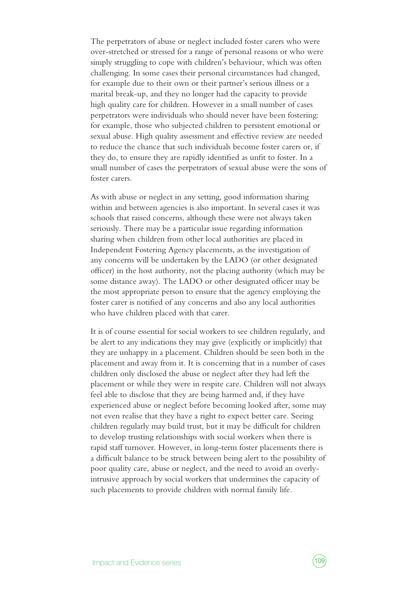The perpetrators of abuse or neglect included foster carers who were over-stretched or stressed for a range of personal reasons or who were simply struggling to cope with children's behaviour, which was often challenging. In some cases their personal circumstances had changed, for example due to their own or their partner's serious illness or a marital break-up, and they no longer had the capacity to provide high quality care for children. However in a small number of cases perpetrators were individuals who should never have been fostering: for example, those who subjected children to persistent emotional or sexual abuse. High quality assessment and effective review are needed to reduce the chance that such individuals become foster carers or, if they do, to ensure they are rapidly identified as unfit to foster. In a small number of cases the perpetrators of sexual abuse were the sons of foster carers.

As with abuse or neglect in any setting, good information sharing within and between agencies is also important. In several cases it was schools that raised concerns, although these were not always taken seriously. There may be a particular issue regarding information sharing when children from other local authorities are placed in Independent Fostering Agency placements, as the investigation of any concerns will be undertaken by the LADO (or other designated officer) in the host authority, not the placing authority (which may be some distance away). The LADO or other designated officer may be the most appropriate person to ensure that the agency employing the foster carer is notified of any concerns and also any local authorities who have children placed with that carer.

It is of course essential for social workers to see children regularly, and be alert to any indications they may give (explicitly or implicitly) that they are unhappy in a placement. Children should be seen both in the placement and away from it. It is concerning that in a number of cases children only disclosed the abuse or neglect after they had left the placement or while they were in respite care. Children will not always feel able to disclose that they are being harmed and, if they have experienced abuse or neglect before becoming looked after, some may not even realise that they have a right to expect better care. Seeing children regularly may build trust, but it may be difficult for children to develop trusting relationships with social workers when there is rapid staff turnover. However, in long-term foster placements there is a difficult balance to be struck between being alert to the possibility of poor quality care, abuse or neglect, and the need to avoid an overlyintrusive approach by social workers that undermines the capacity of such placements to provide children with normal family life.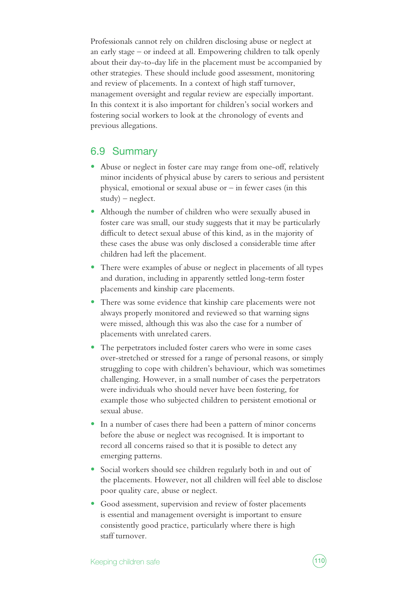Professionals cannot rely on children disclosing abuse or neglect at an early stage – or indeed at all. Empowering children to talk openly about their day-to-day life in the placement must be accompanied by other strategies. These should include good assessment, monitoring and review of placements. In a context of high staff turnover, management oversight and regular review are especially important. In this context it is also important for children's social workers and fostering social workers to look at the chronology of events and previous allegations.

#### 6.9 Summary

- Abuse or neglect in foster care may range from one-off, relatively minor incidents of physical abuse by carers to serious and persistent physical, emotional or sexual abuse or  $-$  in fewer cases (in this study) – neglect.
- **•** Although the number of children who were sexually abused in foster care was small, our study suggests that it may be particularly difficult to detect sexual abuse of this kind, as in the majority of these cases the abuse was only disclosed a considerable time after children had left the placement.
- There were examples of abuse or neglect in placements of all types and duration, including in apparently settled long-term foster placements and kinship care placements.
- **•** There was some evidence that kinship care placements were not always properly monitored and reviewed so that warning signs were missed, although this was also the case for a number of placements with unrelated carers.
- **•** The perpetrators included foster carers who were in some cases over-stretched or stressed for a range of personal reasons, or simply struggling to cope with children's behaviour, which was sometimes challenging. However, in a small number of cases the perpetrators were individuals who should never have been fostering, for example those who subjected children to persistent emotional or sexual abuse.
- **•** In a number of cases there had been a pattern of minor concerns before the abuse or neglect was recognised. It is important to record all concerns raised so that it is possible to detect any emerging patterns.
- **•** Social workers should see children regularly both in and out of the placements. However, not all children will feel able to disclose poor quality care, abuse or neglect.
- **•** Good assessment, supervision and review of foster placements is essential and management oversight is important to ensure consistently good practice, particularly where there is high staff turnover.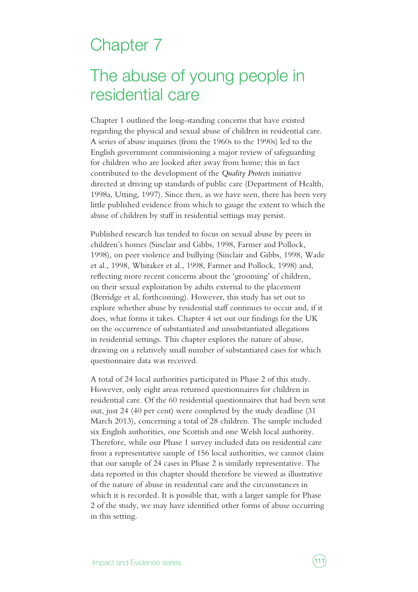## Chapter 7

# The abuse of young people in residential care

Chapter 1 outlined the long-standing concerns that have existed regarding the physical and sexual abuse of children in residential care. A series of abuse inquiries (from the 1960s to the 1990s) led to the English government commissioning a major review of safeguarding for children who are looked after away from home; this in fact contributed to the development of the *Quality Protects* initiative directed at driving up standards of public care (Department of Health, 1998a, Utting, 1997). Since then, as we have seen, there has been very little published evidence from which to gauge the extent to which the abuse of children by staff in residential settings may persist.

Published research has tended to focus on sexual abuse by peers in children's homes (Sinclair and Gibbs, 1998, Farmer and Pollock, 1998), on peer violence and bullying (Sinclair and Gibbs, 1998, Wade et al., 1998, Whitaker et al., 1998, Farmer and Pollock, 1998) and, reflecting more recent concerns about the 'grooming' of children, on their sexual exploitation by adults external to the placement (Berridge et al, forthcoming). However, this study has set out to explore whether abuse by residential staff continues to occur and, if it does, what forms it takes. Chapter 4 set out our findings for the UK on the occurrence of substantiated and unsubstantiated allegations in residential settings. This chapter explores the nature of abuse, drawing on a relatively small number of substantiated cases for which questionnaire data was received.

A total of 24 local authorities participated in Phase 2 of this study. However, only eight areas returned questionnaires for children in residential care. Of the 60 residential questionnaires that had been sent out, just 24 (40 per cent) were completed by the study deadline (31 March 2013), concerning a total of 28 children. The sample included six English authorities, one Scottish and one Welsh local authority. Therefore, while our Phase 1 survey included data on residential care from a representative sample of 156 local authorities, we cannot claim that our sample of 24 cases in Phase 2 is similarly representative. The data reported in this chapter should therefore be viewed as illustrative of the nature of abuse in residential care and the circumstances in which it is recorded. It is possible that, with a larger sample for Phase 2 of the study, we may have identified other forms of abuse occurring in this setting.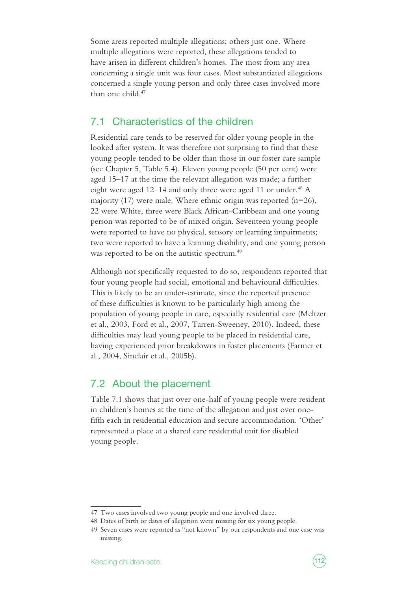Some areas reported multiple allegations; others just one. Where multiple allegations were reported, these allegations tended to have arisen in different children's homes. The most from any area concerning a single unit was four cases. Most substantiated allegations concerned a single young person and only three cases involved more than one child.47

## 7.1 Characteristics of the children

Residential care tends to be reserved for older young people in the looked after system. It was therefore not surprising to find that these young people tended to be older than those in our foster care sample (see Chapter 5, Table 5.4). Eleven young people (50 per cent) were aged 15–17 at the time the relevant allegation was made; a further eight were aged 12–14 and only three were aged 11 or under.<sup>48</sup> A majority (17) were male. Where ethnic origin was reported  $(n=26)$ , 22 were White, three were Black African-Caribbean and one young person was reported to be of mixed origin. Seventeen young people were reported to have no physical, sensory or learning impairments; two were reported to have a learning disability, and one young person was reported to be on the autistic spectrum.<sup>49</sup>

Although not specifically requested to do so, respondents reported that four young people had social, emotional and behavioural difficulties. This is likely to be an under-estimate, since the reported presence of these difficulties is known to be particularly high among the population of young people in care, especially residential care (Meltzer et al., 2003, Ford et al., 2007, Tarren-Sweeney, 2010). Indeed, these difficulties may lead young people to be placed in residential care, having experienced prior breakdowns in foster placements (Farmer et al., 2004, Sinclair et al., 2005b).

## 7.2 About the placement

Table 7.1 shows that just over one-half of young people were resident in children's homes at the time of the allegation and just over onefifth each in residential education and secure accommodation. 'Other' represented a place at a shared care residential unit for disabled young people.



<sup>47</sup> Two cases involved two young people and one involved three.

<sup>48</sup> Dates of birth or dates of allegation were missing for six young people.

<sup>49</sup> Seven cases were reported as "not known" by our respondents and one case was missing.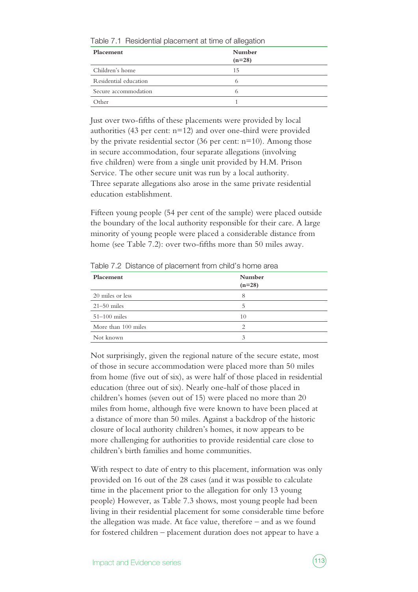| Placement             | Number<br>$(n=28)$ |
|-----------------------|--------------------|
| Children's home       | 15                 |
| Residential education | b                  |
| Secure accommodation  | h                  |
| Other                 |                    |

Just over two-fifths of these placements were provided by local authorities (43 per cent:  $n=12$ ) and over one-third were provided by the private residential sector (36 per cent:  $n=10$ ). Among those in secure accommodation, four separate allegations (involving five children) were from a single unit provided by H.M. Prison Service. The other secure unit was run by a local authority. Three separate allegations also arose in the same private residential education establishment.

Fifteen young people (54 per cent of the sample) were placed outside the boundary of the local authority responsible for their care. A large minority of young people were placed a considerable distance from home (see Table 7.2): over two-fifths more than 50 miles away.

| Placement           | Number<br>$(n=28)$ |
|---------------------|--------------------|
| 20 miles or less    | 8                  |
| $21-50$ miles       | 5                  |
| $51-100$ miles      | 10                 |
| More than 100 miles | 2                  |
| Not known           | 3                  |

Table 7.2 Distance of placement from child's home area

Not surprisingly, given the regional nature of the secure estate, most of those in secure accommodation were placed more than 50 miles from home (five out of six), as were half of those placed in residential education (three out of six). Nearly one-half of those placed in children's homes (seven out of 15) were placed no more than 20 miles from home, although five were known to have been placed at a distance of more than 50 miles. Against a backdrop of the historic closure of local authority children's homes, it now appears to be more challenging for authorities to provide residential care close to children's birth families and home communities.

With respect to date of entry to this placement, information was only provided on 16 out of the 28 cases (and it was possible to calculate time in the placement prior to the allegation for only 13 young people) However, as Table 7.3 shows, most young people had been living in their residential placement for some considerable time before the allegation was made. At face value, therefore – and as we found for fostered children – placement duration does not appear to have a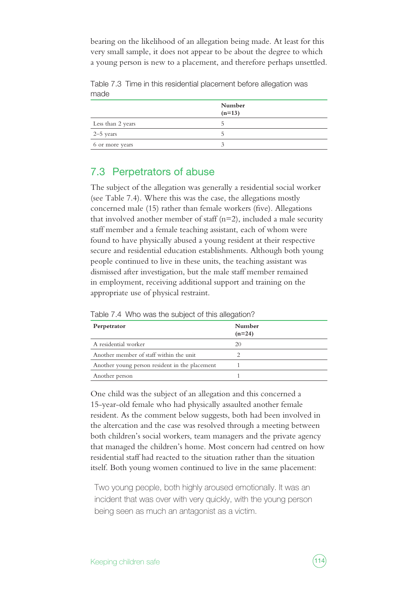bearing on the likelihood of an allegation being made. At least for this very small sample, it does not appear to be about the degree to which a young person is new to a placement, and therefore perhaps unsettled.

|                   | Number<br>$(n=13)$ |
|-------------------|--------------------|
| Less than 2 years | C.                 |
| 2–5 years         | ר                  |
| 6 or more years   |                    |

Table 7.3 Time in this residential placement before allegation was made

## 7.3 Perpetrators of abuse

The subject of the allegation was generally a residential social worker (see Table 7.4). Where this was the case, the allegations mostly concerned male (15) rather than female workers (five). Allegations that involved another member of staff  $(n=2)$ , included a male security staff member and a female teaching assistant, each of whom were found to have physically abused a young resident at their respective secure and residential education establishments. Although both young people continued to live in these units, the teaching assistant was dismissed after investigation, but the male staff member remained in employment, receiving additional support and training on the appropriate use of physical restraint.

| able Time nad the dappet of the andgation      |                    |  |
|------------------------------------------------|--------------------|--|
| Perpetrator                                    | Number<br>$(n=24)$ |  |
| A residential worker                           | 20                 |  |
| Another member of staff within the unit        |                    |  |
| Another young person resident in the placement |                    |  |
| Another person                                 |                    |  |

Table 7.4 Who was the subject of this allegation?

One child was the subject of an allegation and this concerned a 15-year-old female who had physically assaulted another female resident. As the comment below suggests, both had been involved in the altercation and the case was resolved through a meeting between both children's social workers, team managers and the private agency that managed the children's home. Most concern had centred on how residential staff had reacted to the situation rather than the situation itself. Both young women continued to live in the same placement:

Two young people, both highly aroused emotionally. It was an incident that was over with very quickly, with the young person being seen as much an antagonist as a victim.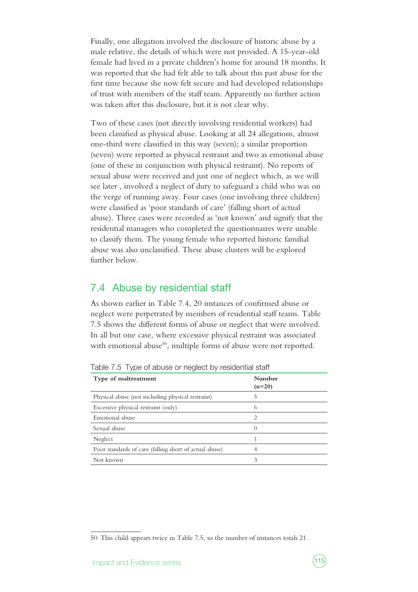Finally, one allegation involved the disclosure of historic abuse by a male relative, the details of which were not provided. A 15-year-old female had lived in a private children's home for around 18 months. It was reported that she had felt able to talk about this past abuse for the first time because she now felt secure and had developed relationships of trust with members of the staff team. Apparently no further action was taken after this disclosure, but it is not clear why.

Two of these cases (not directly involving residential workers) had been classified as physical abuse. Looking at all 24 allegations, almost one-third were classified in this way (seven); a similar proportion (seven) were reported as physical restraint and two as emotional abuse (one of these in conjunction with physical restraint). No reports of sexual abuse were received and just one of neglect which, as we will see later , involved a neglect of duty to safeguard a child who was on the verge of running away. Four cases (one involving three children) were classified as 'poor standards of care' (falling short of actual abuse). Three cases were recorded as 'not known' and signify that the residential managers who completed the questionnaires were unable to classify them. The young female who reported historic familial abuse was also unclassified. These abuse clusters will be explored further below.

## 7.4 Abuse by residential staff

As shown earlier in Table 7.4, 20 instances of confirmed abuse or neglect were perpetrated by members of residential staff teams. Table 7.5 shows the different forms of abuse or neglect that were involved. In all but one case, where excessive physical restraint was associated with emotional abuse<sup>50</sup>, multiple forms of abuse were not reported.

| Type of maltreatment                                   | Number<br>$(n=20)$ |
|--------------------------------------------------------|--------------------|
| Physical abuse (not including physical restraint)      | 5                  |
| Excessive physical restraint (only)                    | 6                  |
| Emotional abuse                                        | 2                  |
| Sexual abuse                                           |                    |
| Neglect                                                |                    |
| Poor standards of care (falling short of actual abuse) |                    |
| Not known                                              | 3                  |

Table 7.5 Type of abuse or neglect by residential staff

<sup>50</sup> This child appears twice in Table 7.5, so the number of instances totals 21.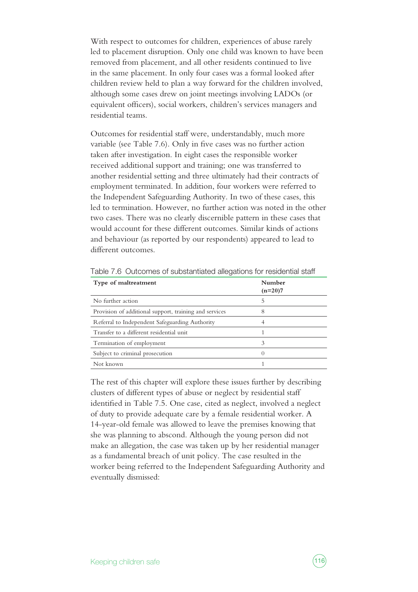With respect to outcomes for children, experiences of abuse rarely led to placement disruption. Only one child was known to have been removed from placement, and all other residents continued to live in the same placement. In only four cases was a formal looked after children review held to plan a way forward for the children involved, although some cases drew on joint meetings involving LADOs (or equivalent officers), social workers, children's services managers and residential teams.

Outcomes for residential staff were, understandably, much more variable (see Table 7.6). Only in five cases was no further action taken after investigation. In eight cases the responsible worker received additional support and training; one was transferred to another residential setting and three ultimately had their contracts of employment terminated. In addition, four workers were referred to the Independent Safeguarding Authority. In two of these cases, this led to termination. However, no further action was noted in the other two cases. There was no clearly discernible pattern in these cases that would account for these different outcomes. Similar kinds of actions and behaviour (as reported by our respondents) appeared to lead to different outcomes.

| Type of maltreatment                                   | Number<br>$(n=20)7$ |
|--------------------------------------------------------|---------------------|
| No further action                                      | 5                   |
| Provision of additional support, training and services | 8                   |
| Referral to Independent Safeguarding Authority         |                     |
| Transfer to a different residential unit               |                     |
| Termination of employment                              | 3                   |
| Subject to criminal prosecution                        | $\left( \right)$    |
| Not known                                              |                     |

Table 7.6 Outcomes of substantiated allegations for residential staff

The rest of this chapter will explore these issues further by describing clusters of different types of abuse or neglect by residential staff identified in Table 7.5. One case, cited as neglect, involved a neglect of duty to provide adequate care by a female residential worker. A 14-year-old female was allowed to leave the premises knowing that she was planning to abscond. Although the young person did not make an allegation, the case was taken up by her residential manager as a fundamental breach of unit policy. The case resulted in the worker being referred to the Independent Safeguarding Authority and eventually dismissed: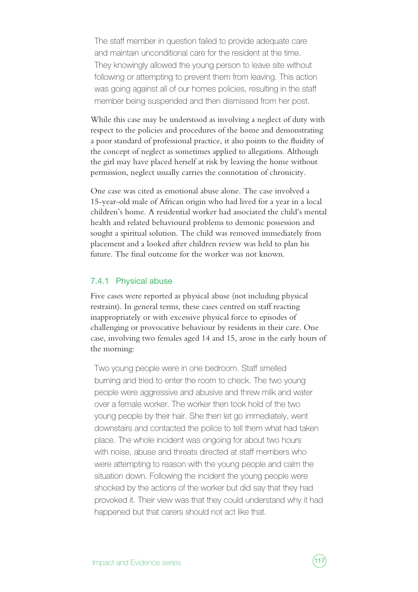The staff member in question failed to provide adequate care and maintain unconditional care for the resident at the time. They knowingly allowed the young person to leave site without following or attempting to prevent them from leaving. This action was going against all of our homes policies, resulting in the staff member being suspended and then dismissed from her post.

While this case may be understood as involving a neglect of duty with respect to the policies and procedures of the home and demonstrating a poor standard of professional practice, it also points to the fluidity of the concept of neglect as sometimes applied to allegations. Although the girl may have placed herself at risk by leaving the home without permission, neglect usually carries the connotation of chronicity.

One case was cited as emotional abuse alone. The case involved a 15-year-old male of African origin who had lived for a year in a local children's home. A residential worker had associated the child's mental health and related behavioural problems to demonic possession and sought a spiritual solution. The child was removed immediately from placement and a looked after children review was held to plan his future. The final outcome for the worker was not known.

#### 7.4.1 Physical abuse

Five cases were reported as physical abuse (not including physical restraint). In general terms, these cases centred on staff reacting inappropriately or with excessive physical force to episodes of challenging or provocative behaviour by residents in their care. One case, involving two females aged 14 and 15, arose in the early hours of the morning:

Two young people were in one bedroom. Staff smelled burning and tried to enter the room to check. The two young people were aggressive and abusive and threw milk and water over a female worker. The worker then took hold of the two young people by their hair. She then let go immediately, went downstairs and contacted the police to tell them what had taken place. The whole incident was ongoing for about two hours with noise, abuse and threats directed at staff members who were attempting to reason with the young people and calm the situation down. Following the incident the young people were shocked by the actions of the worker but did say that they had provoked it. Their view was that they could understand why it had happened but that carers should not act like that.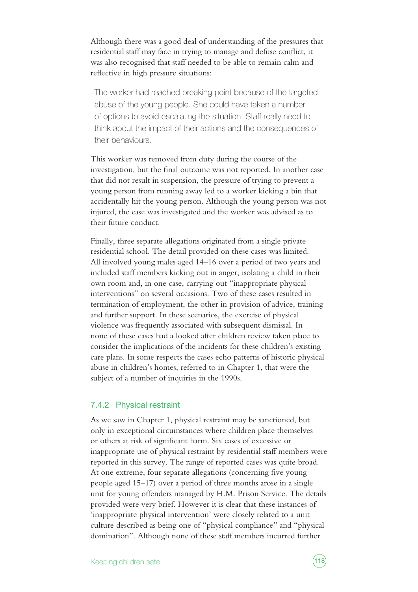Although there was a good deal of understanding of the pressures that residential staff may face in trying to manage and defuse conflict, it was also recognised that staff needed to be able to remain calm and reflective in high pressure situations:

The worker had reached breaking point because of the targeted abuse of the young people. She could have taken a number of options to avoid escalating the situation. Staff really need to think about the impact of their actions and the consequences of their behaviours.

This worker was removed from duty during the course of the investigation, but the final outcome was not reported. In another case that did not result in suspension, the pressure of trying to prevent a young person from running away led to a worker kicking a bin that accidentally hit the young person. Although the young person was not injured, the case was investigated and the worker was advised as to their future conduct.

Finally, three separate allegations originated from a single private residential school. The detail provided on these cases was limited. All involved young males aged 14–16 over a period of two years and included staff members kicking out in anger, isolating a child in their own room and, in one case, carrying out "inappropriate physical interventions" on several occasions. Two of these cases resulted in termination of employment, the other in provision of advice, training and further support. In these scenarios, the exercise of physical violence was frequently associated with subsequent dismissal. In none of these cases had a looked after children review taken place to consider the implications of the incidents for these children's existing care plans. In some respects the cases echo patterns of historic physical abuse in children's homes, referred to in Chapter 1, that were the subject of a number of inquiries in the 1990s.

#### 7.4.2 Physical restraint

As we saw in Chapter 1, physical restraint may be sanctioned, but only in exceptional circumstances where children place themselves or others at risk of significant harm. Six cases of excessive or inappropriate use of physical restraint by residential staff members were reported in this survey. The range of reported cases was quite broad. At one extreme, four separate allegations (concerning five young people aged 15–17) over a period of three months arose in a single unit for young offenders managed by H.M. Prison Service. The details provided were very brief. However it is clear that these instances of 'inappropriate physical intervention' were closely related to a unit culture described as being one of "physical compliance" and "physical domination". Although none of these staff members incurred further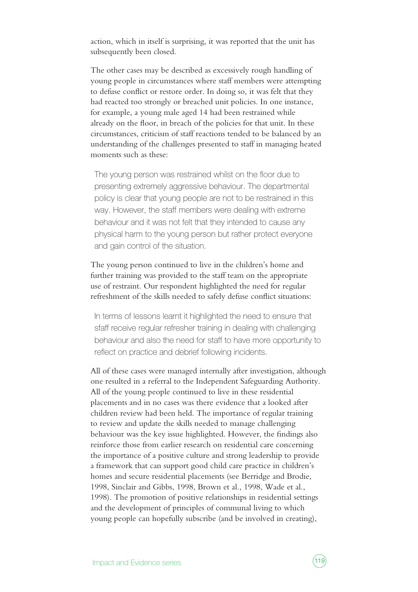action, which in itself is surprising, it was reported that the unit has subsequently been closed.

The other cases may be described as excessively rough handling of young people in circumstances where staff members were attempting to defuse conflict or restore order. In doing so, it was felt that they had reacted too strongly or breached unit policies. In one instance, for example, a young male aged 14 had been restrained while already on the floor, in breach of the policies for that unit. In these circumstances, criticism of staff reactions tended to be balanced by an understanding of the challenges presented to staff in managing heated moments such as these:

The young person was restrained whilst on the floor due to presenting extremely aggressive behaviour. The departmental policy is clear that young people are not to be restrained in this way. However, the staff members were dealing with extreme behaviour and it was not felt that they intended to cause any physical harm to the young person but rather protect everyone and gain control of the situation.

The young person continued to live in the children's home and further training was provided to the staff team on the appropriate use of restraint. Our respondent highlighted the need for regular refreshment of the skills needed to safely defuse conflict situations:

In terms of lessons learnt it highlighted the need to ensure that sfaff receive regular refresher training in dealing with challenging behaviour and also the need for staff to have more opportunity to reflect on practice and debrief following incidents.

All of these cases were managed internally after investigation, although one resulted in a referral to the Independent Safeguarding Authority. All of the young people continued to live in these residential placements and in no cases was there evidence that a looked after children review had been held. The importance of regular training to review and update the skills needed to manage challenging behaviour was the key issue highlighted. However, the findings also reinforce those from earlier research on residential care concerning the importance of a positive culture and strong leadership to provide a framework that can support good child care practice in children's homes and secure residential placements (see Berridge and Brodie, 1998, Sinclair and Gibbs, 1998, Brown et al., 1998, Wade et al., 1998). The promotion of positive relationships in residential settings and the development of principles of communal living to which young people can hopefully subscribe (and be involved in creating),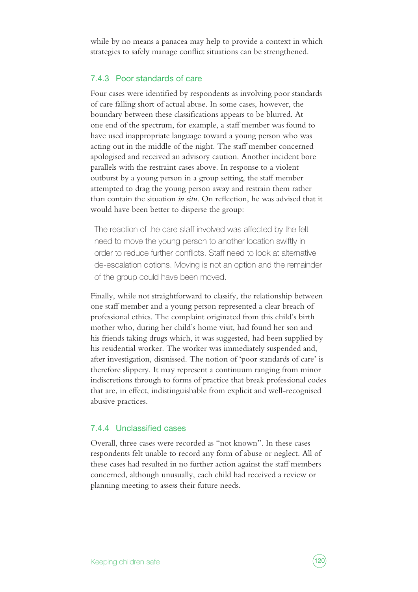while by no means a panacea may help to provide a context in which strategies to safely manage conflict situations can be strengthened.

#### 7.4.3 Poor standards of care

Four cases were identified by respondents as involving poor standards of care falling short of actual abuse. In some cases, however, the boundary between these classifications appears to be blurred. At one end of the spectrum, for example, a staff member was found to have used inappropriate language toward a young person who was acting out in the middle of the night. The staff member concerned apologised and received an advisory caution. Another incident bore parallels with the restraint cases above. In response to a violent outburst by a young person in a group setting, the staff member attempted to drag the young person away and restrain them rather than contain the situation *in situ*. On reflection, he was advised that it would have been better to disperse the group:

The reaction of the care staff involved was affected by the felt need to move the young person to another location swiftly in order to reduce further conflicts. Staff need to look at alternative de-escalation options. Moving is not an option and the remainder of the group could have been moved.

Finally, while not straightforward to classify, the relationship between one staff member and a young person represented a clear breach of professional ethics. The complaint originated from this child's birth mother who, during her child's home visit, had found her son and his friends taking drugs which, it was suggested, had been supplied by his residential worker. The worker was immediately suspended and, after investigation, dismissed. The notion of 'poor standards of care' is therefore slippery. It may represent a continuum ranging from minor indiscretions through to forms of practice that break professional codes that are, in effect, indistinguishable from explicit and well-recognised abusive practices.

#### 7.4.4 Unclassified cases

Overall, three cases were recorded as "not known". In these cases respondents felt unable to record any form of abuse or neglect. All of these cases had resulted in no further action against the staff members concerned, although unusually, each child had received a review or planning meeting to assess their future needs.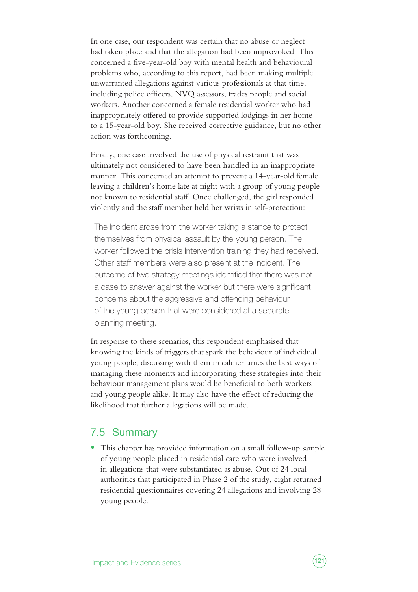In one case, our respondent was certain that no abuse or neglect had taken place and that the allegation had been unprovoked. This concerned a five-year-old boy with mental health and behavioural problems who, according to this report, had been making multiple unwarranted allegations against various professionals at that time, including police officers, NVQ assessors, trades people and social workers. Another concerned a female residential worker who had inappropriately offered to provide supported lodgings in her home to a 15-year-old boy. She received corrective guidance, but no other action was forthcoming.

Finally, one case involved the use of physical restraint that was ultimately not considered to have been handled in an inappropriate manner. This concerned an attempt to prevent a 14-year-old female leaving a children's home late at night with a group of young people not known to residential staff. Once challenged, the girl responded violently and the staff member held her wrists in self-protection:

The incident arose from the worker taking a stance to protect themselves from physical assault by the young person. The worker followed the crisis intervention training they had received. Other staff members were also present at the incident. The outcome of two strategy meetings identified that there was not a case to answer against the worker but there were significant concerns about the aggressive and offending behaviour of the young person that were considered at a separate planning meeting.

In response to these scenarios, this respondent emphasised that knowing the kinds of triggers that spark the behaviour of individual young people, discussing with them in calmer times the best ways of managing these moments and incorporating these strategies into their behaviour management plans would be beneficial to both workers and young people alike. It may also have the effect of reducing the likelihood that further allegations will be made.

#### 7.5 Summary

**•** This chapter has provided information on a small follow-up sample of young people placed in residential care who were involved in allegations that were substantiated as abuse. Out of 24 local authorities that participated in Phase 2 of the study, eight returned residential questionnaires covering 24 allegations and involving 28 young people.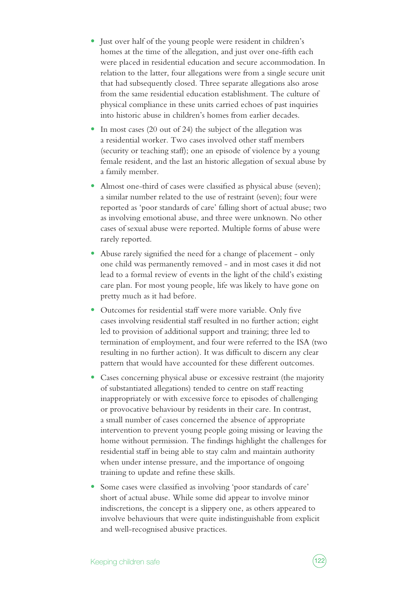- Just over half of the young people were resident in children's homes at the time of the allegation, and just over one-fifth each were placed in residential education and secure accommodation. In relation to the latter, four allegations were from a single secure unit that had subsequently closed. Three separate allegations also arose from the same residential education establishment. The culture of physical compliance in these units carried echoes of past inquiries into historic abuse in children's homes from earlier decades.
- In most cases (20 out of 24) the subject of the allegation was a residential worker. Two cases involved other staff members (security or teaching staff); one an episode of violence by a young female resident, and the last an historic allegation of sexual abuse by a family member.
- Almost one-third of cases were classified as physical abuse (seven); a similar number related to the use of restraint (seven); four were reported as 'poor standards of care' falling short of actual abuse; two as involving emotional abuse, and three were unknown. No other cases of sexual abuse were reported. Multiple forms of abuse were rarely reported.
- Abuse rarely signified the need for a change of placement only one child was permanently removed - and in most cases it did not lead to a formal review of events in the light of the child's existing care plan. For most young people, life was likely to have gone on pretty much as it had before.
- **•** Outcomes for residential staff were more variable. Only five cases involving residential staff resulted in no further action; eight led to provision of additional support and training; three led to termination of employment, and four were referred to the ISA (two resulting in no further action). It was difficult to discern any clear pattern that would have accounted for these different outcomes.
- **•** Cases concerning physical abuse or excessive restraint (the majority of substantiated allegations) tended to centre on staff reacting inappropriately or with excessive force to episodes of challenging or provocative behaviour by residents in their care. In contrast, a small number of cases concerned the absence of appropriate intervention to prevent young people going missing or leaving the home without permission. The findings highlight the challenges for residential staff in being able to stay calm and maintain authority when under intense pressure, and the importance of ongoing training to update and refine these skills.
- **•** Some cases were classified as involving 'poor standards of care' short of actual abuse. While some did appear to involve minor indiscretions, the concept is a slippery one, as others appeared to involve behaviours that were quite indistinguishable from explicit and well-recognised abusive practices.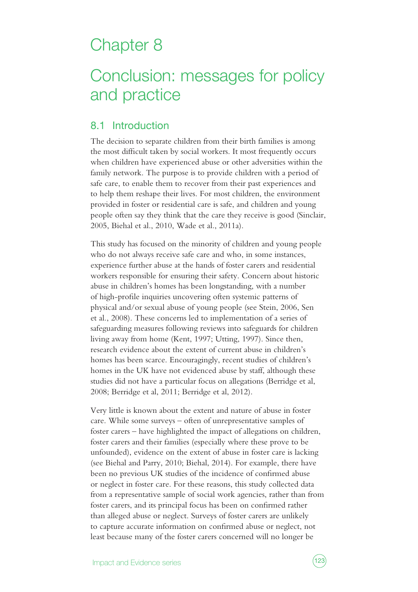# Chapter 8

# Conclusion: messages for policy and practice

## 8.1 Introduction

The decision to separate children from their birth families is among the most difficult taken by social workers. It most frequently occurs when children have experienced abuse or other adversities within the family network. The purpose is to provide children with a period of safe care, to enable them to recover from their past experiences and to help them reshape their lives. For most children, the environment provided in foster or residential care is safe, and children and young people often say they think that the care they receive is good (Sinclair, 2005, Biehal et al., 2010, Wade et al., 2011a).

This study has focused on the minority of children and young people who do not always receive safe care and who, in some instances, experience further abuse at the hands of foster carers and residential workers responsible for ensuring their safety. Concern about historic abuse in children's homes has been longstanding, with a number of high-profile inquiries uncovering often systemic patterns of physical and/or sexual abuse of young people (see Stein, 2006, Sen et al., 2008). These concerns led to implementation of a series of safeguarding measures following reviews into safeguards for children living away from home (Kent, 1997; Utting, 1997). Since then, research evidence about the extent of current abuse in children's homes has been scarce. Encouragingly, recent studies of children's homes in the UK have not evidenced abuse by staff, although these studies did not have a particular focus on allegations (Berridge et al, 2008; Berridge et al, 2011; Berridge et al, 2012).

Very little is known about the extent and nature of abuse in foster care. While some surveys – often of unrepresentative samples of foster carers – have highlighted the impact of allegations on children, foster carers and their families (especially where these prove to be unfounded), evidence on the extent of abuse in foster care is lacking (see Biehal and Parry, 2010; Biehal, 2014). For example, there have been no previous UK studies of the incidence of confirmed abuse or neglect in foster care. For these reasons, this study collected data from a representative sample of social work agencies, rather than from foster carers, and its principal focus has been on confirmed rather than alleged abuse or neglect. Surveys of foster carers are unlikely to capture accurate information on confirmed abuse or neglect, not least because many of the foster carers concerned will no longer be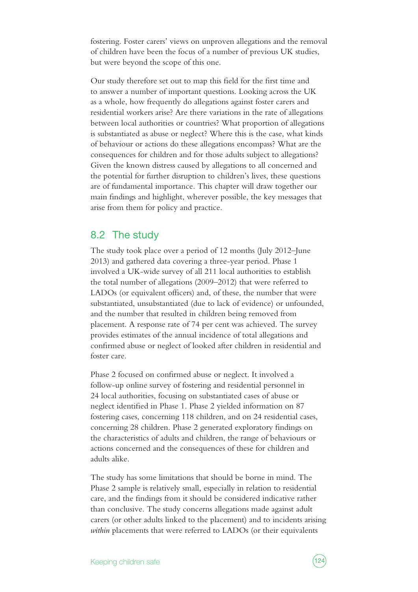fostering. Foster carers' views on unproven allegations and the removal of children have been the focus of a number of previous UK studies, but were beyond the scope of this one.

Our study therefore set out to map this field for the first time and to answer a number of important questions. Looking across the UK as a whole, how frequently do allegations against foster carers and residential workers arise? Are there variations in the rate of allegations between local authorities or countries? What proportion of allegations is substantiated as abuse or neglect? Where this is the case, what kinds of behaviour or actions do these allegations encompass? What are the consequences for children and for those adults subject to allegations? Given the known distress caused by allegations to all concerned and the potential for further disruption to children's lives, these questions are of fundamental importance. This chapter will draw together our main findings and highlight, wherever possible, the key messages that arise from them for policy and practice.

### 8.2 The study

The study took place over a period of 12 months (July 2012–June 2013) and gathered data covering a three-year period. Phase 1 involved a UK-wide survey of all 211 local authorities to establish the total number of allegations (2009–2012) that were referred to LADOs (or equivalent officers) and, of these, the number that were substantiated, unsubstantiated (due to lack of evidence) or unfounded, and the number that resulted in children being removed from placement. A response rate of 74 per cent was achieved. The survey provides estimates of the annual incidence of total allegations and confirmed abuse or neglect of looked after children in residential and foster care.

Phase 2 focused on confirmed abuse or neglect. It involved a follow-up online survey of fostering and residential personnel in 24 local authorities, focusing on substantiated cases of abuse or neglect identified in Phase 1. Phase 2 yielded information on 87 fostering cases, concerning 118 children, and on 24 residential cases, concerning 28 children. Phase 2 generated exploratory findings on the characteristics of adults and children, the range of behaviours or actions concerned and the consequences of these for children and adults alike.

The study has some limitations that should be borne in mind. The Phase 2 sample is relatively small, especially in relation to residential care, and the findings from it should be considered indicative rather than conclusive. The study concerns allegations made against adult carers (or other adults linked to the placement) and to incidents arising *within* placements that were referred to LADOs (or their equivalents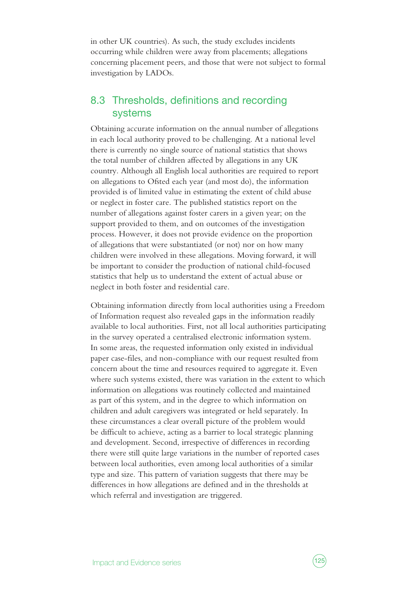in other UK countries). As such, the study excludes incidents occurring while children were away from placements; allegations concerning placement peers, and those that were not subject to formal investigation by LADOs.

## 8.3 Thresholds, definitions and recording systems

Obtaining accurate information on the annual number of allegations in each local authority proved to be challenging. At a national level there is currently no single source of national statistics that shows the total number of children affected by allegations in any UK country. Although all English local authorities are required to report on allegations to Ofsted each year (and most do), the information provided is of limited value in estimating the extent of child abuse or neglect in foster care. The published statistics report on the number of allegations against foster carers in a given year; on the support provided to them, and on outcomes of the investigation process. However, it does not provide evidence on the proportion of allegations that were substantiated (or not) nor on how many children were involved in these allegations. Moving forward, it will be important to consider the production of national child-focused statistics that help us to understand the extent of actual abuse or neglect in both foster and residential care.

Obtaining information directly from local authorities using a Freedom of Information request also revealed gaps in the information readily available to local authorities. First, not all local authorities participating in the survey operated a centralised electronic information system. In some areas, the requested information only existed in individual paper case-files, and non-compliance with our request resulted from concern about the time and resources required to aggregate it. Even where such systems existed, there was variation in the extent to which information on allegations was routinely collected and maintained as part of this system, and in the degree to which information on children and adult caregivers was integrated or held separately. In these circumstances a clear overall picture of the problem would be difficult to achieve, acting as a barrier to local strategic planning and development. Second, irrespective of differences in recording there were still quite large variations in the number of reported cases between local authorities, even among local authorities of a similar type and size. This pattern of variation suggests that there may be differences in how allegations are defined and in the thresholds at which referral and investigation are triggered.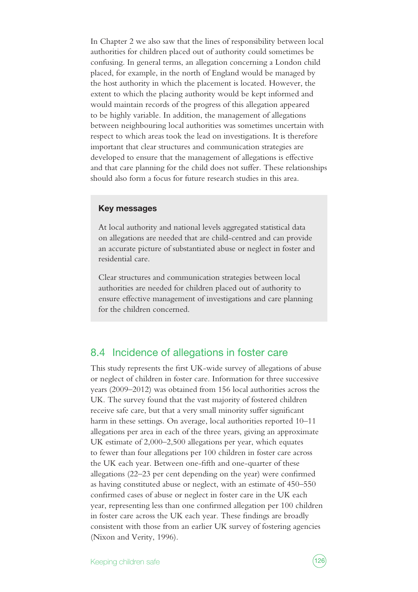In Chapter 2 we also saw that the lines of responsibility between local authorities for children placed out of authority could sometimes be confusing. In general terms, an allegation concerning a London child placed, for example, in the north of England would be managed by the host authority in which the placement is located. However, the extent to which the placing authority would be kept informed and would maintain records of the progress of this allegation appeared to be highly variable. In addition, the management of allegations between neighbouring local authorities was sometimes uncertain with respect to which areas took the lead on investigations. It is therefore important that clear structures and communication strategies are developed to ensure that the management of allegations is effective and that care planning for the child does not suffer. These relationships should also form a focus for future research studies in this area.

#### **Key messages**

At local authority and national levels aggregated statistical data on allegations are needed that are child-centred and can provide an accurate picture of substantiated abuse or neglect in foster and residential care.

Clear structures and communication strategies between local authorities are needed for children placed out of authority to ensure effective management of investigations and care planning for the children concerned.

#### 8.4 Incidence of allegations in foster care

This study represents the first UK-wide survey of allegations of abuse or neglect of children in foster care. Information for three successive years (2009–2012) was obtained from 156 local authorities across the UK. The survey found that the vast majority of fostered children receive safe care, but that a very small minority suffer significant harm in these settings. On average, local authorities reported 10–11 allegations per area in each of the three years, giving an approximate UK estimate of 2,000–2,500 allegations per year, which equates to fewer than four allegations per 100 children in foster care across the UK each year. Between one-fifth and one-quarter of these allegations (22–23 per cent depending on the year) were confirmed as having constituted abuse or neglect, with an estimate of 450–550 confirmed cases of abuse or neglect in foster care in the UK each year, representing less than one confirmed allegation per 100 children in foster care across the UK each year. These findings are broadly consistent with those from an earlier UK survey of fostering agencies (Nixon and Verity, 1996).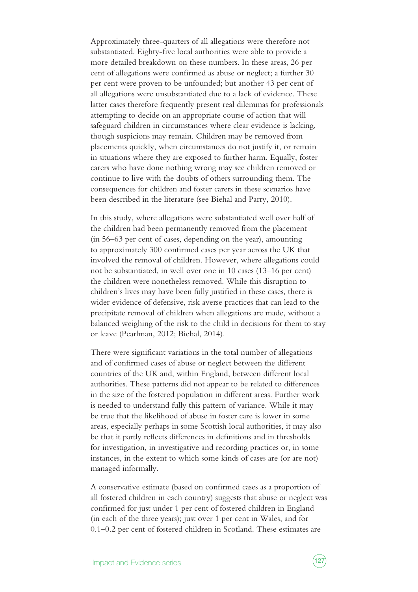Approximately three-quarters of all allegations were therefore not substantiated. Eighty-five local authorities were able to provide a more detailed breakdown on these numbers. In these areas, 26 per cent of allegations were confirmed as abuse or neglect; a further 30 per cent were proven to be unfounded; but another 43 per cent of all allegations were unsubstantiated due to a lack of evidence. These latter cases therefore frequently present real dilemmas for professionals attempting to decide on an appropriate course of action that will safeguard children in circumstances where clear evidence is lacking, though suspicions may remain. Children may be removed from placements quickly, when circumstances do not justify it, or remain in situations where they are exposed to further harm. Equally, foster carers who have done nothing wrong may see children removed or continue to live with the doubts of others surrounding them. The consequences for children and foster carers in these scenarios have been described in the literature (see Biehal and Parry, 2010).

In this study, where allegations were substantiated well over half of the children had been permanently removed from the placement (in 56–63 per cent of cases, depending on the year), amounting to approximately 300 confirmed cases per year across the UK that involved the removal of children. However, where allegations could not be substantiated, in well over one in 10 cases (13–16 per cent) the children were nonetheless removed. While this disruption to children's lives may have been fully justified in these cases, there is wider evidence of defensive, risk averse practices that can lead to the precipitate removal of children when allegations are made, without a balanced weighing of the risk to the child in decisions for them to stay or leave (Pearlman, 2012; Biehal, 2014).

There were significant variations in the total number of allegations and of confirmed cases of abuse or neglect between the different countries of the UK and, within England, between different local authorities. These patterns did not appear to be related to differences in the size of the fostered population in different areas. Further work is needed to understand fully this pattern of variance. While it may be true that the likelihood of abuse in foster care is lower in some areas, especially perhaps in some Scottish local authorities, it may also be that it partly reflects differences in definitions and in thresholds for investigation, in investigative and recording practices or, in some instances, in the extent to which some kinds of cases are (or are not) managed informally.

A conservative estimate (based on confirmed cases as a proportion of all fostered children in each country) suggests that abuse or neglect was confirmed for just under 1 per cent of fostered children in England (in each of the three years); just over 1 per cent in Wales, and for 0.1–0.2 per cent of fostered children in Scotland. These estimates are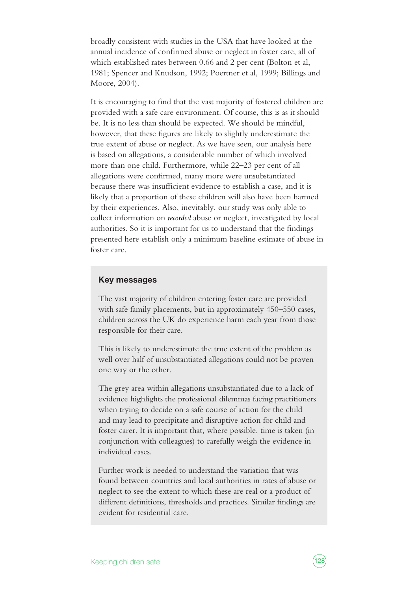broadly consistent with studies in the USA that have looked at the annual incidence of confirmed abuse or neglect in foster care, all of which established rates between 0.66 and 2 per cent (Bolton et al, 1981; Spencer and Knudson, 1992; Poertner et al, 1999; Billings and Moore, 2004).

It is encouraging to find that the vast majority of fostered children are provided with a safe care environment. Of course, this is as it should be. It is no less than should be expected. We should be mindful, however, that these figures are likely to slightly underestimate the true extent of abuse or neglect. As we have seen, our analysis here is based on allegations, a considerable number of which involved more than one child. Furthermore, while 22–23 per cent of all allegations were confirmed, many more were unsubstantiated because there was insufficient evidence to establish a case, and it is likely that a proportion of these children will also have been harmed by their experiences. Also, inevitably, our study was only able to collect information on *recorded* abuse or neglect, investigated by local authorities. So it is important for us to understand that the findings presented here establish only a minimum baseline estimate of abuse in foster care.

#### **Key messages**

The vast majority of children entering foster care are provided with safe family placements, but in approximately 450–550 cases, children across the UK do experience harm each year from those responsible for their care.

This is likely to underestimate the true extent of the problem as well over half of unsubstantiated allegations could not be proven one way or the other.

The grey area within allegations unsubstantiated due to a lack of evidence highlights the professional dilemmas facing practitioners when trying to decide on a safe course of action for the child and may lead to precipitate and disruptive action for child and foster carer. It is important that, where possible, time is taken (in conjunction with colleagues) to carefully weigh the evidence in individual cases.

Further work is needed to understand the variation that was found between countries and local authorities in rates of abuse or neglect to see the extent to which these are real or a product of different definitions, thresholds and practices. Similar findings are evident for residential care.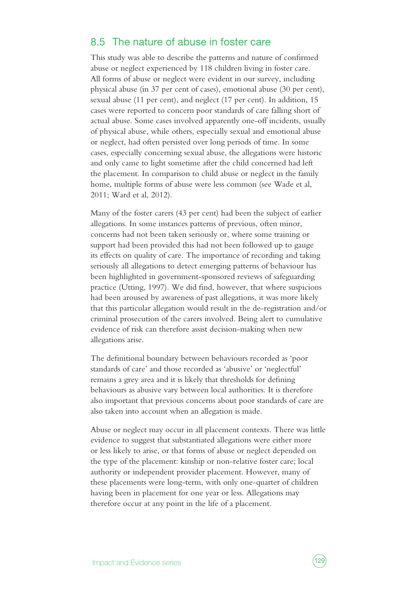### 8.5 The nature of abuse in foster care

This study was able to describe the patterns and nature of confirmed abuse or neglect experienced by 118 children living in foster care. All forms of abuse or neglect were evident in our survey, including physical abuse (in 37 per cent of cases), emotional abuse (30 per cent), sexual abuse (11 per cent), and neglect (17 per cent). In addition, 15 cases were reported to concern poor standards of care falling short of actual abuse. Some cases involved apparently one-off incidents, usually of physical abuse, while others, especially sexual and emotional abuse or neglect, had often persisted over long periods of time. In some cases, especially concerning sexual abuse, the allegations were historic and only came to light sometime after the child concerned had left the placement. In comparison to child abuse or neglect in the family home, multiple forms of abuse were less common (see Wade et al, 2011; Ward et al, 2012).

Many of the foster carers (43 per cent) had been the subject of earlier allegations. In some instances patterns of previous, often minor, concerns had not been taken seriously or, where some training or support had been provided this had not been followed up to gauge its effects on quality of care. The importance of recording and taking seriously all allegations to detect emerging patterns of behaviour has been highlighted in government-sponsored reviews of safeguarding practice (Utting, 1997). We did find, however, that where suspicions had been aroused by awareness of past allegations, it was more likely that this particular allegation would result in the de-registration and/or criminal prosecution of the carers involved. Being alert to cumulative evidence of risk can therefore assist decision-making when new allegations arise.

The definitional boundary between behaviours recorded as 'poor standards of care' and those recorded as 'abusive' or 'neglectful' remains a grey area and it is likely that thresholds for defining behaviours as abusive vary between local authorities. It is therefore also important that previous concerns about poor standards of care are also taken into account when an allegation is made.

Abuse or neglect may occur in all placement contexts. There was little evidence to suggest that substantiated allegations were either more or less likely to arise, or that forms of abuse or neglect depended on the type of the placement: kinship or non-relative foster care; local authority or independent provider placement. However, many of these placements were long-term, with only one-quarter of children having been in placement for one year or less. Allegations may therefore occur at any point in the life of a placement.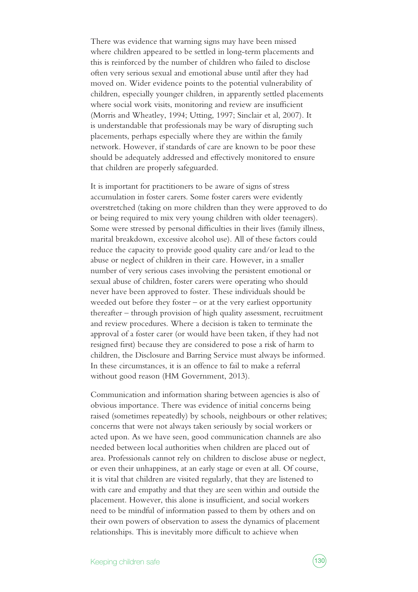There was evidence that warning signs may have been missed where children appeared to be settled in long-term placements and this is reinforced by the number of children who failed to disclose often very serious sexual and emotional abuse until after they had moved on. Wider evidence points to the potential vulnerability of children, especially younger children, in apparently settled placements where social work visits, monitoring and review are insufficient (Morris and Wheatley, 1994; Utting, 1997; Sinclair et al, 2007). It is understandable that professionals may be wary of disrupting such placements, perhaps especially where they are within the family network. However, if standards of care are known to be poor these should be adequately addressed and effectively monitored to ensure that children are properly safeguarded.

It is important for practitioners to be aware of signs of stress accumulation in foster carers. Some foster carers were evidently overstretched (taking on more children than they were approved to do or being required to mix very young children with older teenagers). Some were stressed by personal difficulties in their lives (family illness, marital breakdown, excessive alcohol use). All of these factors could reduce the capacity to provide good quality care and/or lead to the abuse or neglect of children in their care. However, in a smaller number of very serious cases involving the persistent emotional or sexual abuse of children, foster carers were operating who should never have been approved to foster. These individuals should be weeded out before they foster – or at the very earliest opportunity thereafter – through provision of high quality assessment, recruitment and review procedures. Where a decision is taken to terminate the approval of a foster carer (or would have been taken, if they had not resigned first) because they are considered to pose a risk of harm to children, the Disclosure and Barring Service must always be informed. In these circumstances, it is an offence to fail to make a referral without good reason (HM Government, 2013).

Communication and information sharing between agencies is also of obvious importance. There was evidence of initial concerns being raised (sometimes repeatedly) by schools, neighbours or other relatives; concerns that were not always taken seriously by social workers or acted upon. As we have seen, good communication channels are also needed between local authorities when children are placed out of area. Professionals cannot rely on children to disclose abuse or neglect, or even their unhappiness, at an early stage or even at all. Of course, it is vital that children are visited regularly, that they are listened to with care and empathy and that they are seen within and outside the placement. However, this alone is insufficient, and social workers need to be mindful of information passed to them by others and on their own powers of observation to assess the dynamics of placement relationships. This is inevitably more difficult to achieve when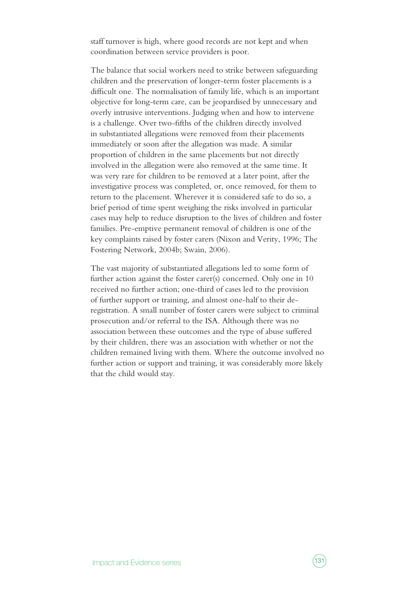staff turnover is high, where good records are not kept and when coordination between service providers is poor.

The balance that social workers need to strike between safeguarding children and the preservation of longer-term foster placements is a difficult one. The normalisation of family life, which is an important objective for long-term care, can be jeopardised by unnecessary and overly intrusive interventions. Judging when and how to intervene is a challenge. Over two-fifths of the children directly involved in substantiated allegations were removed from their placements immediately or soon after the allegation was made. A similar proportion of children in the same placements but not directly involved in the allegation were also removed at the same time. It was very rare for children to be removed at a later point, after the investigative process was completed, or, once removed, for them to return to the placement. Wherever it is considered safe to do so, a brief period of time spent weighing the risks involved in particular cases may help to reduce disruption to the lives of children and foster families. Pre-emptive permanent removal of children is one of the key complaints raised by foster carers (Nixon and Verity, 1996; The Fostering Network, 2004b; Swain, 2006).

The vast majority of substantiated allegations led to some form of further action against the foster carer(s) concerned. Only one in 10 received no further action; one-third of cases led to the provision of further support or training, and almost one-half to their deregistration. A small number of foster carers were subject to criminal prosecution and/or referral to the ISA. Although there was no association between these outcomes and the type of abuse suffered by their children, there was an association with whether or not the children remained living with them. Where the outcome involved no further action or support and training, it was considerably more likely that the child would stay.

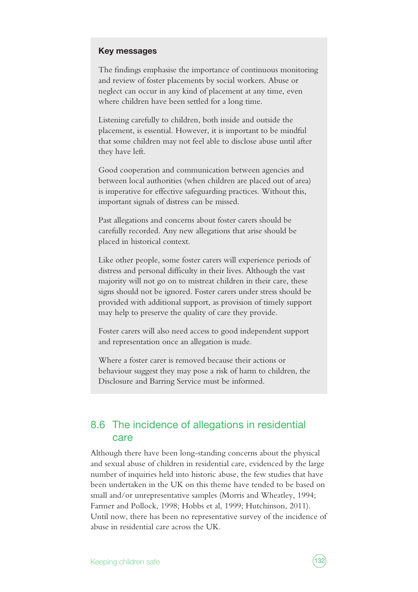#### **Key messages**

The findings emphasise the importance of continuous monitoring and review of foster placements by social workers. Abuse or neglect can occur in any kind of placement at any time, even where children have been settled for a long time.

Listening carefully to children, both inside and outside the placement, is essential. However, it is important to be mindful that some children may not feel able to disclose abuse until after they have left.

Good cooperation and communication between agencies and between local authorities (when children are placed out of area) is imperative for effective safeguarding practices. Without this, important signals of distress can be missed.

Past allegations and concerns about foster carers should be carefully recorded. Any new allegations that arise should be placed in historical context.

Like other people, some foster carers will experience periods of distress and personal difficulty in their lives. Although the vast majority will not go on to mistreat children in their care, these signs should not be ignored. Foster carers under stress should be provided with additional support, as provision of timely support may help to preserve the quality of care they provide.

Foster carers will also need access to good independent support and representation once an allegation is made.

Where a foster carer is removed because their actions or behaviour suggest they may pose a risk of harm to children, the Disclosure and Barring Service must be informed.

## 8.6 The incidence of allegations in residential care

Although there have been long-standing concerns about the physical and sexual abuse of children in residential care, evidenced by the large number of inquiries held into historic abuse, the few studies that have been undertaken in the UK on this theme have tended to be based on small and/or unrepresentative samples (Morris and Wheatley, 1994; Farmer and Pollock, 1998; Hobbs et al, 1999; Hutchinson, 2011). Until now, there has been no representative survey of the incidence of abuse in residential care across the UK.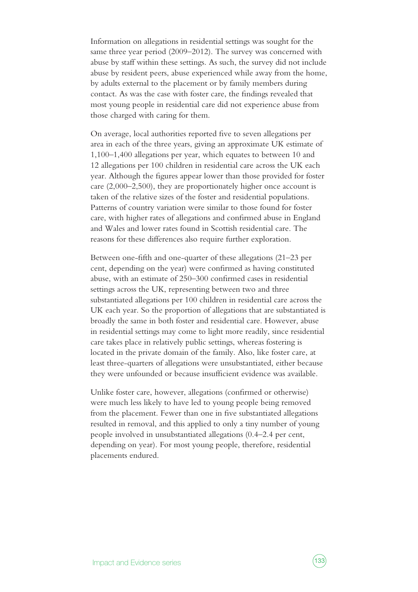Information on allegations in residential settings was sought for the same three year period (2009–2012). The survey was concerned with abuse by staff within these settings. As such, the survey did not include abuse by resident peers, abuse experienced while away from the home, by adults external to the placement or by family members during contact. As was the case with foster care, the findings revealed that most young people in residential care did not experience abuse from those charged with caring for them.

On average, local authorities reported five to seven allegations per area in each of the three years, giving an approximate UK estimate of 1,100–1,400 allegations per year, which equates to between 10 and 12 allegations per 100 children in residential care across the UK each year. Although the figures appear lower than those provided for foster care (2,000–2,500), they are proportionately higher once account is taken of the relative sizes of the foster and residential populations. Patterns of country variation were similar to those found for foster care, with higher rates of allegations and confirmed abuse in England and Wales and lower rates found in Scottish residential care. The reasons for these differences also require further exploration.

Between one-fifth and one-quarter of these allegations (21–23 per cent, depending on the year) were confirmed as having constituted abuse, with an estimate of 250–300 confirmed cases in residential settings across the UK, representing between two and three substantiated allegations per 100 children in residential care across the UK each year. So the proportion of allegations that are substantiated is broadly the same in both foster and residential care. However, abuse in residential settings may come to light more readily, since residential care takes place in relatively public settings, whereas fostering is located in the private domain of the family. Also, like foster care, at least three-quarters of allegations were unsubstantiated, either because they were unfounded or because insufficient evidence was available.

Unlike foster care, however, allegations (confirmed or otherwise) were much less likely to have led to young people being removed from the placement. Fewer than one in five substantiated allegations resulted in removal, and this applied to only a tiny number of young people involved in unsubstantiated allegations (0.4–2.4 per cent, depending on year). For most young people, therefore, residential placements endured.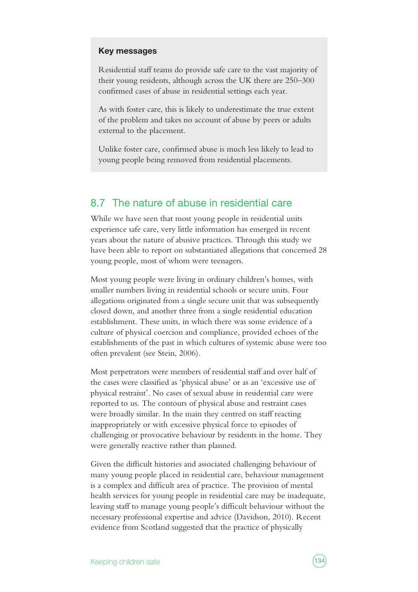#### **Key messages**

Residential staff teams do provide safe care to the vast majority of their young residents, although across the UK there are 250–300 confirmed cases of abuse in residential settings each year.

As with foster care, this is likely to underestimate the true extent of the problem and takes no account of abuse by peers or adults external to the placement.

Unlike foster care, confirmed abuse is much less likely to lead to young people being removed from residential placements.

#### 8.7 The nature of abuse in residential care

While we have seen that most young people in residential units experience safe care, very little information has emerged in recent years about the nature of abusive practices. Through this study we have been able to report on substantiated allegations that concerned 28 young people, most of whom were teenagers.

Most young people were living in ordinary children's homes, with smaller numbers living in residential schools or secure units. Four allegations originated from a single secure unit that was subsequently closed down, and another three from a single residential education establishment. These units, in which there was some evidence of a culture of physical coercion and compliance, provided echoes of the establishments of the past in which cultures of systemic abuse were too often prevalent (see Stein, 2006).

Most perpetrators were members of residential staff and over half of the cases were classified as 'physical abuse' or as an 'excessive use of physical restraint'. No cases of sexual abuse in residential care were reported to us. The contours of physical abuse and restraint cases were broadly similar. In the main they centred on staff reacting inappropriately or with excessive physical force to episodes of challenging or provocative behaviour by residents in the home. They were generally reactive rather than planned.

Given the difficult histories and associated challenging behaviour of many young people placed in residential care, behaviour management is a complex and difficult area of practice. The provision of mental health services for young people in residential care may be inadequate, leaving staff to manage young people's difficult behaviour without the necessary professional expertise and advice (Davidson, 2010). Recent evidence from Scotland suggested that the practice of physically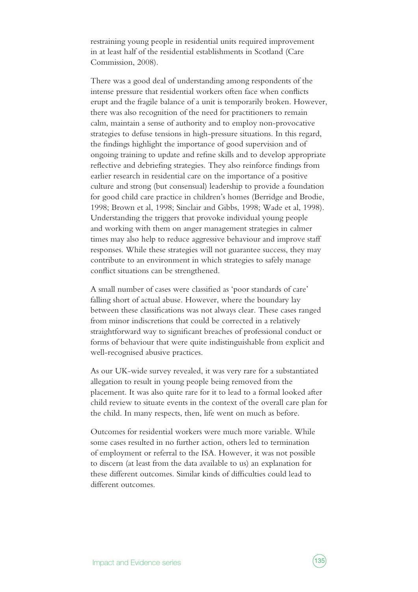restraining young people in residential units required improvement in at least half of the residential establishments in Scotland (Care Commission, 2008).

There was a good deal of understanding among respondents of the intense pressure that residential workers often face when conflicts erupt and the fragile balance of a unit is temporarily broken. However, there was also recognition of the need for practitioners to remain calm, maintain a sense of authority and to employ non-provocative strategies to defuse tensions in high-pressure situations. In this regard, the findings highlight the importance of good supervision and of ongoing training to update and refine skills and to develop appropriate reflective and debriefing strategies. They also reinforce findings from earlier research in residential care on the importance of a positive culture and strong (but consensual) leadership to provide a foundation for good child care practice in children's homes (Berridge and Brodie, 1998; Brown et al, 1998; Sinclair and Gibbs, 1998; Wade et al, 1998). Understanding the triggers that provoke individual young people and working with them on anger management strategies in calmer times may also help to reduce aggressive behaviour and improve staff responses. While these strategies will not guarantee success, they may contribute to an environment in which strategies to safely manage conflict situations can be strengthened.

A small number of cases were classified as 'poor standards of care' falling short of actual abuse. However, where the boundary lay between these classifications was not always clear. These cases ranged from minor indiscretions that could be corrected in a relatively straightforward way to significant breaches of professional conduct or forms of behaviour that were quite indistinguishable from explicit and well-recognised abusive practices.

As our UK-wide survey revealed, it was very rare for a substantiated allegation to result in young people being removed from the placement. It was also quite rare for it to lead to a formal looked after child review to situate events in the context of the overall care plan for the child. In many respects, then, life went on much as before.

Outcomes for residential workers were much more variable. While some cases resulted in no further action, others led to termination of employment or referral to the ISA. However, it was not possible to discern (at least from the data available to us) an explanation for these different outcomes. Similar kinds of difficulties could lead to different outcomes.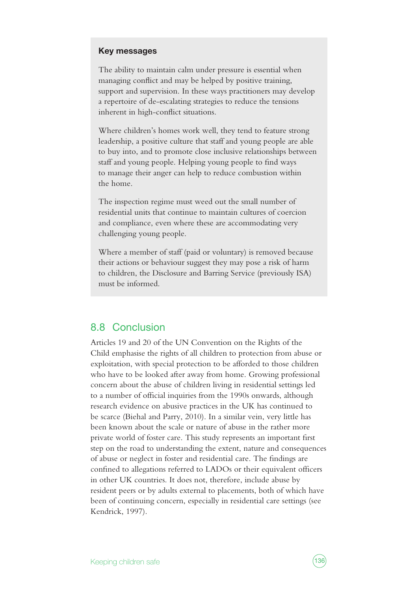#### **Key messages**

The ability to maintain calm under pressure is essential when managing conflict and may be helped by positive training, support and supervision. In these ways practitioners may develop a repertoire of de-escalating strategies to reduce the tensions inherent in high-conflict situations.

Where children's homes work well, they tend to feature strong leadership, a positive culture that staff and young people are able to buy into, and to promote close inclusive relationships between staff and young people. Helping young people to find ways to manage their anger can help to reduce combustion within the home.

The inspection regime must weed out the small number of residential units that continue to maintain cultures of coercion and compliance, even where these are accommodating very challenging young people.

Where a member of staff (paid or voluntary) is removed because their actions or behaviour suggest they may pose a risk of harm to children, the Disclosure and Barring Service (previously ISA) must be informed.

#### 8.8 Conclusion

Articles 19 and 20 of the UN Convention on the Rights of the Child emphasise the rights of all children to protection from abuse or exploitation, with special protection to be afforded to those children who have to be looked after away from home. Growing professional concern about the abuse of children living in residential settings led to a number of official inquiries from the 1990s onwards, although research evidence on abusive practices in the UK has continued to be scarce (Biehal and Parry, 2010). In a similar vein, very little has been known about the scale or nature of abuse in the rather more private world of foster care. This study represents an important first step on the road to understanding the extent, nature and consequences of abuse or neglect in foster and residential care. The findings are confined to allegations referred to LADOs or their equivalent officers in other UK countries. It does not, therefore, include abuse by resident peers or by adults external to placements, both of which have been of continuing concern, especially in residential care settings (see Kendrick, 1997).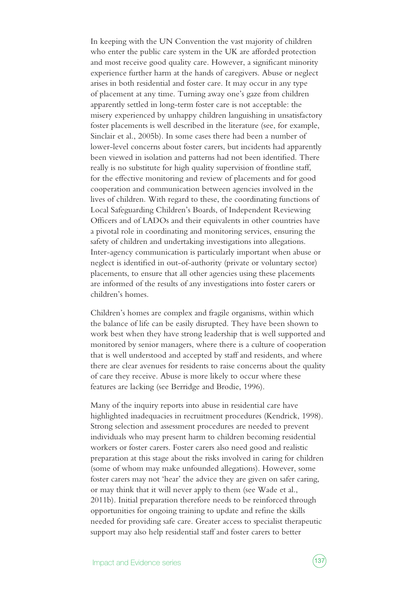In keeping with the UN Convention the vast majority of children who enter the public care system in the UK are afforded protection and most receive good quality care. However, a significant minority experience further harm at the hands of caregivers. Abuse or neglect arises in both residential and foster care. It may occur in any type of placement at any time. Turning away one's gaze from children apparently settled in long-term foster care is not acceptable: the misery experienced by unhappy children languishing in unsatisfactory foster placements is well described in the literature (see, for example, Sinclair et al., 2005b). In some cases there had been a number of lower-level concerns about foster carers, but incidents had apparently been viewed in isolation and patterns had not been identified. There really is no substitute for high quality supervision of frontline staff, for the effective monitoring and review of placements and for good cooperation and communication between agencies involved in the lives of children. With regard to these, the coordinating functions of Local Safeguarding Children's Boards, of Independent Reviewing Officers and of LADOs and their equivalents in other countries have a pivotal role in coordinating and monitoring services, ensuring the safety of children and undertaking investigations into allegations. Inter-agency communication is particularly important when abuse or neglect is identified in out-of-authority (private or voluntary sector) placements, to ensure that all other agencies using these placements are informed of the results of any investigations into foster carers or children's homes.

Children's homes are complex and fragile organisms, within which the balance of life can be easily disrupted. They have been shown to work best when they have strong leadership that is well supported and monitored by senior managers, where there is a culture of cooperation that is well understood and accepted by staff and residents, and where there are clear avenues for residents to raise concerns about the quality of care they receive. Abuse is more likely to occur where these features are lacking (see Berridge and Brodie, 1996).

Many of the inquiry reports into abuse in residential care have highlighted inadequacies in recruitment procedures (Kendrick, 1998). Strong selection and assessment procedures are needed to prevent individuals who may present harm to children becoming residential workers or foster carers. Foster carers also need good and realistic preparation at this stage about the risks involved in caring for children (some of whom may make unfounded allegations). However, some foster carers may not 'hear' the advice they are given on safer caring, or may think that it will never apply to them (see Wade et al., 2011b). Initial preparation therefore needs to be reinforced through opportunities for ongoing training to update and refine the skills needed for providing safe care. Greater access to specialist therapeutic support may also help residential staff and foster carers to better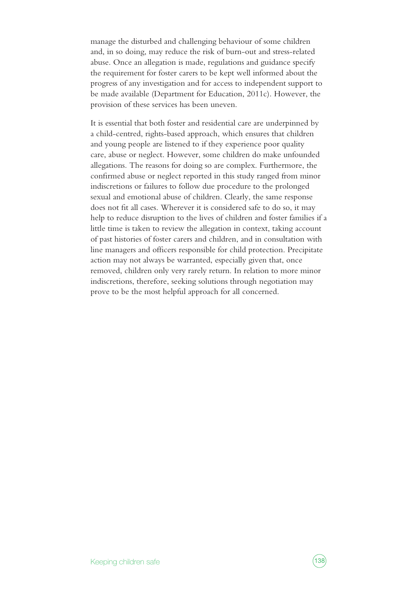manage the disturbed and challenging behaviour of some children and, in so doing, may reduce the risk of burn-out and stress-related abuse. Once an allegation is made, regulations and guidance specify the requirement for foster carers to be kept well informed about the progress of any investigation and for access to independent support to be made available (Department for Education, 2011c). However, the provision of these services has been uneven.

It is essential that both foster and residential care are underpinned by a child-centred, rights-based approach, which ensures that children and young people are listened to if they experience poor quality care, abuse or neglect. However, some children do make unfounded allegations. The reasons for doing so are complex. Furthermore, the confirmed abuse or neglect reported in this study ranged from minor indiscretions or failures to follow due procedure to the prolonged sexual and emotional abuse of children. Clearly, the same response does not fit all cases. Wherever it is considered safe to do so, it may help to reduce disruption to the lives of children and foster families if a little time is taken to review the allegation in context, taking account of past histories of foster carers and children, and in consultation with line managers and officers responsible for child protection. Precipitate action may not always be warranted, especially given that, once removed, children only very rarely return. In relation to more minor indiscretions, therefore, seeking solutions through negotiation may prove to be the most helpful approach for all concerned.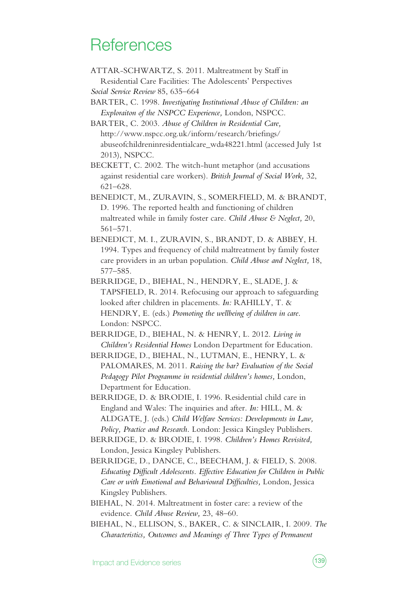## **References**

- ATTAR-SCHWARTZ, S. 2011. Maltreatment by Staff in Residential Care Facilities: The Adolescents' Perspectives *Social Service Review* 85, 635–664
- BARTER, C. 1998. *Investigating Institutional Abuse of Children: an Exploraiton of the NSPCC Experience,* London, NSPCC.
- BARTER, C. 2003. *Abuse of Children in Residential Care,*  http://www.nspcc.org.uk/inform/research/briefings/ abuseofchildreninresidentialcare\_wda48221.html (accessed July 1st 2013), NSPCC.
- BECKETT, C. 2002. The witch-hunt metaphor (and accusations against residential care workers). *British Journal of Social Work,* 32, 621–628.
- BENEDICT, M., ZURAVIN, S., SOMERFIELD, M. & BRANDT, D. 1996. The reported health and functioning of children maltreated while in family foster care. *Child Abuse & Neglect,* 20, 561–571.
- BENEDICT, M. I., ZURAVIN, S., BRANDT, D. & ABBEY, H. 1994. Types and frequency of child maltreatment by family foster care providers in an urban population. *Child Abuse and Neglect,* 18, 577–585.
- BERRIDGE, D., BIEHAL, N., HENDRY, E., SLADE, J. & TAPSFIELD, R. 2014. Refocusing our approach to safeguarding looked after children in placements. *In:* RAHILLY, T. & HENDRY, E. (eds.) *Promoting the wellbeing of children in care.* London: NSPCC.
- BERRIDGE, D., BIEHAL, N. & HENRY, L. 2012. *Living in Children's Residential Homes* London Department for Education.
- BERRIDGE, D., BIEHAL, N., LUTMAN, E., HENRY, L. & PALOMARES, M. 2011. *Raising the bar? Evaluation of the Social Pedagogy Pilot Programme in residential children's homes,* London, Department for Education.
- BERRIDGE, D. & BRODIE, I. 1996. Residential child care in England and Wales: The inquiries and after. *In:* HILL, M. & ALDGATE, J. (eds.) *Child Welfare Services: Developments in Law, Policy, Practice and Research.* London: Jessica Kingsley Publishers.
- BERRIDGE, D. & BRODIE, I. 1998. *Children's Homes Revisited,*  London, Jessica Kingsley Publishers.
- BERRIDGE, D., DANCE, C., BEECHAM, J. & FIELD, S. 2008. *Educating Difficult Adolescents. Effective Education for Children in Public Care or with Emotional and Behavioural Difficulties,* London, Jessica Kingsley Publishers.
- BIEHAL, N. 2014. Maltreatment in foster care: a review of the evidence. *Child Abuse Review,* 23, 48–60.
- BIEHAL, N., ELLISON, S., BAKER, C. & SINCLAIR, I. 2009. *The Characteristics, Outcomes and Meanings of Three Types of Permanent*

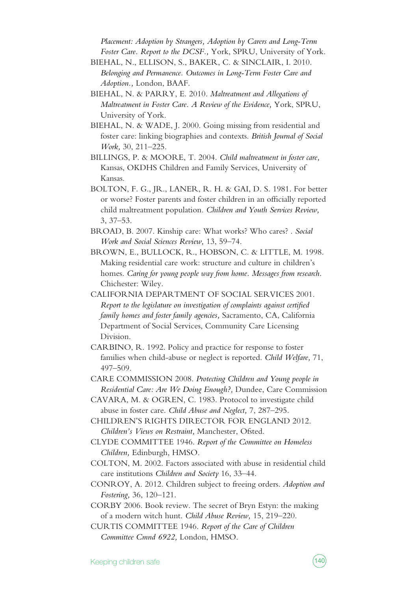*Placement: Adoption by Strangers, Adoption by Carers and Long-Term Foster Care. Report to the DCSF.,* York, SPRU, University of York.

- BIEHAL, N., ELLISON, S., BAKER, C. & SINCLAIR, I. 2010. *Belonging and Permanence. Outcomes in Long-Term Foster Care and Adoption.,* London, BAAF.
- BIEHAL, N. & PARRY, E. 2010. *Maltreatment and Allegations of Maltreatment in Foster Care. A Review of the Evidence,* York, SPRU, University of York.
- BIEHAL, N. & WADE, J. 2000. Going missing from residential and foster care: linking biographies and contexts. *British Journal of Social Work,* 30, 211–225.
- BILLINGS, P. & MOORE, T. 2004. *Child maltreatment in foster care,*  Kansas, OKDHS Children and Family Services, University of Kansas.
- BOLTON, F. G., JR., LANER, R. H. & GAI, D. S. 1981. For better or worse? Foster parents and foster children in an officially reported child maltreatment population. *Children and Youth Services Review,* 3, 37–53.
- BROAD, B. 2007. Kinship care: What works? Who cares? . *Social Work and Social Sciences Review,* 13, 59–74.
- BROWN, E., BULLOCK, R., HOBSON, C. & LITTLE, M. 1998. Making residential care work: structure and culture in children's homes. *Caring for young people way from home. Messages from research.* Chichester: Wiley.
- CALIFORNIA DEPARTMENT OF SOCIAL SERVICES 2001. *Report to the legislature on investigation of complaints against certified family homes and foster family agencies,* Sacramento, CA, California Department of Social Services, Community Care Licensing Division.
- CARBINO, R. 1992. Policy and practice for response to foster families when child-abuse or neglect is reported. *Child Welfare,* 71, 497–509.
- CARE COMMISSION 2008. *Protecting Children and Young people in Residential Care: Are We Doing Enough?,* Dundee, Care Commission
- CAVARA, M. & OGREN, C. 1983. Protocol to investigate child abuse in foster care. *Child Abuse and Neglect,* 7, 287–295.
- CHILDREN'S RIGHTS DIRECTOR FOR ENGLAND 2012. *Children's Views on Restraint,* Manchester, Ofsted.
- CLYDE COMMITTEE 1946. *Report of the Committee on Homeless Children,* Edinburgh, HMSO.
- COLTON, M. 2002. Factors associated with abuse in residential child care institutions *Children and Society* 16, 33–44.
- CONROY, A. 2012. Children subject to freeing orders. *Adoption and Fostering,* 36, 120–121.
- CORBY 2006. Book review. The secret of Bryn Estyn: the making of a modern witch hunt. *Child Abuse Review,* 15, 219–220.
- CURTIS COMMITTEE 1946. *Report of the Care of Children Committee Cmnd 6922,* London, HMSO.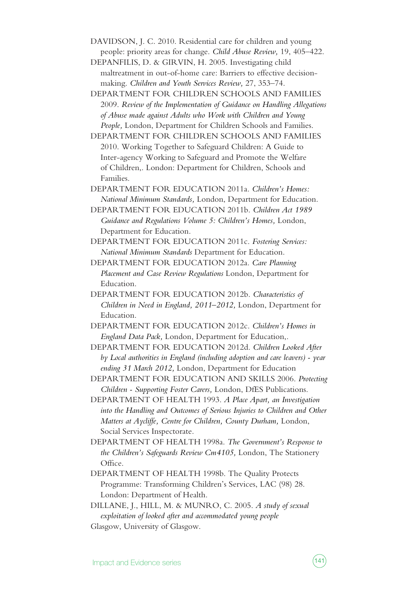DAVIDSON, J. C. 2010. Residential care for children and young people: priority areas for change. *Child Abuse Review,* 19, 405–422.

DEPANFILIS, D. & GIRVIN, H. 2005. Investigating child maltreatment in out-of-home care: Barriers to effective decisionmaking. *Children and Youth Services Review,* 27, 353–74.

DEPARTMENT FOR CHILDREN SCHOOLS AND FAMILIES 2009. *Review of the Implementation of Guidance on Handling Allegations of Abuse made against Adults who Work with Children and Young People,* London, Department for Children Schools and Families.

DEPARTMENT FOR CHILDREN SCHOOLS AND FAMILIES 2010. Working Together to Safeguard Children: A Guide to Inter-agency Working to Safeguard and Promote the Welfare of Children,. London: Department for Children, Schools and Families.

DEPARTMENT FOR EDUCATION 2011a. *Children's Homes: National Minimum Standards,* London, Department for Education.

DEPARTMENT FOR EDUCATION 2011b. *Children Act 1989 Guidance and Regulations Volume 5: Children's Homes,* London, Department for Education.

DEPARTMENT FOR EDUCATION 2011c. *Fostering Services: National Minimum Standards* Department for Education.

DEPARTMENT FOR EDUCATION 2012a. *Care Planning Placement and Case Review Regulations* London, Department for Education.

DEPARTMENT FOR EDUCATION 2012b. *Characteristics of Children in Need in England, 2011–2012,* London, Department for Education.

DEPARTMENT FOR EDUCATION 2012c. *Children's Homes in England Data Pack,* London, Department for Education,.

DEPARTMENT FOR EDUCATION 2012d. *Children Looked After by Local authorities in England (including adoption and care leavers) - year ending 31 March 2012,* London, Department for Education

DEPARTMENT FOR EDUCATION AND SKILLS 2006. *Protecting Children - Supporting Foster Carers,* London, DfES Publications.

DEPARTMENT OF HEALTH 1993. *A Place Apart, an Investigation into the Handling and Outcomes of Serious Injuries to Children and Other Matters at Aycliffe, Centre for Children, County Durham,* London, Social Services Inspectorate.

DEPARTMENT OF HEALTH 1998a. *The Government's Response to the Children's Safeguards Review Cm4105,* London, The Stationery Office.

DEPARTMENT OF HEALTH 1998b. The Quality Protects Programme: Transforming Children's Services, LAC (98) 28. London: Department of Health.

DILLANE, J., HILL, M. & MUNRO, C. 2005. *A study of sexual exploitation of looked after and accommodated young people*  Glasgow, University of Glasgow.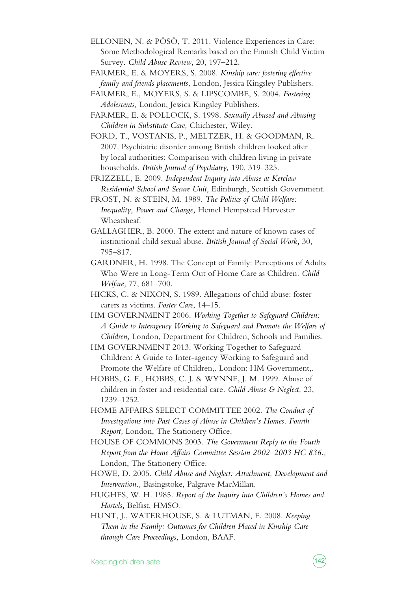ELLONEN, N. & PÖSÖ, T. 2011. Violence Experiences in Care: Some Methodological Remarks based on the Finnish Child Victim Survey. *Child Abuse Review,* 20, 197–212.

FARMER, E. & MOYERS, S. 2008. *Kinship care: fostering effective family and friends placements,* London, Jessica Kingsley Publishers.

- FARMER, E., MOYERS, S. & LIPSCOMBE, S. 2004. *Fostering Adolescents,* London, Jessica Kingsley Publishers.
- FARMER, E. & POLLOCK, S. 1998. *Sexually Abused and Abusing Children in Substitute Care,* Chichester, Wiley.
- FORD, T., VOSTANIS, P., MELTZER, H. & GOODMAN, R. 2007. Psychiatric disorder among British children looked after by local authorities: Comparison with children living in private households. *British Journal of Psychiatry,* 190, 319–325.

FRIZZELL, E. 2009. *Independent Inquiry into Abuse at Kerelaw Residential School and Secure Unit,* Edinburgh, Scottish Government.

FROST, N. & STEIN, M. 1989. *The Politics of Child Welfare: Inequality, Power and Change,* Hemel Hempstead Harvester Wheatsheaf.

- GALLAGHER, B. 2000. The extent and nature of known cases of institutional child sexual abuse. *British Journal of Social Work,* 30, 795–817.
- GARDNER, H. 1998. The Concept of Family: Perceptions of Adults Who Were in Long-Term Out of Home Care as Children. *Child Welfare,* 77, 681–700.
- HICKS, C. & NIXON, S. 1989. Allegations of child abuse: foster carers as victims. *Foster Care*, 14–15.
- HM GOVERNMENT 2006. *Working Together to Safeguard Children: A Guide to Interagency Working to Safeguard and Promote the Welfare of Children,* London, Department for Children, Schools and Families.
- HM GOVERNMENT 2013. Working Together to Safeguard Children: A Guide to Inter-agency Working to Safeguard and Promote the Welfare of Children,. London: HM Government,.
- HOBBS, G. F., HOBBS, C. J. & WYNNE, J. M. 1999. Abuse of children in foster and residential care. *Child Abuse & Neglect,* 23, 1239–1252.
- HOME AFFAIRS SELECT COMMITTEE 2002. *The Conduct of Investigations into Past Cases of Abuse in Children's Homes. Fourth Report,* London, The Stationery Office.

HOUSE OF COMMONS 2003. *The Government Reply to the Fourth Report from the Home Affairs Committee Session 2002–2003 HC 836.,*  London, The Stationery Office.

- HOWE, D. 2005. *Child Abuse and Neglect: Attachment, Development and Intervention.,* Basingstoke, Palgrave MacMillan.
- HUGHES, W. H. 1985. *Report of the Inquiry into Children's Homes and Hostels,* Belfast, HMSO.
- HUNT, J., WATERHOUSE, S. & LUTMAN, E. 2008. *Keeping Them in the Family: Outcomes for Children Placed in Kinship Care through Care Proceedings,* London, BAAF.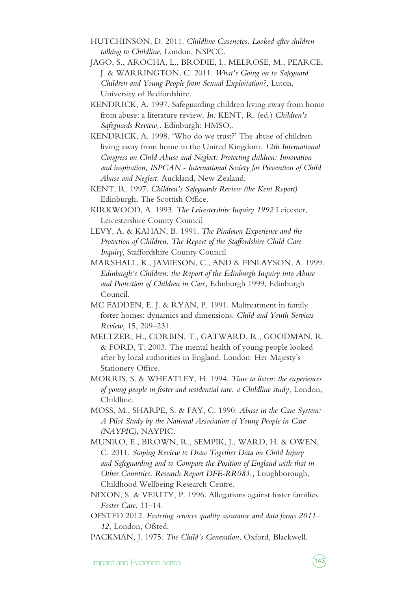- HUTCHINSON, D. 2011. *Childline Casenotes. Looked after children talking to Childline,* London, NSPCC.
- JAGO, S., AROCHA, L., BRODIE, I., MELROSE, M., PEARCE, J. & WARRINGTON, C. 2011. *What's Going on to Safeguard Children and Young People from Sexual Exploitation?,* Luton, University of Bedfordshire.
- KENDRICK, A. 1997. Safeguarding children living away from home from abuse: a literature review. *In:* KENT, R. (ed.) *Children's Safeguards Review,.* Edinburgh: HMSO,.
- KENDRICK, A. 1998. 'Who do we trust?' The abuse of children living away from home in the United Kingdom. *12th International Congress on Child Abuse and Neglect: Protecting children: Innovation and inspiration, ISPCAN - International Society for Prevention of Child Abuse and Neglect.* Auckland, New Zealand.
- KENT, R. 1997. *Children's Safeguards Review (the Kent Report)*  Edinburgh, The Scottish Office.
- KIRKWOOD, A. 1993. *The Leicestershire Inquiry 1992* Leicester, Leicestershire County Council
- LEVY, A. & KAHAN, B. 1991. *The Pindown Experience and the Protection of Children. The Report of the Staffordshire Child Care Inquiry*, Staffordshire County Council
- MARSHALL, K., JAMIESON, C., AND & FINLAYSON, A. 1999. *Edinburgh's Children: the Report of the Edinburgh Inquiry into Abuse and Protection of Children in Care,* Edinburgh 1999, Edinburgh Council.
- MC FADDEN, E. J. & RYAN, P. 1991. Maltreatment in family foster homes: dynamics and dimensions. *Child and Youth Services Review,* 15, 209–231.
- MELTZER, H., CORBIN, T., GATWARD, R., GOODMAN, R. & FORD, T. 2003. The mental health of young people looked after by local authorities in England. London: Her Majesty's Stationery Office.
- MORRIS, S. & WHEATLEY, H. 1994. *Time to listen: the experiences of young people in foster and residential care. a Childline study,* London, Childline.
- MOSS, M., SHARPE, S. & FAY, C. 1990. *Abuse in the Care System: A Pilot Study by the National Association of Young People in Care (NAYPIC)*, NAYPIC.
- MUNRO, E., BROWN, R., SEMPIK, J., WARD, H. & OWEN, C. 2011. *Scoping Review to Draw Together Data on Child Injury and Safeguarding and to Compare the Position of England with that in Other Countries. Research Report DFE-RR083.,* Loughborough, Childhood Wellbeing Research Centre.
- NIXON, S. & VERITY, P. 1996. Allegations against foster families. *Foster Care*, 11–14.
- OFSTED 2012. *Fostering services quality assurance and data forms 2011– 12,* London, Ofsted.
- PACKMAN, J. 1975. *The Child's Generation,* Oxford, Blackwell.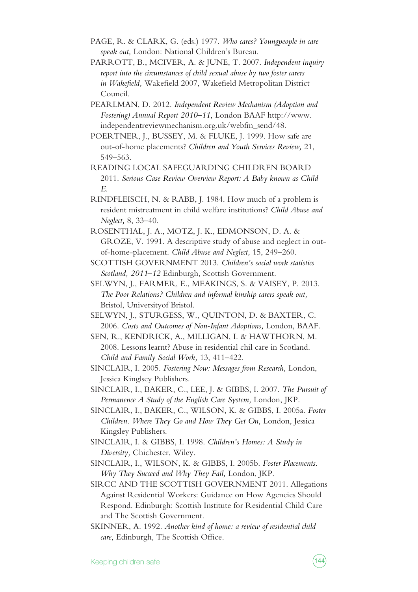- PAGE, R. & CLARK, G. (eds.) 1977. *Who cares? Youngpeople in care speak out,* London: National Children's Bureau.
- PARROTT, B., MCIVER, A. & JUNE, T. 2007. *Independent inquiry report into the circumstances of child sexual abuse by two foster carers in Wakefield,* Wakefield 2007, Wakefield Metropolitan District Council.
- PEARLMAN, D. 2012. *Independent Review Mechanism (Adoption and Fostering) Annual Report 2010–11,* London BAAF http://www. independentreviewmechanism.org.uk/webfm\_send/48.
- POERTNER, J., BUSSEY, M. & FLUKE, J. 1999. How safe are out-of-home placements? *Children and Youth Services Review,* 21, 549–563.
- READING LOCAL SAFEGUARDING CHILDREN BOARD 2011. *Serious Case Review Overview Report: A Baby known as Child E*.
- RINDFLEISCH, N. & RABB, J. 1984. How much of a problem is resident mistreatment in child welfare institutions? *Child Abuse and Neglect,* 8, 33–40.
- ROSENTHAL, J. A., MOTZ, J. K., EDMONSON, D. A. & GROZE, V. 1991. A descriptive study of abuse and neglect in outof-home-placement. *Child Abuse and Neglect,* 15, 249–260.
- SCOTTISH GOVERNMENT 2013. *Children's social work statistics Scotland, 2011–12* Edinburgh, Scottish Government.
- SELWYN, J., FARMER, E., MEAKINGS, S. & VAISEY, P. 2013. *The Poor Relations? Children and informal kinship carers speak out,*  Bristol, Universityof Bristol.
- SELWYN, J., STURGESS, W., QUINTON, D. & BAXTER, C. 2006. *Costs and Outcomes of Non-Infant Adoptions,* London, BAAF.
- SEN, R., KENDRICK, A., MILLIGAN, I. & HAWTHORN, M. 2008. Lessons learnt? Abuse in residential chil care in Scotland. *Child and Family Social Work,* 13, 411–422.
- SINCLAIR, I. 2005. *Fostering Now: Messages from Research,* London, Jessica Kinglsey Publishers.
- SINCLAIR, I., BAKER, C., LEE, J. & GIBBS, I. 2007. *The Pursuit of*  Permanence A Study of the English Care System, London, JKP.
- SINCLAIR, I., BAKER, C., WILSON, K. & GIBBS, I. 2005a. *Foster Children. Where They Go and How They Get On,* London, Jessica Kingsley Publishers.
- SINCLAIR, I. & GIBBS, I. 1998. *Children's Homes: A Study in Diversity,* Chichester, Wiley.
- SINCLAIR, I., WILSON, K. & GIBBS, I. 2005b. *Foster Placements. Why They Succeed and Why They Fail,* London, JKP.
- SIRCC AND THE SCOTTISH GOVERNMENT 2011. Allegations Against Residential Workers: Guidance on How Agencies Should Respond. Edinburgh: Scottish Institute for Residential Child Care and The Scottish Government.
- SKINNER, A. 1992. *Another kind of home: a review of residential child care,* Edinburgh, The Scottish Office.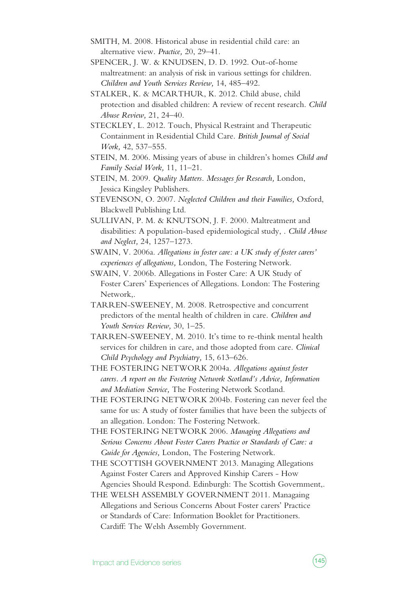- SMITH, M. 2008. Historical abuse in residential child care: an alternative view. *Practice,* 20, 29–41.
- SPENCER, J. W. & KNUDSEN, D. D. 1992. Out-of-home maltreatment: an analysis of risk in various settings for children. *Children and Youth Services Review,* 14, 485–492.
- STALKER, K. & MCARTHUR, K. 2012. Child abuse, child protection and disabled children: A review of recent research. *Child Abuse Review,* 21, 24–40.
- STECKLEY, L. 2012. Touch, Physical Restraint and Therapeutic Containment in Residential Child Care. *British Journal of Social Work,* 42, 537–555.
- STEIN, M. 2006. Missing years of abuse in children's homes *Child and Family Social Work,* 11, 11–21.
- STEIN, M. 2009. *Quality Matters. Messages for Research,* London, Jessica Kingsley Publishers.
- STEVENSON, O. 2007. *Neglected Children and their Families,* Oxford, Blackwell Publishing Ltd.
- SULLIVAN, P. M. & KNUTSON, J. F. 2000. Maltreatment and disabilities: A population-based epidemiological study, . *Child Abuse and Neglect,* 24, 1257–1273.
- SWAIN, V. 2006a. *Allegations in foster care: a UK study of foster carers' experiences of allegations,* London, The Fostering Network.
- SWAIN, V. 2006b. Allegations in Foster Care: A UK Study of Foster Carers' Experiences of Allegations. London: The Fostering Network,.
- TARREN-SWEENEY, M. 2008. Retrospective and concurrent predictors of the mental health of children in care. *Children and Youth Services Review,* 30, 1–25.
- TARREN-SWEENEY, M. 2010. It's time to re-think mental health services for children in care, and those adopted from care. *Clinical Child Psychology and Psychiatry,* 15, 613–626.
- THE FOSTERING NETWORK 2004a. *Allegations against foster carers. A report on the Fostering Network Scotland's Advice, Information and Mediation Service,* The Fostering Network Scotland.
- THE FOSTERING NETWORK 2004b. Fostering can never feel the same for us: A study of foster families that have been the subjects of an allegation. London: The Fostering Network.
- THE FOSTERING NETWORK 2006. *Managing Allegations and Serious Concerns About Foster Carers Practice or Standards of Care: a Guide for Agencies,* London, The Fostering Network.
- THE SCOTTISH GOVERNMENT 2013. Managing Allegations Against Foster Carers and Approved Kinship Carers - How Agencies Should Respond. Edinburgh: The Scottish Government,.
- THE WELSH ASSEMBLY GOVERNMENT 2011. Managaing Allegations and Serious Concerns About Foster carers' Practice or Standards of Care: Information Booklet for Practitioners. Cardiff: The Welsh Assembly Government.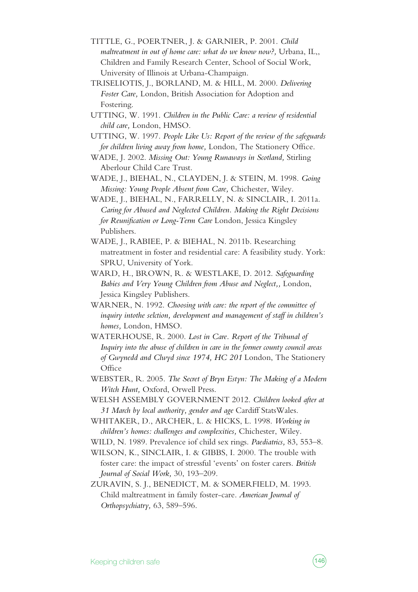- TITTLE, G., POERTNER, J. & GARNIER, P. 2001. *Child maltreatment in out of home care: what do we know now?,* Urbana, IL,, Children and Family Research Center, School of Social Work, University of Illinois at Urbana-Champaign.
- TRISELIOTIS, J., BORLAND, M. & HILL, M. 2000. *Delivering Foster Care,* London, British Association for Adoption and Fostering.
- UTTING, W. 1991. *Children in the Public Care: a review of residential child care,* London, HMSO.
- UTTING, W. 1997. *People Like Us: Report of the review of the safeguards for children living away from home,* London, The Stationery Office.
- WADE, J. 2002. *Missing Out: Young Runaways in Scotland,* Stirling Aberlour Child Care Trust.
- WADE, J., BIEHAL, N., CLAYDEN, J. & STEIN, M. 1998. *Going Missing: Young People Absent from Care,* Chichester, Wiley.
- WADE, J., BIEHAL, N., FARRELLY, N. & SINCLAIR, I. 2011a. *Caring for Abused and Neglected Children. Making the Right Decisions for Reunification or Long-Term Care* London, Jessica Kingsley Publishers.
- WADE, J., RABIEE, P. & BIEHAL, N. 2011b. Researching matreatment in foster and residential care: A feasibility study. York: SPRU, University of York.
- WARD, H., BROWN, R. & WESTLAKE, D. 2012. *Safeguarding Babies and Very Young Children from Abuse and Neglect,,* London, Jessica Kingsley Publishers.
- WARNER, N. 1992. *Choosing with care: the report of the committee of inquiry intothe selction, development and management of staff in children's homes,* London, HMSO.
- WATERHOUSE, R. 2000. *Lost in Care. Report of the Tribunal of Inquiry into the abuse of children in care in the former county council areas of Gwynedd and Clwyd since 1974, HC 201* London, The Stationery **Office**
- WEBSTER, R. 2005. *The Secret of Bryn Estyn: The Making of a Modern Witch Hunt,* Oxford, Orwell Press.
- WELSH ASSEMBLY GOVERNMENT 2012. *Children looked after at 31 March by local authority, gender and age* Cardiff StatsWales.
- WHITAKER, D., ARCHER, L. & HICKS, L. 1998. *Working in children's homes: challenges and complexities,* Chichester, Wiley.
- WILD, N. 1989. Prevalence iof child sex rings. *Paediatrics,* 83, 553–8.
- WILSON, K., SINCLAIR, I. & GIBBS, I. 2000. The trouble with foster care: the impact of stressful 'events' on foster carers. *British Journal of Social Work,* 30, 193–209.
- ZURAVIN, S. J., BENEDICT, M. & SOMERFIELD, M. 1993. Child maltreatment in family foster-care. *American Journal of Orthopsychiatry,* 63, 589–596.